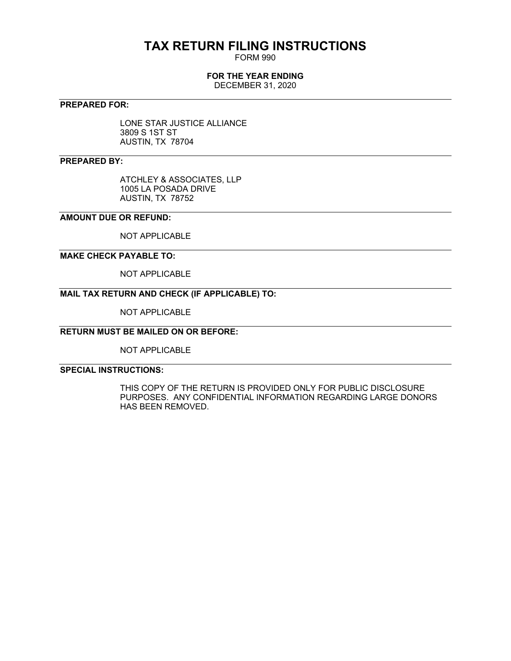# **TAX RETURN FILING INSTRUCTIONS**

FORM 990

# **FOR THE YEAR ENDING**

DECEMBER 31, 2020

# **PREPARED FOR:**

LONE STAR JUSTICE ALLIANCE 3809 S 1ST ST AUSTIN, TX 78704

# **PREPARED BY:**

ATCHLEY & ASSOCIATES, LLP 1005 LA POSADA DRIVE AUSTIN, TX 78752

## **AMOUNT DUE OR REFUND:**

NOT APPLICABLE

# **MAKE CHECK PAYABLE TO:**

NOT APPLICABLE

# **MAIL TAX RETURN AND CHECK (IF APPLICABLE) TO:**

NOT APPLICABLE

# **RETURN MUST BE MAILED ON OR BEFORE:**

NOT APPLICABLE

# **SPECIAL INSTRUCTIONS:**

THIS COPY OF THE RETURN IS PROVIDED ONLY FOR PUBLIC DISCLOSURE PURPOSES. ANY CONFIDENTIAL INFORMATION REGARDING LARGE DONORS HAS BEEN REMOVED.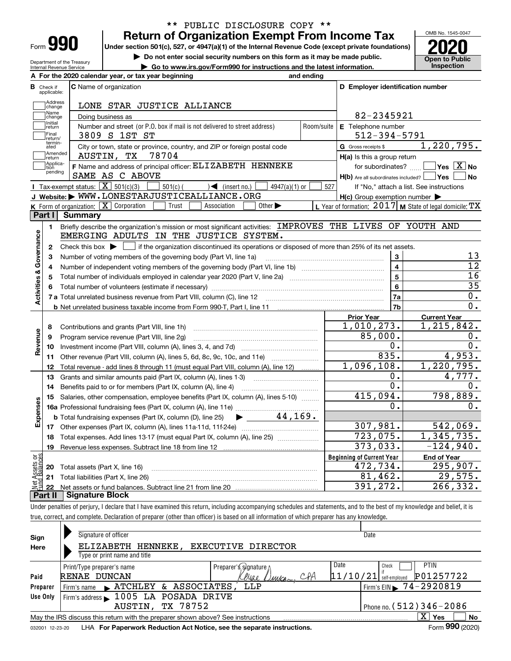| -orm |  |
|------|--|

Department of the Treasury Internal Revenue Service

# **Return of Organization Exempt From Income Tax** \*\* PUBLIC DISCLOSURE COPY \*\*

**Under section 501(c), 527, or 4947(a)(1) of the Internal Revenue Code (except private foundations) 2020**

**| Do not enter social security numbers on this form as it may be made public.**

**| Go to www.irs.gov/Form990 for instructions and the latest information. Inspection**



|                         |                         | A For the 2020 calendar year, or tax year beginning                                                                                    | and ending              |                                                     |                                                           |
|-------------------------|-------------------------|----------------------------------------------------------------------------------------------------------------------------------------|-------------------------|-----------------------------------------------------|-----------------------------------------------------------|
| В                       | Check if<br>applicable: | <b>C</b> Name of organization                                                                                                          |                         | D Employer identification number                    |                                                           |
|                         | Address<br>change       | LONE STAR JUSTICE ALLIANCE                                                                                                             |                         |                                                     |                                                           |
|                         | Name<br>change          | Doing business as                                                                                                                      |                         | 82-2345921                                          |                                                           |
|                         | Initial<br>return       | Number and street (or P.O. box if mail is not delivered to street address)                                                             | Room/suite              | E Telephone number                                  |                                                           |
|                         | Final<br>return/        | 3809 S 1ST ST                                                                                                                          |                         | $512 - 394 - 5791$                                  |                                                           |
|                         | termin-<br>ated         | City or town, state or province, country, and ZIP or foreign postal code                                                               |                         | G Gross receipts \$                                 | 1,220,795.                                                |
|                         | Amended<br>return       | AUSTIN, TX<br>78704                                                                                                                    |                         | $H(a)$ is this a group return                       |                                                           |
|                         | Applica-<br>tion        | F Name and address of principal officer: ELIZABETH HENNEKE                                                                             |                         | for subordinates?                                   | $\boxed{\phantom{1}}$ Yes $\boxed{\mathrm{X}}$ No         |
|                         | pending                 | SAME AS C ABOVE                                                                                                                        |                         | H(b) Are all subordinates included? Ves             | ∣No                                                       |
|                         |                         | Tax-exempt status: $\boxed{\mathbf{X}}$ 501(c)(3) $\boxed{\mathbf{X}}$<br>$\Theta$ (insert no.)<br>$501(c)$ (<br>$4947(a)(1)$ or       | 527                     |                                                     | If "No," attach a list. See instructions                  |
|                         |                         | J Website: WWW.LONESTARJUSTICEALLIANCE.ORG                                                                                             |                         | $H(c)$ Group exemption number $\blacktriangleright$ |                                                           |
|                         |                         | K Form of organization: $\boxed{\mathbf{X}}$ Corporation<br>Trust<br>Other $\blacktriangleright$<br>Association                        |                         |                                                     | L Year of formation: 2017   M State of legal domicile: TX |
|                         | Part I                  | Summary                                                                                                                                |                         |                                                     |                                                           |
|                         | 1.                      | Briefly describe the organization's mission or most significant activities: IMPROVES THE LIVES OF YOUTH AND                            |                         |                                                     |                                                           |
|                         |                         | EMERGING ADULTS IN THE JUSTICE SYSTEM.                                                                                                 |                         |                                                     |                                                           |
| Activities & Governance | 2                       | Check this box $\blacktriangleright$   if the organization discontinued its operations or disposed of more than 25% of its net assets. |                         |                                                     |                                                           |
|                         | 3                       | Number of voting members of the governing body (Part VI, line 1a)                                                                      |                         | 3                                                   | 13                                                        |
|                         | 4                       |                                                                                                                                        | $\overline{\mathbf{4}}$ | $\overline{12}$                                     |                                                           |
|                         | 5                       |                                                                                                                                        | 5                       | 16                                                  |                                                           |
|                         | 6                       |                                                                                                                                        |                         | 6                                                   | $\overline{35}$                                           |
|                         |                         |                                                                                                                                        |                         | <b>7a</b>                                           | $0$ .                                                     |
|                         |                         | <b>b</b> Net unrelated business taxable income from Form 990-T, Part I, line 11 <b>Marting the Control of the Control</b> of           |                         | 7 <sub>b</sub>                                      | $\overline{0}$ .                                          |
|                         |                         |                                                                                                                                        |                         | <b>Prior Year</b>                                   | <b>Current Year</b>                                       |
|                         | 8                       | Contributions and grants (Part VIII, line 1h)                                                                                          |                         | 1,010,273.                                          | 1,215,842.                                                |
| Revenue                 | 9                       | Program service revenue (Part VIII, line 2g)                                                                                           |                         | 85,000.                                             | О.                                                        |
|                         | 10                      |                                                                                                                                        |                         | 0.                                                  | $\overline{0}$ .                                          |
|                         | 11                      | Other revenue (Part VIII, column (A), lines 5, 6d, 8c, 9c, 10c, and 11e)                                                               |                         | 835.                                                | 4,953.                                                    |
|                         | 12                      | Total revenue - add lines 8 through 11 (must equal Part VIII, column (A), line 12)                                                     |                         | 1,096,108.                                          | 1,220,795.                                                |
|                         | 13                      | Grants and similar amounts paid (Part IX, column (A), lines 1-3)                                                                       |                         | ο.                                                  | 4,777.                                                    |
|                         | 14                      | Benefits paid to or for members (Part IX, column (A), line 4)                                                                          |                         | 0.                                                  | О.                                                        |
|                         | 15                      | Salaries, other compensation, employee benefits (Part IX, column (A), lines 5-10)                                                      |                         | 415,094.                                            | 798,889.                                                  |
| Expenses                |                         |                                                                                                                                        |                         | 0.                                                  | 0.                                                        |
|                         |                         | $\blacktriangleright$ 44,169.<br><b>b</b> Total fundraising expenses (Part IX, column (D), line 25)                                    |                         |                                                     |                                                           |
|                         |                         |                                                                                                                                        |                         | 307,981.                                            | 542,069.                                                  |
|                         | 18                      | Total expenses. Add lines 13-17 (must equal Part IX, column (A), line 25) [                                                            |                         | 723,075.                                            | 1,345,735.                                                |
|                         | 19                      |                                                                                                                                        |                         | 373,033.                                            | $-124,940.$                                               |
|                         |                         |                                                                                                                                        |                         | <b>Beginning of Current Year</b>                    | <b>End of Year</b>                                        |
|                         |                         | <b>20</b> Total assets (Part X, line 16)                                                                                               |                         | 472,734.                                            | 295,907.                                                  |
| ăğ<br>ssets             |                         |                                                                                                                                        |                         |                                                     |                                                           |
|                         |                         | 21 Total liabilities (Part X, line 26)                                                                                                 |                         | 81,462.<br>391,272.                                 | 29,575.<br>266,332.                                       |

Under penalties of perjury, I declare that I have examined this return, including accompanying schedules and statements, and to the best of my knowledge and belief, it is true, correct, and complete. Declaration of preparer (other than officer) is based on all information of which preparer has any knowledge.

| Sign            | Signature of officer                                                            |                              | Date                                     |
|-----------------|---------------------------------------------------------------------------------|------------------------------|------------------------------------------|
| Here            | ELIZABETH<br>HENNEKE ,                                                          | EXECUTIVE DIRECTOR           |                                          |
|                 | Type or print name and title                                                    |                              |                                          |
|                 | Print/Type preparer's name                                                      | Preparer's s/gnature ∆       | Date<br><b>PTIN</b><br>Check             |
| Paid            | RENAE DUNCAN                                                                    | CPA<br>eriae<br><i>Ummca</i> | P01257722<br> 11/10/21 <br>self-emploved |
| Preparer        | & ASSOCIATES,<br>$\blacktriangleright$ ATCHLEY<br>Firm's name                   | LLP                          | Firm's EIN 374-2920819                   |
| Use Only        | Firm's address 1005 LA POSADA DRIVE                                             |                              |                                          |
|                 | TX 78752<br>AUSTIN,                                                             |                              | Phone no. (512) 346-2086                 |
|                 | May the IRS discuss this return with the preparer shown above? See instructions |                              | $\mathbf{x}$<br>No<br>Yes                |
| 032001 12-23-20 | LHA For Paperwork Reduction Act Notice, see the separate instructions.          |                              | Form 990 (2020)                          |
|                 |                                                                                 |                              |                                          |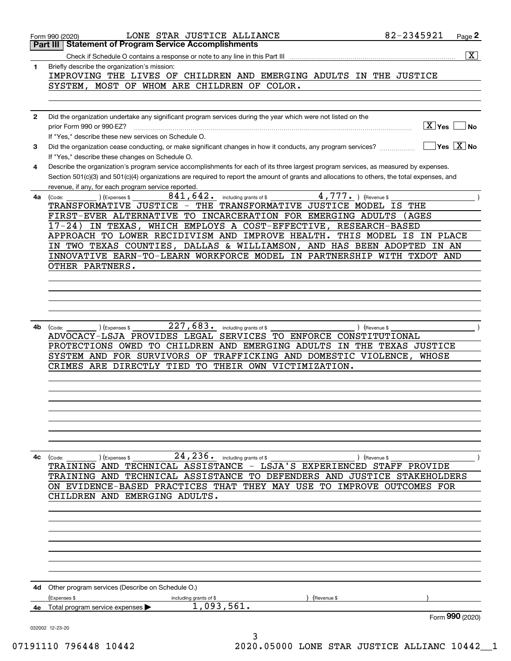|              | LONE STAR JUSTICE ALLIANCE<br>Form 990 (2020)                                                                                                                        | 82-2345921<br>Page 2    |
|--------------|----------------------------------------------------------------------------------------------------------------------------------------------------------------------|-------------------------|
|              | <b>Statement of Program Service Accomplishments</b><br>Part III                                                                                                      |                         |
|              |                                                                                                                                                                      | $\overline{\mathbf{x}}$ |
| 1            | Briefly describe the organization's mission:<br>IMPROVING THE LIVES OF CHILDREN AND EMERGING ADULTS IN THE JUSTICE                                                   |                         |
|              | SYSTEM, MOST OF WHOM ARE CHILDREN OF COLOR.                                                                                                                          |                         |
|              |                                                                                                                                                                      |                         |
|              |                                                                                                                                                                      |                         |
| $\mathbf{2}$ | Did the organization undertake any significant program services during the year which were not listed on the                                                         |                         |
|              | prior Form 990 or 990-EZ?                                                                                                                                            | ∣X ∣Yes <u>∣</u><br>No. |
|              | If "Yes," describe these new services on Schedule O.<br>Did the organization cease conducting, or make significant changes in how it conducts, any program services? | $ Yes X $ No            |
| 3            | If "Yes," describe these changes on Schedule O.                                                                                                                      |                         |
| 4            | Describe the organization's program service accomplishments for each of its three largest program services, as measured by expenses.                                 |                         |
|              | Section 501(c)(3) and 501(c)(4) organizations are required to report the amount of grants and allocations to others, the total expenses, and                         |                         |
|              | revenue, if any, for each program service reported.                                                                                                                  |                         |
| 4a           | $4,777.$ (Revenue \$<br>841,642.<br>including grants of \$<br>) (Expenses \$<br>(Code:                                                                               |                         |
|              | TRANSFORMATIVE JUSTICE - THE TRANSFORMATIVE JUSTICE MODEL IS<br>FIRST-EVER ALTERNATIVE TO INCARCERATION FOR EMERGING ADULTS                                          | THE<br>AGES             |
|              | IN TEXAS, WHICH EMPLOYS A COST-EFFECTIVE, RESEARCH-BASED<br>$17 - 24$                                                                                                |                         |
|              | APPROACH TO LOWER RECIDIVISM AND IMPROVE HEALTH.                                                                                                                     | THIS MODEL IS IN PLACE  |
|              | IN TWO TEXAS COUNTIES, DALLAS & WILLIAMSON, AND HAS BEEN ADOPTED IN AN                                                                                               |                         |
|              | INNOVATIVE EARN-TO-LEARN WORKFORCE MODEL IN PARTNERSHIP WITH TXDOT AND                                                                                               |                         |
|              | OTHER PARTNERS.                                                                                                                                                      |                         |
|              |                                                                                                                                                                      |                         |
|              |                                                                                                                                                                      |                         |
|              |                                                                                                                                                                      |                         |
|              |                                                                                                                                                                      |                         |
| 4b           | 227,683.<br>) (Expenses \$<br>including grants of \$<br>(Code:                                                                                                       | ) (Revenue \$           |
|              | ADVOCACY-LSJA PROVIDES LEGAL SERVICES TO ENFORCE CONSTITUTIONAL                                                                                                      |                         |
|              | PROTECTIONS OWED TO CHILDREN AND EMERGING ADULTS IN THE TEXAS JUSTICE                                                                                                |                         |
|              | SYSTEM AND FOR SURVIVORS OF TRAFFICKING AND DOMESTIC VIOLENCE,                                                                                                       | WHOSE                   |
|              | CRIMES ARE DIRECTLY TIED<br>TO<br>THEIR OWN VICTIMIZATION.                                                                                                           |                         |
|              |                                                                                                                                                                      |                         |
|              |                                                                                                                                                                      |                         |
|              |                                                                                                                                                                      |                         |
|              |                                                                                                                                                                      |                         |
|              |                                                                                                                                                                      |                         |
|              |                                                                                                                                                                      |                         |
|              |                                                                                                                                                                      |                         |
| 4с           | $24, 236$ $\cdot$ including grants of \$<br>(Code:<br>(Expenses \$<br>TRAINING AND TECHNICAL ASSISTANCE - LSJA'S EXPERIENCED STAFF PROVIDE                           | ) (Revenue \$           |
|              | TRAINING AND TECHNICAL ASSISTANCE TO DEFENDERS AND JUSTICE STAKEHOLDERS                                                                                              |                         |
|              | ON EVIDENCE-BASED PRACTICES THAT THEY MAY USE TO IMPROVE OUTCOMES FOR                                                                                                |                         |
|              | CHILDREN AND EMERGING ADULTS.                                                                                                                                        |                         |
|              |                                                                                                                                                                      |                         |
|              |                                                                                                                                                                      |                         |
|              |                                                                                                                                                                      |                         |
|              |                                                                                                                                                                      |                         |
|              |                                                                                                                                                                      |                         |
|              |                                                                                                                                                                      |                         |
|              |                                                                                                                                                                      |                         |
| 4d           | Other program services (Describe on Schedule O.)                                                                                                                     |                         |
|              | (Expenses \$<br>including grants of \$<br>(Revenue \$                                                                                                                |                         |
| 4е           | 1,093,561.<br>Total program service expenses ▶                                                                                                                       |                         |
|              |                                                                                                                                                                      | Form 990 (2020)         |
|              | 032002 12-23-20<br>3                                                                                                                                                 |                         |
|              |                                                                                                                                                                      |                         |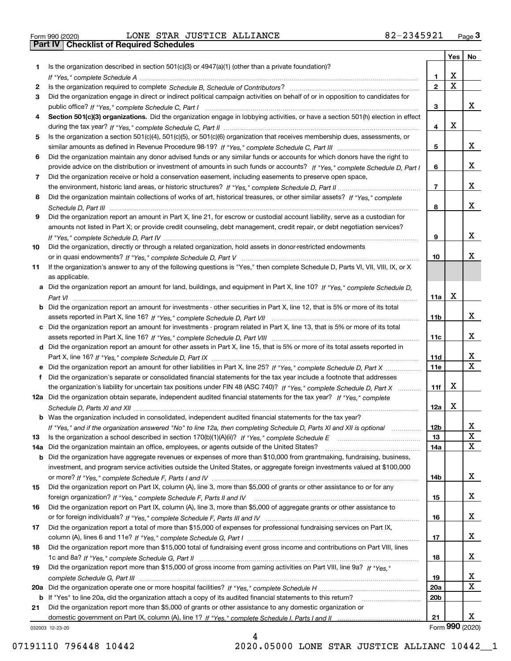|  | Form 990 (2020) |
|--|-----------------|

|     |                                                                                                                                       |                 | Yes                     | No                      |
|-----|---------------------------------------------------------------------------------------------------------------------------------------|-----------------|-------------------------|-------------------------|
| 1   | Is the organization described in section $501(c)(3)$ or $4947(a)(1)$ (other than a private foundation)?                               |                 |                         |                         |
|     |                                                                                                                                       | 1               | X                       |                         |
| 2   |                                                                                                                                       | $\overline{2}$  | $\overline{\mathbf{x}}$ |                         |
| 3   | Did the organization engage in direct or indirect political campaign activities on behalf of or in opposition to candidates for       |                 |                         |                         |
|     |                                                                                                                                       | 3               |                         | x                       |
| 4   | Section 501(c)(3) organizations. Did the organization engage in lobbying activities, or have a section 501(h) election in effect      |                 |                         |                         |
|     |                                                                                                                                       | 4               | X                       |                         |
| 5   | Is the organization a section 501(c)(4), 501(c)(5), or 501(c)(6) organization that receives membership dues, assessments, or          |                 |                         |                         |
|     |                                                                                                                                       | 5               |                         | x                       |
| 6   | Did the organization maintain any donor advised funds or any similar funds or accounts for which donors have the right to             |                 |                         | x                       |
|     | provide advice on the distribution or investment of amounts in such funds or accounts? If "Yes," complete Schedule D, Part I          | 6               |                         |                         |
| 7   | Did the organization receive or hold a conservation easement, including easements to preserve open space,                             | $\overline{7}$  |                         | x                       |
|     | Did the organization maintain collections of works of art, historical treasures, or other similar assets? If "Yes," complete          |                 |                         |                         |
| 8   |                                                                                                                                       | 8               |                         | x                       |
| 9   | Did the organization report an amount in Part X, line 21, for escrow or custodial account liability, serve as a custodian for         |                 |                         |                         |
|     | amounts not listed in Part X; or provide credit counseling, debt management, credit repair, or debt negotiation services?             |                 |                         |                         |
|     |                                                                                                                                       | 9               |                         | x                       |
| 10  | Did the organization, directly or through a related organization, hold assets in donor-restricted endowments                          |                 |                         |                         |
|     |                                                                                                                                       | 10              |                         | x                       |
| 11  | If the organization's answer to any of the following questions is "Yes," then complete Schedule D, Parts VI, VII, VIII, IX, or X      |                 |                         |                         |
|     | as applicable.                                                                                                                        |                 |                         |                         |
|     | a Did the organization report an amount for land, buildings, and equipment in Part X, line 10? If "Yes." complete Schedule D.         |                 |                         |                         |
|     |                                                                                                                                       | 11a             | X                       |                         |
|     | <b>b</b> Did the organization report an amount for investments - other securities in Part X, line 12, that is 5% or more of its total |                 |                         |                         |
|     |                                                                                                                                       | 11b             |                         | x                       |
|     | Did the organization report an amount for investments - program related in Part X, line 13, that is 5% or more of its total           |                 |                         |                         |
|     |                                                                                                                                       | 11c             |                         | x                       |
|     | d Did the organization report an amount for other assets in Part X, line 15, that is 5% or more of its total assets reported in       |                 |                         |                         |
|     |                                                                                                                                       | 11d             |                         | x                       |
|     | e Did the organization report an amount for other liabilities in Part X, line 25? If "Yes," complete Schedule D, Part X               | 11e             |                         | $\overline{\mathbf{x}}$ |
| f   | Did the organization's separate or consolidated financial statements for the tax year include a footnote that addresses               |                 |                         |                         |
|     | the organization's liability for uncertain tax positions under FIN 48 (ASC 740)? If "Yes," complete Schedule D, Part X                | 11f             | х                       |                         |
|     | 12a Did the organization obtain separate, independent audited financial statements for the tax year? If "Yes," complete               |                 |                         |                         |
|     |                                                                                                                                       | 12a             | Х                       |                         |
|     | <b>b</b> Was the organization included in consolidated, independent audited financial statements for the tax year?                    |                 |                         |                         |
|     | If "Yes," and if the organization answered "No" to line 12a, then completing Schedule D, Parts XI and XII is optional                 | 12b             |                         | Δ.                      |
| 13  |                                                                                                                                       | 13              |                         | X                       |
| 14a | Did the organization maintain an office, employees, or agents outside of the United States?                                           | 14a             |                         | $\mathbf X$             |
| b   | Did the organization have aggregate revenues or expenses of more than \$10,000 from grantmaking, fundraising, business,               |                 |                         |                         |
|     | investment, and program service activities outside the United States, or aggregate foreign investments valued at \$100,000            |                 |                         |                         |
|     |                                                                                                                                       | 14b             |                         | x                       |
| 15  | Did the organization report on Part IX, column (A), line 3, more than \$5,000 of grants or other assistance to or for any             |                 |                         |                         |
|     |                                                                                                                                       | 15              |                         | X                       |
| 16  | Did the organization report on Part IX, column (A), line 3, more than \$5,000 of aggregate grants or other assistance to              |                 |                         |                         |
|     |                                                                                                                                       | 16              |                         | X                       |
| 17  | Did the organization report a total of more than \$15,000 of expenses for professional fundraising services on Part IX,               |                 |                         |                         |
|     |                                                                                                                                       | 17              |                         | X                       |
| 18  | Did the organization report more than \$15,000 total of fundraising event gross income and contributions on Part VIII, lines          |                 |                         |                         |
|     |                                                                                                                                       | 18              |                         | x                       |
| 19  | Did the organization report more than \$15,000 of gross income from gaming activities on Part VIII, line 9a? If "Yes."                |                 |                         |                         |
|     |                                                                                                                                       | 19              |                         | X                       |
| 20a |                                                                                                                                       | 20a             |                         | $\mathbf X$             |
|     | b If "Yes" to line 20a, did the organization attach a copy of its audited financial statements to this return?                        | 20 <sub>b</sub> |                         |                         |
| 21  | Did the organization report more than \$5,000 of grants or other assistance to any domestic organization or                           |                 |                         |                         |
|     |                                                                                                                                       | 21              |                         | x                       |
|     | 032003 12-23-20                                                                                                                       |                 |                         | Form 990 (2020)         |

032003 12-23-20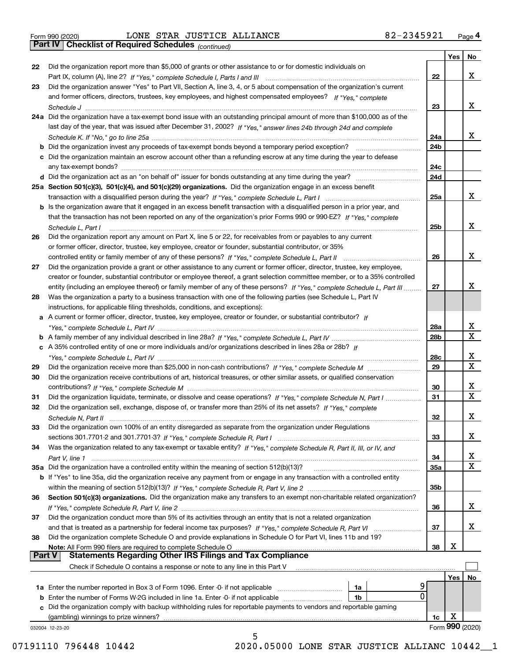*(continued)*

|               |                                                                                                                                                                                                    |                 | Yes | No.              |
|---------------|----------------------------------------------------------------------------------------------------------------------------------------------------------------------------------------------------|-----------------|-----|------------------|
| 22            | Did the organization report more than \$5,000 of grants or other assistance to or for domestic individuals on                                                                                      |                 |     |                  |
|               |                                                                                                                                                                                                    | 22              |     | x                |
| 23            | Did the organization answer "Yes" to Part VII, Section A, line 3, 4, or 5 about compensation of the organization's current                                                                         |                 |     |                  |
|               | and former officers, directors, trustees, key employees, and highest compensated employees? If "Yes," complete                                                                                     |                 |     |                  |
|               |                                                                                                                                                                                                    | 23              |     | х                |
|               | 24a Did the organization have a tax-exempt bond issue with an outstanding principal amount of more than \$100,000 as of the                                                                        |                 |     |                  |
|               | last day of the year, that was issued after December 31, 2002? If "Yes," answer lines 24b through 24d and complete                                                                                 |                 |     |                  |
|               |                                                                                                                                                                                                    | 24a             |     | x                |
|               | b Did the organization invest any proceeds of tax-exempt bonds beyond a temporary period exception?                                                                                                | 24b             |     |                  |
|               | c Did the organization maintain an escrow account other than a refunding escrow at any time during the year to defease                                                                             |                 |     |                  |
|               |                                                                                                                                                                                                    | 24c             |     |                  |
|               |                                                                                                                                                                                                    | 24d             |     |                  |
|               | 25a Section 501(c)(3), 501(c)(4), and 501(c)(29) organizations. Did the organization engage in an excess benefit                                                                                   |                 |     |                  |
|               |                                                                                                                                                                                                    | 25a             |     | х                |
|               | b Is the organization aware that it engaged in an excess benefit transaction with a disqualified person in a prior year, and                                                                       |                 |     |                  |
|               | that the transaction has not been reported on any of the organization's prior Forms 990 or 990-EZ? If "Yes," complete                                                                              |                 |     |                  |
|               | Schedule L, Part I                                                                                                                                                                                 | 25 <sub>b</sub> |     | х                |
| 26            | Did the organization report any amount on Part X, line 5 or 22, for receivables from or payables to any current                                                                                    |                 |     |                  |
|               | or former officer, director, trustee, key employee, creator or founder, substantial contributor, or 35%                                                                                            |                 |     |                  |
|               |                                                                                                                                                                                                    | 26              |     | х                |
| 27            | Did the organization provide a grant or other assistance to any current or former officer, director, trustee, key employee,                                                                        |                 |     |                  |
|               | creator or founder, substantial contributor or employee thereof, a grant selection committee member, or to a 35% controlled                                                                        |                 |     |                  |
|               | entity (including an employee thereof) or family member of any of these persons? If "Yes," complete Schedule L, Part III                                                                           | 27              |     | х                |
| 28            | Was the organization a party to a business transaction with one of the following parties (see Schedule L, Part IV                                                                                  |                 |     |                  |
|               |                                                                                                                                                                                                    |                 |     |                  |
|               | instructions, for applicable filing thresholds, conditions, and exceptions):<br>a A current or former officer, director, trustee, key employee, creator or founder, or substantial contributor? If |                 |     |                  |
|               |                                                                                                                                                                                                    |                 |     | x                |
|               |                                                                                                                                                                                                    | 28a<br>28b      |     | $\mathbf X$      |
|               |                                                                                                                                                                                                    |                 |     |                  |
|               | c A 35% controlled entity of one or more individuals and/or organizations described in lines 28a or 28b? If                                                                                        |                 |     | x                |
|               |                                                                                                                                                                                                    | 28c             |     | $\mathbf X$      |
| 29            |                                                                                                                                                                                                    | 29              |     |                  |
| 30            | Did the organization receive contributions of art, historical treasures, or other similar assets, or qualified conservation                                                                        |                 |     |                  |
|               |                                                                                                                                                                                                    | 30              |     | x<br>$\mathbf x$ |
| 31            | Did the organization liquidate, terminate, or dissolve and cease operations? If "Yes," complete Schedule N, Part I                                                                                 | 31              |     |                  |
| 32            | Did the organization sell, exchange, dispose of, or transfer more than 25% of its net assets? If "Yes," complete                                                                                   |                 |     |                  |
|               | Schedule N, Part II                                                                                                                                                                                | 32              |     | x                |
| 33            | Did the organization own 100% of an entity disregarded as separate from the organization under Regulations                                                                                         |                 |     |                  |
|               |                                                                                                                                                                                                    | 33              |     | х                |
| 34            | Was the organization related to any tax-exempt or taxable entity? If "Yes," complete Schedule R, Part II, III, or IV, and                                                                          |                 |     |                  |
|               |                                                                                                                                                                                                    | 34              |     | х                |
|               | 35a Did the organization have a controlled entity within the meaning of section 512(b)(13)?                                                                                                        | 35a             |     | X                |
|               | b If "Yes" to line 35a, did the organization receive any payment from or engage in any transaction with a controlled entity                                                                        |                 |     |                  |
|               |                                                                                                                                                                                                    | 35 <sub>b</sub> |     |                  |
| 36            | Section 501(c)(3) organizations. Did the organization make any transfers to an exempt non-charitable related organization?                                                                         |                 |     |                  |
|               |                                                                                                                                                                                                    | 36              |     | x                |
| 37            | Did the organization conduct more than 5% of its activities through an entity that is not a related organization                                                                                   |                 |     |                  |
|               | and that is treated as a partnership for federal income tax purposes? If "Yes," complete Schedule R, Part VI                                                                                       | 37              |     | x                |
| 38            | Did the organization complete Schedule O and provide explanations in Schedule O for Part VI, lines 11b and 19?                                                                                     |                 |     |                  |
|               | Note: All Form 990 filers are required to complete Schedule O                                                                                                                                      | 38              | х   |                  |
| <b>Part V</b> | <b>Statements Regarding Other IRS Filings and Tax Compliance</b>                                                                                                                                   |                 |     |                  |
|               | Check if Schedule O contains a response or note to any line in this Part V                                                                                                                         |                 |     |                  |
|               |                                                                                                                                                                                                    |                 | Yes | No               |
|               | <b>1a</b> Enter the number reported in Box 3 of Form 1096. Enter -0- if not applicable <i>manumumumum</i><br>1a                                                                                    |                 |     |                  |
|               | 0<br>1b                                                                                                                                                                                            |                 |     |                  |
|               | c Did the organization comply with backup withholding rules for reportable payments to vendors and reportable gaming                                                                               |                 |     |                  |
|               | (gambling) winnings to prize winners?                                                                                                                                                              | 1c              | х   |                  |
|               | 032004 12-23-20                                                                                                                                                                                    |                 |     | Form 990 (2020)  |
|               | 5                                                                                                                                                                                                  |                 |     |                  |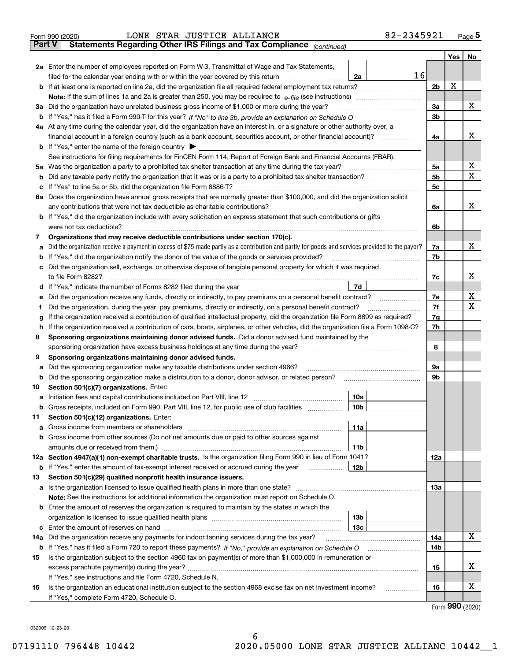|               | 82-2345921<br>LONE STAR JUSTICE ALLIANCE<br>Form 990 (2020)                                                                                                                                                                                |                |     | Page $5$ |  |  |  |  |  |  |
|---------------|--------------------------------------------------------------------------------------------------------------------------------------------------------------------------------------------------------------------------------------------|----------------|-----|----------|--|--|--|--|--|--|
| <b>Part V</b> | Statements Regarding Other IRS Filings and Tax Compliance (continued)                                                                                                                                                                      |                |     |          |  |  |  |  |  |  |
|               |                                                                                                                                                                                                                                            |                | Yes | No       |  |  |  |  |  |  |
|               | 2a Enter the number of employees reported on Form W-3, Transmittal of Wage and Tax Statements,                                                                                                                                             |                |     |          |  |  |  |  |  |  |
|               | 16<br>filed for the calendar year ending with or within the year covered by this return <i>[[[[[[[[[[[[[]]]]</i><br>2a                                                                                                                     |                |     |          |  |  |  |  |  |  |
|               |                                                                                                                                                                                                                                            | 2 <sub>b</sub> | х   |          |  |  |  |  |  |  |
|               |                                                                                                                                                                                                                                            |                |     |          |  |  |  |  |  |  |
| За            | Did the organization have unrelated business gross income of \$1,000 or more during the year?                                                                                                                                              | 3a             |     | х        |  |  |  |  |  |  |
|               | <b>b</b> If "Yes," has it filed a Form 990-T for this year? If "No" to line 3b, provide an explanation on Schedule O                                                                                                                       | 3 <sub>b</sub> |     |          |  |  |  |  |  |  |
|               | 4a At any time during the calendar year, did the organization have an interest in, or a signature or other authority over, a                                                                                                               |                |     |          |  |  |  |  |  |  |
|               |                                                                                                                                                                                                                                            | 4a             |     | х        |  |  |  |  |  |  |
|               | <b>b</b> If "Yes," enter the name of the foreign country $\blacktriangleright$                                                                                                                                                             |                |     |          |  |  |  |  |  |  |
|               | See instructions for filing requirements for FinCEN Form 114, Report of Foreign Bank and Financial Accounts (FBAR).                                                                                                                        |                |     |          |  |  |  |  |  |  |
| 5a            | Was the organization a party to a prohibited tax shelter transaction at any time during the tax year?                                                                                                                                      | 5a             |     | х        |  |  |  |  |  |  |
| b             |                                                                                                                                                                                                                                            | 5b             |     | X        |  |  |  |  |  |  |
| с             | If "Yes" to line 5a or 5b, did the organization file Form 8886-T?                                                                                                                                                                          | 5 <sub>c</sub> |     |          |  |  |  |  |  |  |
| 6а            | Does the organization have annual gross receipts that are normally greater than \$100,000, and did the organization solicit                                                                                                                |                |     |          |  |  |  |  |  |  |
|               | any contributions that were not tax deductible as charitable contributions?                                                                                                                                                                | 6a             |     | x        |  |  |  |  |  |  |
|               | b If "Yes," did the organization include with every solicitation an express statement that such contributions or gifts                                                                                                                     |                |     |          |  |  |  |  |  |  |
|               | were not tax deductible?                                                                                                                                                                                                                   | 6b             |     |          |  |  |  |  |  |  |
| 7             | Organizations that may receive deductible contributions under section 170(c).                                                                                                                                                              |                |     |          |  |  |  |  |  |  |
| а             | Did the organization receive a payment in excess of \$75 made partly as a contribution and partly for goods and services provided to the payor?                                                                                            | 7a             |     | х        |  |  |  |  |  |  |
| b             | If "Yes," did the organization notify the donor of the value of the goods or services provided?                                                                                                                                            | 7b             |     |          |  |  |  |  |  |  |
|               | Did the organization sell, exchange, or otherwise dispose of tangible personal property for which it was required                                                                                                                          |                |     | x        |  |  |  |  |  |  |
|               | to file Form 8282?<br>7d                                                                                                                                                                                                                   | 7c             |     |          |  |  |  |  |  |  |
| d             | If "Yes," indicate the number of Forms 8282 filed during the year                                                                                                                                                                          |                |     | х        |  |  |  |  |  |  |
| е             | Did the organization receive any funds, directly or indirectly, to pay premiums on a personal benefit contract?                                                                                                                            | 7e<br>7f       |     | х        |  |  |  |  |  |  |
| f             | Did the organization, during the year, pay premiums, directly or indirectly, on a personal benefit contract?                                                                                                                               | 7g             |     |          |  |  |  |  |  |  |
| h             | If the organization received a contribution of qualified intellectual property, did the organization file Form 8899 as required?<br>g                                                                                                      |                |     |          |  |  |  |  |  |  |
| 8             | If the organization received a contribution of cars, boats, airplanes, or other vehicles, did the organization file a Form 1098-C?<br>Sponsoring organizations maintaining donor advised funds. Did a donor advised fund maintained by the | 7h             |     |          |  |  |  |  |  |  |
|               | sponsoring organization have excess business holdings at any time during the year?                                                                                                                                                         | 8              |     |          |  |  |  |  |  |  |
| 9             | Sponsoring organizations maintaining donor advised funds.                                                                                                                                                                                  |                |     |          |  |  |  |  |  |  |
| а             | Did the sponsoring organization make any taxable distributions under section 4966?                                                                                                                                                         | 9а             |     |          |  |  |  |  |  |  |
| b             | Did the sponsoring organization make a distribution to a donor, donor advisor, or related person?                                                                                                                                          | 9b             |     |          |  |  |  |  |  |  |
| 10            | Section 501(c)(7) organizations. Enter:                                                                                                                                                                                                    |                |     |          |  |  |  |  |  |  |
| а             | 10a<br>Initiation fees and capital contributions included on Part VIII, line 12                                                                                                                                                            |                |     |          |  |  |  |  |  |  |
|               | 10 <sub>b</sub><br><b>b</b> Gross receipts, included on Form 990, Part VIII, line 12, for public use of club facilities                                                                                                                    |                |     |          |  |  |  |  |  |  |
| 11            | Section 501(c)(12) organizations. Enter:                                                                                                                                                                                                   |                |     |          |  |  |  |  |  |  |
| а             | 11a<br>Gross income from members or shareholders                                                                                                                                                                                           |                |     |          |  |  |  |  |  |  |
| b             | Gross income from other sources (Do not net amounts due or paid to other sources against                                                                                                                                                   |                |     |          |  |  |  |  |  |  |
|               | 11 <sub>b</sub>                                                                                                                                                                                                                            |                |     |          |  |  |  |  |  |  |
|               | 12a Section 4947(a)(1) non-exempt charitable trusts. Is the organization filing Form 990 in lieu of Form 1041?                                                                                                                             | 12a            |     |          |  |  |  |  |  |  |
|               | 12 <sub>b</sub><br><b>b</b> If "Yes," enter the amount of tax-exempt interest received or accrued during the year                                                                                                                          |                |     |          |  |  |  |  |  |  |
| 13            | Section 501(c)(29) qualified nonprofit health insurance issuers.                                                                                                                                                                           |                |     |          |  |  |  |  |  |  |
| a             | Is the organization licensed to issue qualified health plans in more than one state?                                                                                                                                                       | <b>13a</b>     |     |          |  |  |  |  |  |  |
|               | Note: See the instructions for additional information the organization must report on Schedule O.                                                                                                                                          |                |     |          |  |  |  |  |  |  |
| b             | Enter the amount of reserves the organization is required to maintain by the states in which the                                                                                                                                           |                |     |          |  |  |  |  |  |  |
|               | 13 <sub>b</sub>                                                                                                                                                                                                                            |                |     |          |  |  |  |  |  |  |
| с             | 13 <sub>c</sub>                                                                                                                                                                                                                            |                |     |          |  |  |  |  |  |  |
| 14a           | Did the organization receive any payments for indoor tanning services during the tax year?                                                                                                                                                 | 14a            |     | X        |  |  |  |  |  |  |
|               |                                                                                                                                                                                                                                            | 14b            |     |          |  |  |  |  |  |  |
| 15            | Is the organization subject to the section 4960 tax on payment(s) of more than \$1,000,000 in remuneration or                                                                                                                              |                |     |          |  |  |  |  |  |  |
|               |                                                                                                                                                                                                                                            | 15             |     | x        |  |  |  |  |  |  |
|               | If "Yes," see instructions and file Form 4720, Schedule N.                                                                                                                                                                                 |                |     |          |  |  |  |  |  |  |
| 16            | Is the organization an educational institution subject to the section 4968 excise tax on net investment income?<br>.                                                                                                                       | 16             |     | х        |  |  |  |  |  |  |
|               | If "Yes," complete Form 4720, Schedule O.                                                                                                                                                                                                  |                |     |          |  |  |  |  |  |  |

Form (2020) **990**

032005 12-23-20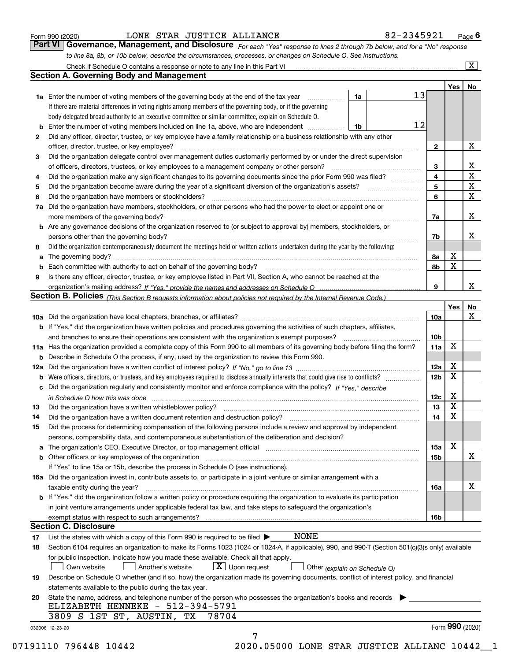|  | Form 990 (2020) |
|--|-----------------|
|  |                 |

### LONE STAR JUSTICE ALLIANCE 82-2345921

*For each "Yes" response to lines 2 through 7b below, and for a "No" response to line 8a, 8b, or 10b below, describe the circumstances, processes, or changes on Schedule O. See instructions.* Form 990 (2020) **12 STAR JUSTICE ALLIANCE**<br>**Part VI Governance, Management, and Disclosure** For each "Yes" response to lines 2 through 7b below, and for a "No" response

|    |                                                                                                                                                                                                                                |                               |    |                         | Yes   No          |                         |  |  |  |
|----|--------------------------------------------------------------------------------------------------------------------------------------------------------------------------------------------------------------------------------|-------------------------------|----|-------------------------|-------------------|-------------------------|--|--|--|
|    | <b>1a</b> Enter the number of voting members of the governing body at the end of the tax year <i>manumum</i>                                                                                                                   | 1a                            | 13 |                         |                   |                         |  |  |  |
|    | If there are material differences in voting rights among members of the governing body, or if the governing                                                                                                                    |                               |    |                         |                   |                         |  |  |  |
|    | body delegated broad authority to an executive committee or similar committee, explain on Schedule O.                                                                                                                          |                               |    |                         |                   |                         |  |  |  |
|    |                                                                                                                                                                                                                                | 1b                            | 12 |                         |                   |                         |  |  |  |
| 2  | Did any officer, director, trustee, or key employee have a family relationship or a business relationship with any other                                                                                                       |                               |    |                         |                   |                         |  |  |  |
|    | officer, director, trustee, or key employee?                                                                                                                                                                                   |                               |    | $\mathbf{2}$            |                   | х                       |  |  |  |
| з  | Did the organization delegate control over management duties customarily performed by or under the direct supervision                                                                                                          |                               |    |                         |                   |                         |  |  |  |
|    |                                                                                                                                                                                                                                |                               |    | 3                       |                   | $\mathbf{X}$            |  |  |  |
| 4  | Did the organization make any significant changes to its governing documents since the prior Form 990 was filed?                                                                                                               |                               |    | $\overline{\mathbf{4}}$ |                   | $\overline{\texttt{x}}$ |  |  |  |
| 5  |                                                                                                                                                                                                                                |                               |    | 5                       |                   | $\overline{\mathbf{X}}$ |  |  |  |
| 6  | Did the organization have members or stockholders?                                                                                                                                                                             |                               |    | 6                       |                   | $\overline{\mathbf{x}}$ |  |  |  |
|    | 7a Did the organization have members, stockholders, or other persons who had the power to elect or appoint one or                                                                                                              |                               |    |                         |                   |                         |  |  |  |
|    | more members of the governing body?                                                                                                                                                                                            |                               |    | 7a                      |                   | x                       |  |  |  |
|    | <b>b</b> Are any governance decisions of the organization reserved to (or subject to approval by) members, stockholders, or                                                                                                    |                               |    |                         |                   |                         |  |  |  |
|    | persons other than the governing body?                                                                                                                                                                                         |                               |    | 7b                      |                   | х                       |  |  |  |
| 8  | Did the organization contemporaneously document the meetings held or written actions undertaken during the year by the following:                                                                                              |                               |    |                         |                   |                         |  |  |  |
| a  |                                                                                                                                                                                                                                |                               |    | 8а                      | X                 |                         |  |  |  |
|    |                                                                                                                                                                                                                                |                               |    | 8b                      | X                 |                         |  |  |  |
| 9  | Is there any officer, director, trustee, or key employee listed in Part VII, Section A, who cannot be reached at the                                                                                                           |                               |    |                         |                   |                         |  |  |  |
|    |                                                                                                                                                                                                                                |                               |    | 9                       |                   | x                       |  |  |  |
|    | Section B. Policies (This Section B requests information about policies not required by the Internal Revenue Code.)                                                                                                            |                               |    |                         |                   |                         |  |  |  |
|    |                                                                                                                                                                                                                                |                               |    |                         | Yes               | No                      |  |  |  |
|    |                                                                                                                                                                                                                                |                               |    | 10a                     |                   | $\mathbf X$             |  |  |  |
|    | <b>b</b> If "Yes," did the organization have written policies and procedures governing the activities of such chapters, affiliates,                                                                                            |                               |    |                         |                   |                         |  |  |  |
|    |                                                                                                                                                                                                                                |                               |    |                         |                   |                         |  |  |  |
|    | 11a Has the organization provided a complete copy of this Form 990 to all members of its governing body before filing the form?                                                                                                |                               |    | 10 <sub>b</sub><br>11a  | x                 |                         |  |  |  |
|    | <b>b</b> Describe in Schedule O the process, if any, used by the organization to review this Form 990.                                                                                                                         |                               |    |                         |                   |                         |  |  |  |
|    |                                                                                                                                                                                                                                |                               |    | 12a                     | Х                 |                         |  |  |  |
|    |                                                                                                                                                                                                                                |                               |    | 12 <sub>b</sub>         | X                 |                         |  |  |  |
|    | c Did the organization regularly and consistently monitor and enforce compliance with the policy? If "Yes," describe                                                                                                           |                               |    |                         |                   |                         |  |  |  |
|    |                                                                                                                                                                                                                                |                               |    | 12c                     | X                 |                         |  |  |  |
| 13 | in Schedule O how this was done encourance and the control of the control of the control of the control of the                                                                                                                 |                               |    | 13                      | X                 |                         |  |  |  |
|    | Did the organization have a written document retention and destruction policy? manufactured and the organization have a written document retention and destruction policy?                                                     |                               |    | 14                      | X                 |                         |  |  |  |
| 14 |                                                                                                                                                                                                                                |                               |    |                         |                   |                         |  |  |  |
| 15 | Did the process for determining compensation of the following persons include a review and approval by independent                                                                                                             |                               |    |                         |                   |                         |  |  |  |
|    | persons, comparability data, and contemporaneous substantiation of the deliberation and decision?                                                                                                                              |                               |    |                         | х                 |                         |  |  |  |
|    | a The organization's CEO, Executive Director, or top management official [11] [12] The organization's CEO, Executive Director, or top management official [12] [12] [12] [12] The organization's CEO, Executive Director, or t |                               |    | 15a                     |                   | X                       |  |  |  |
|    | b Other officers or key employees of the organization manufactured content to the organization manufactured by Other officers or key employees of the organization manufactured content of the organization manufactured by Ot |                               |    | 15b                     |                   |                         |  |  |  |
|    | If "Yes" to line 15a or 15b, describe the process in Schedule O (see instructions).                                                                                                                                            |                               |    |                         |                   |                         |  |  |  |
|    | 16a Did the organization invest in, contribute assets to, or participate in a joint venture or similar arrangement with a                                                                                                      |                               |    |                         |                   |                         |  |  |  |
|    | taxable entity during the year?                                                                                                                                                                                                |                               |    | 16a                     |                   | х                       |  |  |  |
|    | <b>b</b> If "Yes," did the organization follow a written policy or procedure requiring the organization to evaluate its participation                                                                                          |                               |    |                         |                   |                         |  |  |  |
|    | in joint venture arrangements under applicable federal tax law, and take steps to safeguard the organization's                                                                                                                 |                               |    |                         |                   |                         |  |  |  |
|    |                                                                                                                                                                                                                                |                               |    | 16b                     |                   |                         |  |  |  |
|    | <b>Section C. Disclosure</b>                                                                                                                                                                                                   |                               |    |                         |                   |                         |  |  |  |
| 17 | <b>NONE</b><br>List the states with which a copy of this Form 990 is required to be filed $\blacktriangleright$                                                                                                                |                               |    |                         |                   |                         |  |  |  |
| 18 | Section 6104 requires an organization to make its Forms 1023 (1024 or 1024-A, if applicable), 990, and 990-T (Section 501(c)(3)s only) available                                                                               |                               |    |                         |                   |                         |  |  |  |
|    | for public inspection. Indicate how you made these available. Check all that apply.                                                                                                                                            |                               |    |                         |                   |                         |  |  |  |
|    | $X$ Upon request<br>Another's website<br>Own website                                                                                                                                                                           | Other (explain on Schedule O) |    |                         |                   |                         |  |  |  |
| 19 | Describe on Schedule O whether (and if so, how) the organization made its governing documents, conflict of interest policy, and financial                                                                                      |                               |    |                         |                   |                         |  |  |  |
|    | statements available to the public during the tax year.                                                                                                                                                                        |                               |    |                         |                   |                         |  |  |  |
| 20 | State the name, address, and telephone number of the person who possesses the organization's books and records                                                                                                                 |                               |    |                         |                   |                         |  |  |  |
|    | ELIZABETH HENNEKE - 512-394-5791                                                                                                                                                                                               |                               |    |                         |                   |                         |  |  |  |
|    | 78704<br>3809 S 1ST ST, AUSTIN,<br>TХ                                                                                                                                                                                          |                               |    |                         |                   |                         |  |  |  |
|    | 032006 12-23-20                                                                                                                                                                                                                |                               |    |                         | Form $990$ (2020) |                         |  |  |  |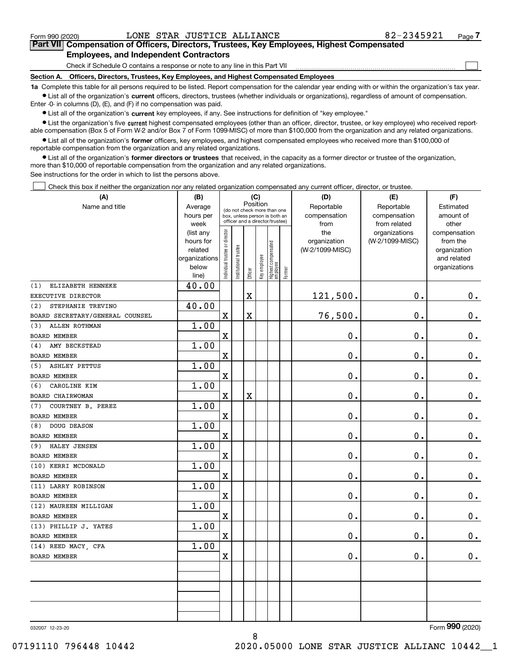$\mathcal{L}^{\text{max}}$ 

# **7Part VII Compensation of Officers, Directors, Trustees, Key Employees, Highest Compensated Employees, and Independent Contractors**

Check if Schedule O contains a response or note to any line in this Part VII

**Section A. Officers, Directors, Trustees, Key Employees, and Highest Compensated Employees**

**1a**  Complete this table for all persons required to be listed. Report compensation for the calendar year ending with or within the organization's tax year. **•** List all of the organization's current officers, directors, trustees (whether individuals or organizations), regardless of amount of compensation.

Enter -0- in columns (D), (E), and (F) if no compensation was paid.

 $\bullet$  List all of the organization's  $\,$ current key employees, if any. See instructions for definition of "key employee."

**•** List the organization's five current highest compensated employees (other than an officer, director, trustee, or key employee) who received reportable compensation (Box 5 of Form W-2 and/or Box 7 of Form 1099-MISC) of more than \$100,000 from the organization and any related organizations.

**•** List all of the organization's former officers, key employees, and highest compensated employees who received more than \$100,000 of reportable compensation from the organization and any related organizations.

**former directors or trustees**  ¥ List all of the organization's that received, in the capacity as a former director or trustee of the organization, more than \$10,000 of reportable compensation from the organization and any related organizations.

See instructions for the order in which to list the persons above.

Check this box if neither the organization nor any related organization compensated any current officer, director, or trustee.  $\mathcal{L}^{\text{max}}$ 

| (A)                             | (B)                    | (C)                           |                       |                         |              |                                                                  |        | (D)                 | (E)                              | (F)                      |
|---------------------------------|------------------------|-------------------------------|-----------------------|-------------------------|--------------|------------------------------------------------------------------|--------|---------------------|----------------------------------|--------------------------|
| Name and title                  | Average                |                               |                       | Position                |              | (do not check more than one                                      |        | Reportable          | Reportable                       | Estimated                |
|                                 | hours per              |                               |                       |                         |              | box, unless person is both an<br>officer and a director/trustee) |        | compensation        | compensation                     | amount of                |
|                                 | week                   |                               |                       |                         |              |                                                                  |        | from                | from related                     | other                    |
|                                 | (list any<br>hours for |                               |                       |                         |              |                                                                  |        | the<br>organization | organizations<br>(W-2/1099-MISC) | compensation<br>from the |
|                                 | related                |                               |                       |                         |              |                                                                  |        | (W-2/1099-MISC)     |                                  | organization             |
|                                 | organizations          |                               |                       |                         |              |                                                                  |        |                     |                                  | and related              |
|                                 | below                  | ndividual trustee or director | Institutional trustee |                         | Key employee |                                                                  |        |                     |                                  | organizations            |
|                                 | line)                  |                               |                       | Officer                 |              | Highest compensated<br> employee                                 | Former |                     |                                  |                          |
| (1)<br>ELIZABETH HENNEKE        | 40.00                  |                               |                       |                         |              |                                                                  |        |                     |                                  |                          |
| EXECUTIVE DIRECTOR              |                        |                               |                       | $\overline{\text{X}}$   |              |                                                                  |        | 121,500.            | $\mathbf 0$ .                    | 0.                       |
| STEPHANIE TREVINO<br>(2)        | 40.00                  |                               |                       |                         |              |                                                                  |        |                     |                                  |                          |
| BOARD SECRETARY/GENERAL COUNSEL |                        | $\mathbf X$                   |                       | X                       |              |                                                                  |        | 76,500.             | $\mathbf 0$ .                    | $\mathbf 0$ .            |
| ALLEN ROTHMAN<br>(3)            | 1.00                   |                               |                       |                         |              |                                                                  |        |                     |                                  |                          |
| BOARD MEMBER                    |                        | $\mathbf X$                   |                       |                         |              |                                                                  |        | 0.                  | $\mathbf 0$ .                    | 0.                       |
| AMY BECKSTEAD<br>(4)            | 1.00                   |                               |                       |                         |              |                                                                  |        |                     |                                  |                          |
| <b>BOARD MEMBER</b>             |                        | $\rm X$                       |                       |                         |              |                                                                  |        | 0.                  | $\mathbf 0$ .                    | $0_{.}$                  |
| <b>ASHLEY PETTUS</b><br>(5)     | 1.00                   |                               |                       |                         |              |                                                                  |        |                     |                                  |                          |
| <b>BOARD MEMBER</b>             |                        | $\mathbf X$                   |                       |                         |              |                                                                  |        | 0.                  | $\mathbf 0$ .                    | $0_{.}$                  |
| CAROLINE KIM<br>(6)             | 1.00                   |                               |                       |                         |              |                                                                  |        |                     |                                  |                          |
| BOARD CHAIRWOMAN                |                        | $\mathbf X$                   |                       | $\overline{\textbf{X}}$ |              |                                                                  |        | 0.                  | $\mathbf 0$ .                    | $\mathbf 0$ .            |
| COURTNEY B. PEREZ<br>(7)        | 1.00                   |                               |                       |                         |              |                                                                  |        |                     |                                  |                          |
| <b>BOARD MEMBER</b>             |                        | $\mathbf X$                   |                       |                         |              |                                                                  |        | 0.                  | $\mathbf 0$ .                    | $\mathbf 0$ .            |
| DOUG DEASON<br>(8)              | 1.00                   |                               |                       |                         |              |                                                                  |        |                     |                                  |                          |
| <b>BOARD MEMBER</b>             |                        | $\mathbf X$                   |                       |                         |              |                                                                  |        | 0.                  | 0.                               | $\mathbf 0$ .            |
| HALEY JENSEN<br>(9)             | 1.00                   |                               |                       |                         |              |                                                                  |        |                     |                                  |                          |
| <b>BOARD MEMBER</b>             |                        | $\mathbf X$                   |                       |                         |              |                                                                  |        | 0.                  | $\mathbf 0$ .                    | $\mathbf 0$ .            |
| (10) KERRI MCDONALD             | 1.00                   |                               |                       |                         |              |                                                                  |        |                     |                                  |                          |
| BOARD MEMBER                    |                        | $\mathbf X$                   |                       |                         |              |                                                                  |        | 0.                  | 0.                               | $\mathbf 0$ .            |
| (11) LARRY ROBINSON             | 1.00                   |                               |                       |                         |              |                                                                  |        |                     |                                  |                          |
| <b>BOARD MEMBER</b>             |                        | $\mathbf X$                   |                       |                         |              |                                                                  |        | 0.                  | $\mathbf 0$ .                    | $\mathbf 0$ .            |
| (12) MAUREEN MILLIGAN           | 1.00                   |                               |                       |                         |              |                                                                  |        |                     |                                  |                          |
| <b>BOARD MEMBER</b>             |                        | X                             |                       |                         |              |                                                                  |        | 0.                  | 0.                               | $0_{.}$                  |
| (13) PHILLIP J. YATES           | 1.00                   |                               |                       |                         |              |                                                                  |        |                     |                                  |                          |
| <b>BOARD MEMBER</b>             |                        | $\mathbf X$                   |                       |                         |              |                                                                  |        | 0.                  | $\mathbf 0$ .                    | $0$ .                    |
| (14) REED MACY, CFA             | 1.00                   |                               |                       |                         |              |                                                                  |        |                     |                                  |                          |
| <b>BOARD MEMBER</b>             |                        | X                             |                       |                         |              |                                                                  |        | 0.                  | 0.                               | $\mathbf 0$ .            |
|                                 |                        |                               |                       |                         |              |                                                                  |        |                     |                                  |                          |
|                                 |                        |                               |                       |                         |              |                                                                  |        |                     |                                  |                          |
|                                 |                        |                               |                       |                         |              |                                                                  |        |                     |                                  |                          |
|                                 |                        |                               |                       |                         |              |                                                                  |        |                     |                                  |                          |
|                                 |                        |                               |                       |                         |              |                                                                  |        |                     |                                  |                          |
|                                 |                        |                               |                       |                         |              |                                                                  |        |                     |                                  |                          |

8

032007 12-23-20

Form (2020) **990**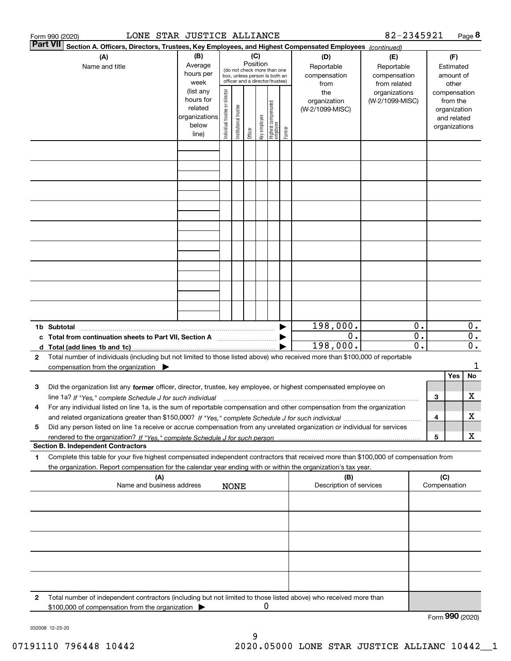|   | LONE STAR JUSTICE ALLIANCE<br>Form 990 (2020)                                                                                                                                                                                                                               |                                                                                                      |                                                                                                                                                                                       |             |                                             |   |                                                                              |                                                                                |                                | 82-2345921 |                                                                                                             |     |                 | Page 8                                        |
|---|-----------------------------------------------------------------------------------------------------------------------------------------------------------------------------------------------------------------------------------------------------------------------------|------------------------------------------------------------------------------------------------------|---------------------------------------------------------------------------------------------------------------------------------------------------------------------------------------|-------------|---------------------------------------------|---|------------------------------------------------------------------------------|--------------------------------------------------------------------------------|--------------------------------|------------|-------------------------------------------------------------------------------------------------------------|-----|-----------------|-----------------------------------------------|
|   | <b>Part VII</b><br>Section A. Officers, Directors, Trustees, Key Employees, and Highest Compensated Employees (continued)<br>(A)                                                                                                                                            | (C)<br>Position                                                                                      |                                                                                                                                                                                       |             |                                             |   |                                                                              | (D)                                                                            | (E)                            |            |                                                                                                             | (F) |                 |                                               |
|   | Name and title                                                                                                                                                                                                                                                              | Average<br>hours per<br>week<br>(list any<br>hours for<br>related<br>organizations<br>below<br>line) | (do not check more than one<br>box, unless person is both an<br>officer and a director/trustee)<br>Individual trustee or director<br>Institutional trustee<br>key employee<br>Officer |             | Highest compensated<br>  employee<br>Former |   | Reportable<br>compensation<br>from<br>the<br>organization<br>(W-2/1099-MISC) | Reportable<br>compensation<br>from related<br>organizations<br>(W-2/1099-MISC) |                                |            | Estimated<br>amount of<br>other<br>compensation<br>from the<br>organization<br>and related<br>organizations |     |                 |                                               |
|   |                                                                                                                                                                                                                                                                             |                                                                                                      |                                                                                                                                                                                       |             |                                             |   |                                                                              |                                                                                |                                |            |                                                                                                             |     |                 |                                               |
|   |                                                                                                                                                                                                                                                                             |                                                                                                      |                                                                                                                                                                                       |             |                                             |   |                                                                              |                                                                                |                                |            |                                                                                                             |     |                 |                                               |
|   |                                                                                                                                                                                                                                                                             |                                                                                                      |                                                                                                                                                                                       |             |                                             |   |                                                                              |                                                                                |                                |            |                                                                                                             |     |                 |                                               |
|   |                                                                                                                                                                                                                                                                             |                                                                                                      |                                                                                                                                                                                       |             |                                             |   |                                                                              |                                                                                |                                |            |                                                                                                             |     |                 |                                               |
|   |                                                                                                                                                                                                                                                                             |                                                                                                      |                                                                                                                                                                                       |             |                                             |   |                                                                              |                                                                                |                                |            |                                                                                                             |     |                 |                                               |
|   |                                                                                                                                                                                                                                                                             |                                                                                                      |                                                                                                                                                                                       |             |                                             |   |                                                                              |                                                                                |                                |            |                                                                                                             |     |                 |                                               |
|   |                                                                                                                                                                                                                                                                             |                                                                                                      |                                                                                                                                                                                       |             |                                             |   |                                                                              |                                                                                |                                |            |                                                                                                             |     |                 |                                               |
|   |                                                                                                                                                                                                                                                                             |                                                                                                      |                                                                                                                                                                                       |             |                                             |   |                                                                              |                                                                                |                                |            |                                                                                                             |     |                 |                                               |
|   | 1b Subtotal                                                                                                                                                                                                                                                                 |                                                                                                      |                                                                                                                                                                                       |             |                                             |   |                                                                              |                                                                                | 198,000.                       |            | 0.                                                                                                          |     |                 | $0$ .                                         |
|   | c Total from continuation sheets to Part VII, Section A                                                                                                                                                                                                                     |                                                                                                      |                                                                                                                                                                                       |             |                                             |   |                                                                              |                                                                                | $\overline{0}$ .<br>198,000.   |            | $\overline{0}$ .<br>$\overline{\mathfrak{0}}$ .                                                             |     |                 | $\overline{0}$ .<br>$\overline{\mathbf{0}}$ . |
| 2 | Total number of individuals (including but not limited to those listed above) who received more than \$100,000 of reportable<br>compensation from the organization $\blacktriangleright$                                                                                    |                                                                                                      |                                                                                                                                                                                       |             |                                             |   |                                                                              |                                                                                |                                |            |                                                                                                             |     |                 | 1                                             |
| з | Did the organization list any former officer, director, trustee, key employee, or highest compensated employee on                                                                                                                                                           |                                                                                                      |                                                                                                                                                                                       |             |                                             |   |                                                                              |                                                                                |                                |            |                                                                                                             |     | Yes             | No                                            |
| 4 | line 1a? If "Yes," complete Schedule J for such individual manufactured contained and the 1a? If "Yes," complete Schedule J for such individual<br>For any individual listed on line 1a, is the sum of reportable compensation and other compensation from the organization |                                                                                                      |                                                                                                                                                                                       |             |                                             |   |                                                                              |                                                                                |                                |            |                                                                                                             | 3   |                 | х                                             |
| 5 | Did any person listed on line 1a receive or accrue compensation from any unrelated organization or individual for services                                                                                                                                                  |                                                                                                      |                                                                                                                                                                                       |             |                                             |   |                                                                              |                                                                                |                                |            |                                                                                                             | 4   |                 | х                                             |
|   | <b>Section B. Independent Contractors</b>                                                                                                                                                                                                                                   |                                                                                                      |                                                                                                                                                                                       |             |                                             |   |                                                                              |                                                                                |                                |            |                                                                                                             | 5   |                 | X                                             |
| 1 | Complete this table for your five highest compensated independent contractors that received more than \$100,000 of compensation from<br>the organization. Report compensation for the calendar year ending with or within the organization's tax year.                      |                                                                                                      |                                                                                                                                                                                       |             |                                             |   |                                                                              |                                                                                |                                |            |                                                                                                             |     |                 |                                               |
|   | (A)<br>Name and business address                                                                                                                                                                                                                                            |                                                                                                      |                                                                                                                                                                                       | <b>NONE</b> |                                             |   |                                                                              |                                                                                | (B)<br>Description of services |            |                                                                                                             | (C) | Compensation    |                                               |
|   |                                                                                                                                                                                                                                                                             |                                                                                                      |                                                                                                                                                                                       |             |                                             |   |                                                                              |                                                                                |                                |            |                                                                                                             |     |                 |                                               |
|   |                                                                                                                                                                                                                                                                             |                                                                                                      |                                                                                                                                                                                       |             |                                             |   |                                                                              |                                                                                |                                |            |                                                                                                             |     |                 |                                               |
|   |                                                                                                                                                                                                                                                                             |                                                                                                      |                                                                                                                                                                                       |             |                                             |   |                                                                              |                                                                                |                                |            |                                                                                                             |     |                 |                                               |
|   |                                                                                                                                                                                                                                                                             |                                                                                                      |                                                                                                                                                                                       |             |                                             |   |                                                                              |                                                                                |                                |            |                                                                                                             |     |                 |                                               |
| 2 | Total number of independent contractors (including but not limited to those listed above) who received more than                                                                                                                                                            |                                                                                                      |                                                                                                                                                                                       |             |                                             |   |                                                                              |                                                                                |                                |            |                                                                                                             |     |                 |                                               |
|   | \$100,000 of compensation from the organization                                                                                                                                                                                                                             |                                                                                                      |                                                                                                                                                                                       |             |                                             | 0 |                                                                              |                                                                                |                                |            |                                                                                                             |     | Form 990 (2020) |                                               |

032008 12-23-20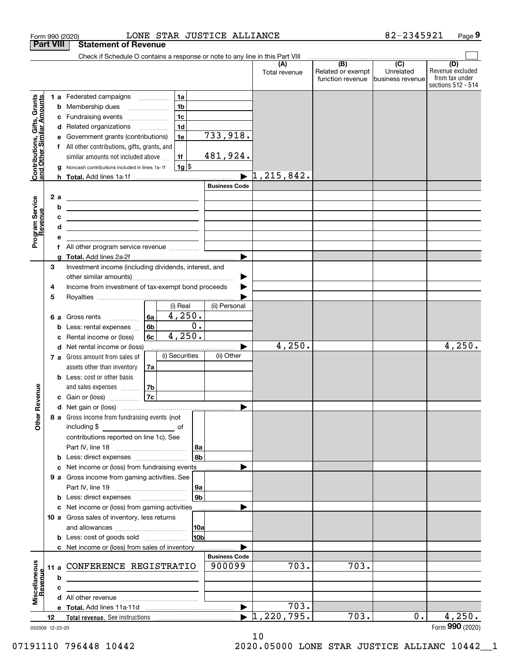|                                                           |      |         | LONE STAR JUSTICE ALLIANCE<br>Form 990 (2020)                                                                                                                                                                                                 |                      |                                  |                                              | 82-2345921                                         | Page 9                                                          |
|-----------------------------------------------------------|------|---------|-----------------------------------------------------------------------------------------------------------------------------------------------------------------------------------------------------------------------------------------------|----------------------|----------------------------------|----------------------------------------------|----------------------------------------------------|-----------------------------------------------------------------|
| <b>Part VIII</b>                                          |      |         | <b>Statement of Revenue</b>                                                                                                                                                                                                                   |                      |                                  |                                              |                                                    |                                                                 |
|                                                           |      |         | Check if Schedule O contains a response or note to any line in this Part VIII                                                                                                                                                                 |                      |                                  |                                              |                                                    |                                                                 |
|                                                           |      |         |                                                                                                                                                                                                                                               |                      | (A)<br>Total revenue             | (B)<br>Related or exempt<br>function revenue | $\overline{(C)}$<br>Unrelated<br>Ibusiness revenue | (D)<br>Revenue excluded<br>from tax under<br>sections 512 - 514 |
|                                                           |      |         | 1a<br>1 a Federated campaigns                                                                                                                                                                                                                 |                      |                                  |                                              |                                                    |                                                                 |
| Contributions, Gifts, Grants<br>and Other Similar Amounts |      |         | 1 <sub>b</sub><br><b>b</b> Membership dues <i></i>                                                                                                                                                                                            |                      |                                  |                                              |                                                    |                                                                 |
|                                                           |      |         | 1 <sub>c</sub><br>c Fundraising events                                                                                                                                                                                                        |                      |                                  |                                              |                                                    |                                                                 |
|                                                           |      |         | 1 <sub>d</sub><br>d Related organizations                                                                                                                                                                                                     |                      |                                  |                                              |                                                    |                                                                 |
|                                                           |      |         | e Government grants (contributions)<br>1e                                                                                                                                                                                                     | 733,918.             |                                  |                                              |                                                    |                                                                 |
|                                                           |      |         | f All other contributions, gifts, grants, and                                                                                                                                                                                                 |                      |                                  |                                              |                                                    |                                                                 |
|                                                           |      |         | similar amounts not included above<br>1f                                                                                                                                                                                                      | 481,924.             |                                  |                                              |                                                    |                                                                 |
|                                                           |      | g       | $1g$ \$<br>Noncash contributions included in lines 1a-1f                                                                                                                                                                                      |                      |                                  |                                              |                                                    |                                                                 |
|                                                           |      |         |                                                                                                                                                                                                                                               | <b>Business Code</b> | 1, 215, 842.                     |                                              |                                                    |                                                                 |
|                                                           |      |         |                                                                                                                                                                                                                                               |                      |                                  |                                              |                                                    |                                                                 |
| Program Service<br>Revenue                                |      | 2a<br>b | the control of the control of the control of the control of the control of the control of                                                                                                                                                     |                      |                                  |                                              |                                                    |                                                                 |
|                                                           |      | c       | <u> 1989 - Johann Harry Harry Harry Harry Harry Harry Harry Harry Harry Harry Harry Harry Harry Harry Harry Harry</u><br><u> 1989 - Johann Stein, mars an deutscher Stein und der Stein und der Stein und der Stein und der Stein und der</u> |                      |                                  |                                              |                                                    |                                                                 |
|                                                           |      | d       | the control of the control of the control of the control of the control of the control of                                                                                                                                                     |                      |                                  |                                              |                                                    |                                                                 |
|                                                           |      | е       |                                                                                                                                                                                                                                               |                      |                                  |                                              |                                                    |                                                                 |
|                                                           |      |         | All other program service revenue                                                                                                                                                                                                             |                      |                                  |                                              |                                                    |                                                                 |
|                                                           |      | a       |                                                                                                                                                                                                                                               |                      |                                  |                                              |                                                    |                                                                 |
|                                                           | 3    |         | Investment income (including dividends, interest, and                                                                                                                                                                                         |                      |                                  |                                              |                                                    |                                                                 |
|                                                           |      |         |                                                                                                                                                                                                                                               |                      |                                  |                                              |                                                    |                                                                 |
|                                                           | 4    |         | Income from investment of tax-exempt bond proceeds                                                                                                                                                                                            |                      |                                  |                                              |                                                    |                                                                 |
|                                                           | 5    |         |                                                                                                                                                                                                                                               |                      |                                  |                                              |                                                    |                                                                 |
|                                                           |      |         | (i) Real                                                                                                                                                                                                                                      | (ii) Personal        |                                  |                                              |                                                    |                                                                 |
|                                                           |      |         | 4,250.<br>6a<br>6 a Gross rents                                                                                                                                                                                                               |                      |                                  |                                              |                                                    |                                                                 |
|                                                           |      |         | 6 <sub>b</sub><br><b>b</b> Less: rental expenses $\ldots$                                                                                                                                                                                     | $\overline{0}$ .     |                                  |                                              |                                                    |                                                                 |
|                                                           |      | c       | 4,250.<br>6c<br>Rental income or (loss)                                                                                                                                                                                                       |                      |                                  |                                              |                                                    |                                                                 |
|                                                           |      |         | d Net rental income or (loss)<br>(i) Securities                                                                                                                                                                                               | (ii) Other           | 4,250.                           |                                              |                                                    | 4,250.                                                          |
|                                                           |      |         | 7 a Gross amount from sales of                                                                                                                                                                                                                |                      |                                  |                                              |                                                    |                                                                 |
|                                                           |      |         | assets other than inventory<br>7a<br><b>b</b> Less: cost or other basis                                                                                                                                                                       |                      |                                  |                                              |                                                    |                                                                 |
|                                                           |      |         | and sales expenses<br>7b                                                                                                                                                                                                                      |                      |                                  |                                              |                                                    |                                                                 |
| venue                                                     |      |         | 7c<br><b>c</b> Gain or (loss) $\ldots$                                                                                                                                                                                                        |                      |                                  |                                              |                                                    |                                                                 |
|                                                           |      |         |                                                                                                                                                                                                                                               |                      |                                  |                                              |                                                    |                                                                 |
| Other R                                                   |      |         | 8 a Gross income from fundraising events (not                                                                                                                                                                                                 |                      |                                  |                                              |                                                    |                                                                 |
|                                                           |      |         | including \$                                                                                                                                                                                                                                  |                      |                                  |                                              |                                                    |                                                                 |
|                                                           |      |         | contributions reported on line 1c). See                                                                                                                                                                                                       |                      |                                  |                                              |                                                    |                                                                 |
|                                                           |      |         |                                                                                                                                                                                                                                               | 8a                   |                                  |                                              |                                                    |                                                                 |
|                                                           |      | b       |                                                                                                                                                                                                                                               | 8b                   |                                  |                                              |                                                    |                                                                 |
|                                                           |      |         | c Net income or (loss) from fundraising events                                                                                                                                                                                                |                      |                                  |                                              |                                                    |                                                                 |
|                                                           |      |         | 9 a Gross income from gaming activities. See                                                                                                                                                                                                  |                      |                                  |                                              |                                                    |                                                                 |
|                                                           |      |         |                                                                                                                                                                                                                                               | 9a                   |                                  |                                              |                                                    |                                                                 |
|                                                           |      |         | <b>b</b> Less: direct expenses <b>manually</b>                                                                                                                                                                                                | 9b                   |                                  |                                              |                                                    |                                                                 |
|                                                           |      |         | c Net income or (loss) from gaming activities                                                                                                                                                                                                 |                      |                                  |                                              |                                                    |                                                                 |
|                                                           |      |         | 10 a Gross sales of inventory, less returns                                                                                                                                                                                                   |                      |                                  |                                              |                                                    |                                                                 |
|                                                           |      |         |                                                                                                                                                                                                                                               | 10a<br>10bl          |                                  |                                              |                                                    |                                                                 |
|                                                           |      |         |                                                                                                                                                                                                                                               |                      |                                  |                                              |                                                    |                                                                 |
|                                                           |      |         | c Net income or (loss) from sales of inventory                                                                                                                                                                                                | <b>Business Code</b> |                                  |                                              |                                                    |                                                                 |
|                                                           | 11 a |         | CONFERENCE REGISTRATIO                                                                                                                                                                                                                        | 900099               | $\overline{7}03.$                | 703.                                         |                                                    |                                                                 |
|                                                           |      | b       |                                                                                                                                                                                                                                               |                      |                                  |                                              |                                                    |                                                                 |
|                                                           |      | c       |                                                                                                                                                                                                                                               |                      |                                  |                                              |                                                    |                                                                 |
| Miscellaneous<br>Revenue                                  |      |         |                                                                                                                                                                                                                                               |                      |                                  |                                              |                                                    |                                                                 |
|                                                           |      |         |                                                                                                                                                                                                                                               | ▶                    | 703.                             |                                              |                                                    |                                                                 |
|                                                           | 12   |         |                                                                                                                                                                                                                                               |                      | $\blacktriangleright$ 1,220,795. | 703.                                         | $0$ .                                              | 4,250.                                                          |
| 032009 12-23-20                                           |      |         |                                                                                                                                                                                                                                               |                      |                                  |                                              |                                                    | Form 990 (2020)                                                 |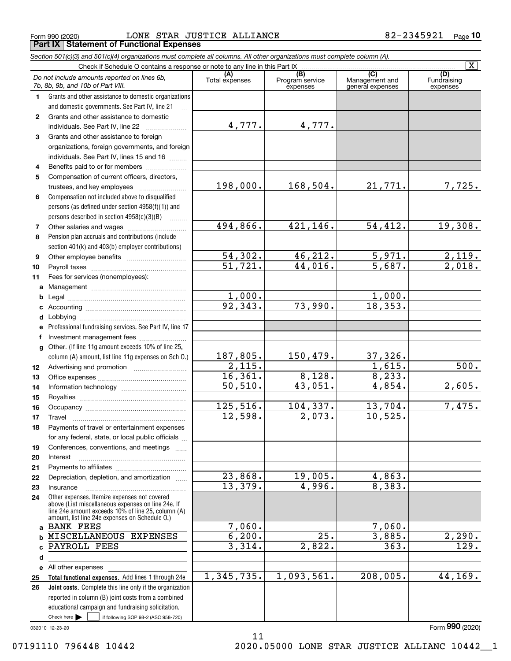$_{\rm Form}$   $_{990}$  (2020)  $_{\rm DoNE}$   $_{\rm SOER}$  JUSTICE ALLIANCE  $_{\rm 82-2345921}$   $_{\rm Page}$ **Part IX Statement of Functional Expenses**

|              | Section 501(c)(3) and 501(c)(4) organizations must complete all columns. All other organizations must complete column (A).                                                                                 |                       |                                    |                                                      |                                |
|--------------|------------------------------------------------------------------------------------------------------------------------------------------------------------------------------------------------------------|-----------------------|------------------------------------|------------------------------------------------------|--------------------------------|
|              | Check if Schedule O contains a response or note to any line in this Part IX                                                                                                                                |                       |                                    |                                                      | $\overline{\mathtt{x}}$        |
|              | Do not include amounts reported on lines 6b,<br>7b, 8b, 9b, and 10b of Part VIII.                                                                                                                          | (A)<br>Total expenses | (B)<br>Program service<br>expenses | $\overline{C}$<br>Management and<br>general expenses | (D)<br>Fundraising<br>expenses |
| 1.           | Grants and other assistance to domestic organizations                                                                                                                                                      |                       |                                    |                                                      |                                |
|              | and domestic governments. See Part IV, line 21                                                                                                                                                             |                       |                                    |                                                      |                                |
| $\mathbf{2}$ | Grants and other assistance to domestic                                                                                                                                                                    |                       |                                    |                                                      |                                |
|              | individuals. See Part IV, line 22                                                                                                                                                                          | 4,777.                | 4,777.                             |                                                      |                                |
| 3            | Grants and other assistance to foreign                                                                                                                                                                     |                       |                                    |                                                      |                                |
|              | organizations, foreign governments, and foreign                                                                                                                                                            |                       |                                    |                                                      |                                |
|              | individuals. See Part IV, lines 15 and 16                                                                                                                                                                  |                       |                                    |                                                      |                                |
| 4            | Benefits paid to or for members                                                                                                                                                                            |                       |                                    |                                                      |                                |
| 5            | Compensation of current officers, directors,                                                                                                                                                               |                       |                                    |                                                      |                                |
|              |                                                                                                                                                                                                            | 198,000.              | 168,504.                           | 21,771.                                              | 7,725.                         |
| 6            | Compensation not included above to disqualified                                                                                                                                                            |                       |                                    |                                                      |                                |
|              | persons (as defined under section 4958(f)(1)) and                                                                                                                                                          |                       |                                    |                                                      |                                |
|              | persons described in section 4958(c)(3)(B)                                                                                                                                                                 |                       |                                    |                                                      |                                |
| 7            |                                                                                                                                                                                                            | 494,866.              | 421,146.                           | 54,412.                                              | 19,308.                        |
| 8            | Pension plan accruals and contributions (include                                                                                                                                                           |                       |                                    |                                                      |                                |
|              | section 401(k) and 403(b) employer contributions)                                                                                                                                                          |                       |                                    |                                                      |                                |
| 9            |                                                                                                                                                                                                            | 54,302.               | 46,212.                            | 5,971.                                               | $\frac{2,119.}{2,018.}$        |
| 10           |                                                                                                                                                                                                            | 51,721.               | 44,016.                            | $\overline{5,687}$ .                                 |                                |
| 11           | Fees for services (nonemployees):                                                                                                                                                                          |                       |                                    |                                                      |                                |
|              |                                                                                                                                                                                                            |                       |                                    |                                                      |                                |
| b            |                                                                                                                                                                                                            | 1,000.                |                                    | 1,000.                                               |                                |
| c            |                                                                                                                                                                                                            | 92,343.               | 73,990.                            | 18,353.                                              |                                |
| d            |                                                                                                                                                                                                            |                       |                                    |                                                      |                                |
| е            | Professional fundraising services. See Part IV, line 17                                                                                                                                                    |                       |                                    |                                                      |                                |
| f            | Investment management fees                                                                                                                                                                                 |                       |                                    |                                                      |                                |
|              | g Other. (If line 11g amount exceeds 10% of line 25,                                                                                                                                                       |                       |                                    |                                                      |                                |
|              | column (A) amount, list line 11g expenses on Sch 0.)                                                                                                                                                       | 187,805.              | 150,479.                           | 37,326.                                              |                                |
| 12           |                                                                                                                                                                                                            | 2,115.                |                                    | 1,615.                                               | 500.                           |
| 13           |                                                                                                                                                                                                            | 16,361.               | 8,128.                             | 8, 233.                                              |                                |
| 14           |                                                                                                                                                                                                            | 50, 510.              | 43,051.                            | 4,854.                                               | 2,605.                         |
| 15           |                                                                                                                                                                                                            |                       |                                    |                                                      |                                |
| 16           |                                                                                                                                                                                                            | 125,516.              | 104,337.                           | 13,704.                                              | 7,475.                         |
| 17           |                                                                                                                                                                                                            | 12,598.               | 2,073.                             | 10,525.                                              |                                |
| 18           | Payments of travel or entertainment expenses                                                                                                                                                               |                       |                                    |                                                      |                                |
|              | for any federal, state, or local public officials                                                                                                                                                          |                       |                                    |                                                      |                                |
| 19           | Conferences, conventions, and meetings                                                                                                                                                                     |                       |                                    |                                                      |                                |
| 20           | Interest                                                                                                                                                                                                   |                       |                                    |                                                      |                                |
| 21           |                                                                                                                                                                                                            |                       |                                    |                                                      |                                |
| 22           | Depreciation, depletion, and amortization                                                                                                                                                                  | 23,868.               | 19,005.                            | 4,863.                                               |                                |
| 23           | Insurance                                                                                                                                                                                                  | 13,379.               | 4,996.                             | 8,383.                                               |                                |
| 24           | Other expenses. Itemize expenses not covered<br>above (List miscellaneous expenses on line 24e. If<br>line 24e amount exceeds 10% of line 25, column (A)<br>amount, list line 24e expenses on Schedule O.) |                       |                                    |                                                      |                                |
|              | a BANK FEES                                                                                                                                                                                                | 7,060.                |                                    | 7,060.                                               |                                |
| b            | MISCELLANEOUS EXPENSES                                                                                                                                                                                     | 6, 200.               | 25.                                | 3,885.                                               | 2,290.                         |
| c            | PAYROLL FEES                                                                                                                                                                                               | 3,314.                | 2,822.                             | 363.                                                 | $\overline{129}$ .             |
| d            |                                                                                                                                                                                                            |                       |                                    |                                                      |                                |
|              | e All other expenses                                                                                                                                                                                       |                       |                                    |                                                      |                                |
| 25           | Total functional expenses. Add lines 1 through 24e                                                                                                                                                         | 1,345,735.            | 1,093,561.                         | 208,005.                                             | 44,169.                        |
| 26           | <b>Joint costs.</b> Complete this line only if the organization                                                                                                                                            |                       |                                    |                                                      |                                |
|              | reported in column (B) joint costs from a combined                                                                                                                                                         |                       |                                    |                                                      |                                |
|              | educational campaign and fundraising solicitation.                                                                                                                                                         |                       |                                    |                                                      |                                |
|              | Check here $\blacktriangleright$<br>if following SOP 98-2 (ASC 958-720)                                                                                                                                    |                       |                                    |                                                      |                                |

11

032010 12-23-20

Form (2020) **990**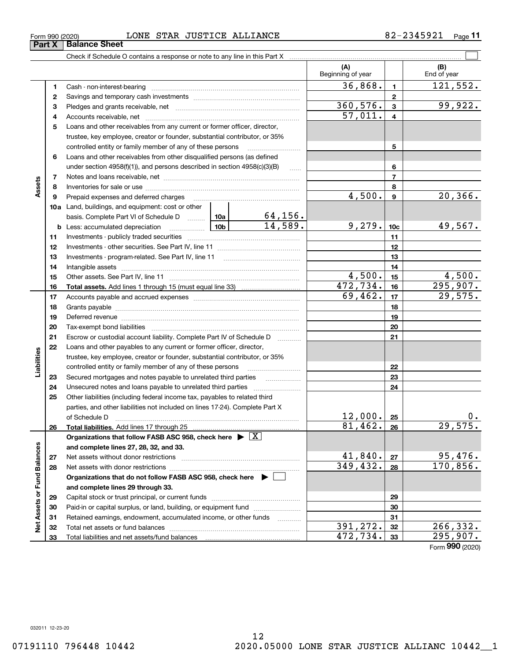### $_{\rm Form}$   $_{990}$  (2020)  $_{\rm DoNE}$   $_{\rm SOER}$  JUSTICE ALLIANCE  $_{\rm 82-2345921}$   $_{\rm Page}$

|                             |    |                                                                                                                                                                                   |           |                     | (A)<br>Beginning of year |                         | (B)<br>End of year |
|-----------------------------|----|-----------------------------------------------------------------------------------------------------------------------------------------------------------------------------------|-----------|---------------------|--------------------------|-------------------------|--------------------|
|                             | 1  | Cash - non-interest-bearing                                                                                                                                                       |           |                     | 36,868.                  | $\mathbf{1}$            | 121,552.           |
|                             | 2  |                                                                                                                                                                                   |           | $\mathbf{2}$        |                          |                         |                    |
|                             | З  |                                                                                                                                                                                   | 360,576.  | 3                   | 99,922.                  |                         |                    |
|                             | 4  |                                                                                                                                                                                   |           |                     | 57,011.                  | $\overline{\mathbf{4}}$ |                    |
|                             | 5  | Loans and other receivables from any current or former officer, director,                                                                                                         |           |                     |                          |                         |                    |
|                             |    | trustee, key employee, creator or founder, substantial contributor, or 35%                                                                                                        |           |                     |                          |                         |                    |
|                             |    | controlled entity or family member of any of these persons                                                                                                                        |           |                     |                          | 5                       |                    |
|                             | 6  | Loans and other receivables from other disqualified persons (as defined                                                                                                           |           |                     |                          |                         |                    |
|                             |    | under section 4958(f)(1)), and persons described in section 4958(c)(3)(B)                                                                                                         |           | $\ldots$            |                          | 6                       |                    |
|                             | 7  |                                                                                                                                                                                   |           |                     |                          | $\overline{7}$          |                    |
| Assets                      | 8  |                                                                                                                                                                                   |           |                     |                          | 8                       |                    |
|                             | 9  | Prepaid expenses and deferred charges                                                                                                                                             | 4,500.    | $\boldsymbol{9}$    | 20, 366.                 |                         |                    |
|                             |    | 10a Land, buildings, and equipment: cost or other                                                                                                                                 |           |                     |                          |                         |                    |
|                             |    | basis. Complete Part VI of Schedule D $\begin{array}{ c c c c c }\n\hline\n10a & 64,156.\n\hline\n\text{Less: accumulated depreciation} & & & 10b & 14,589.\n\hline\n\end{array}$ |           |                     |                          |                         |                    |
|                             |    | <u>  1</u> 0b<br><b>b</b> Less: accumulated depreciation                                                                                                                          |           |                     | 9,279.                   | 10 <sub>c</sub>         | 49,567.            |
|                             | 11 |                                                                                                                                                                                   |           |                     |                          | 11                      |                    |
|                             | 12 |                                                                                                                                                                                   |           |                     |                          | 12                      |                    |
|                             | 13 |                                                                                                                                                                                   |           |                     |                          | 13                      |                    |
|                             | 14 |                                                                                                                                                                                   |           |                     | 14                       |                         |                    |
|                             | 15 |                                                                                                                                                                                   | 4,500.    | 15                  | 4,500.                   |                         |                    |
|                             | 16 |                                                                                                                                                                                   |           |                     | 472, 734.                | 16                      | 295,907.           |
|                             | 17 |                                                                                                                                                                                   | 69,462.   | 17                  | 29,575.                  |                         |                    |
|                             | 18 |                                                                                                                                                                                   |           |                     |                          | 18                      |                    |
|                             | 19 |                                                                                                                                                                                   |           | 19                  |                          |                         |                    |
|                             | 20 |                                                                                                                                                                                   |           |                     |                          | 20                      |                    |
|                             | 21 | Escrow or custodial account liability. Complete Part IV of Schedule D                                                                                                             |           | 1.1.1.1.1.1.1.1.1.1 |                          | 21                      |                    |
|                             | 22 | Loans and other payables to any current or former officer, director,                                                                                                              |           |                     |                          |                         |                    |
| Liabilities                 |    | trustee, key employee, creator or founder, substantial contributor, or 35%                                                                                                        |           |                     |                          |                         |                    |
|                             |    | controlled entity or family member of any of these persons                                                                                                                        |           |                     |                          | 22                      |                    |
|                             | 23 | Secured mortgages and notes payable to unrelated third parties                                                                                                                    |           |                     |                          | 23                      |                    |
|                             | 24 | Unsecured notes and loans payable to unrelated third parties                                                                                                                      |           |                     |                          | 24                      |                    |
|                             | 25 | Other liabilities (including federal income tax, payables to related third                                                                                                        |           |                     |                          |                         |                    |
|                             |    | parties, and other liabilities not included on lines 17-24). Complete Part X                                                                                                      |           |                     |                          |                         |                    |
|                             |    | of Schedule D                                                                                                                                                                     |           |                     | 12,000.                  | 25                      | 0.                 |
|                             | 26 | Total liabilities. Add lines 17 through 25                                                                                                                                        |           |                     | 81,462.                  | 26                      | 29,575.            |
|                             |    | Organizations that follow FASB ASC 958, check here $\blacktriangleright \boxed{X}$                                                                                                |           |                     |                          |                         |                    |
|                             |    | and complete lines 27, 28, 32, and 33.                                                                                                                                            |           |                     |                          |                         |                    |
|                             | 27 |                                                                                                                                                                                   |           |                     | 41,840.                  | 27                      | 95,476.            |
|                             | 28 |                                                                                                                                                                                   |           |                     | 349, 432.                | 28                      | 170,856.           |
|                             |    | Organizations that do not follow FASB ASC 958, check here $\blacktriangleright$                                                                                                   |           |                     |                          |                         |                    |
|                             |    | and complete lines 29 through 33.                                                                                                                                                 |           |                     |                          |                         |                    |
|                             | 29 |                                                                                                                                                                                   |           |                     |                          | 29                      |                    |
|                             | 30 | Paid-in or capital surplus, or land, building, or equipment fund                                                                                                                  |           |                     |                          | 30                      |                    |
|                             | 31 | Retained earnings, endowment, accumulated income, or other funds                                                                                                                  |           | $\cdots$            |                          | 31                      |                    |
| Net Assets or Fund Balances | 32 |                                                                                                                                                                                   | 391, 272. | 32                  | 266,332.                 |                         |                    |
|                             | 33 |                                                                                                                                                                                   | 472,734.  | 33                  | 295,907.                 |                         |                    |

Form (2020) **990**

**Part X Balance Sheet**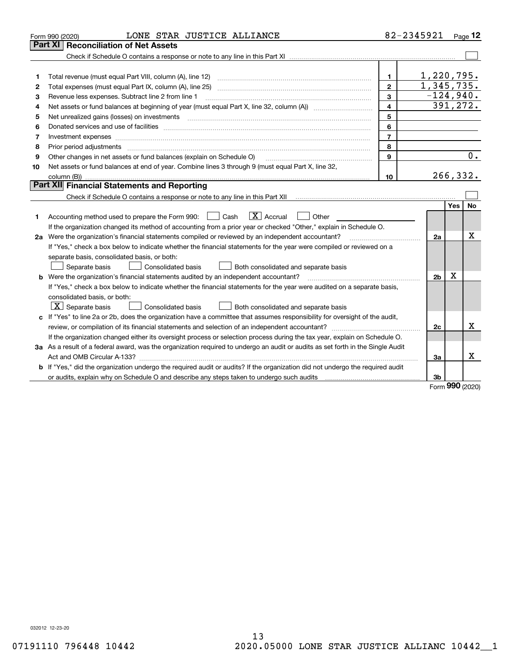|    | LONE STAR JUSTICE ALLIANCE<br>Form 990 (2020)                                                                                   |                         | 82-2345921     |            | $_{\text{Page}}$ 12 |
|----|---------------------------------------------------------------------------------------------------------------------------------|-------------------------|----------------|------------|---------------------|
|    | <b>Reconciliation of Net Assets</b><br>Part XI                                                                                  |                         |                |            |                     |
|    |                                                                                                                                 |                         |                |            |                     |
|    |                                                                                                                                 |                         |                |            |                     |
| 1  |                                                                                                                                 | 1                       | 1,220,795.     |            |                     |
| 2  |                                                                                                                                 | $\mathbf{2}$            | 1,345,735.     |            |                     |
| 3  | Revenue less expenses. Subtract line 2 from line 1                                                                              | 3                       | $-124,940.$    |            |                     |
| 4  |                                                                                                                                 | $\overline{\mathbf{4}}$ | 391,272.       |            |                     |
| 5  |                                                                                                                                 | 5                       |                |            |                     |
| 6  |                                                                                                                                 | 6                       |                |            |                     |
| 7  | Investment expenses www.communication.communication.com/www.communication.com/www.communication.com                             | $\overline{7}$          |                |            |                     |
| 8  | Prior period adjustments                                                                                                        | 8                       |                |            |                     |
| 9  | Other changes in net assets or fund balances (explain on Schedule O)                                                            | 9                       |                |            | 0.                  |
| 10 | Net assets or fund balances at end of year. Combine lines 3 through 9 (must equal Part X, line 32,                              |                         |                |            |                     |
|    |                                                                                                                                 | 10                      | 266, 332.      |            |                     |
|    | Part XII Financial Statements and Reporting                                                                                     |                         |                |            |                     |
|    |                                                                                                                                 |                         |                |            |                     |
|    |                                                                                                                                 |                         |                | <b>Yes</b> | No                  |
| 1  | $\boxed{\mathbf{X}}$ Accrual<br>Accounting method used to prepare the Form 990: <u>[</u> Cash<br>Other                          |                         |                |            |                     |
|    | If the organization changed its method of accounting from a prior year or checked "Other," explain in Schedule O.               |                         |                |            |                     |
|    | 2a Were the organization's financial statements compiled or reviewed by an independent accountant?                              |                         | 2a             |            | X                   |
|    | If "Yes," check a box below to indicate whether the financial statements for the year were compiled or reviewed on a            |                         |                |            |                     |
|    | separate basis, consolidated basis, or both:                                                                                    |                         |                |            |                     |
|    | Separate basis<br><b>Consolidated basis</b><br>Both consolidated and separate basis                                             |                         |                |            |                     |
|    | <b>b</b> Were the organization's financial statements audited by an independent accountant?                                     |                         | 2 <sub>b</sub> | X          |                     |
|    | If "Yes," check a box below to indicate whether the financial statements for the year were audited on a separate basis,         |                         |                |            |                     |
|    | consolidated basis, or both:                                                                                                    |                         |                |            |                     |
|    | $\vert X \vert$ Separate basis<br>Consolidated basis<br>Both consolidated and separate basis                                    |                         |                |            |                     |
|    | c If "Yes" to line 2a or 2b, does the organization have a committee that assumes responsibility for oversight of the audit,     |                         |                |            |                     |
|    |                                                                                                                                 |                         | 2c             |            | х                   |
|    | If the organization changed either its oversight process or selection process during the tax year, explain on Schedule O.       |                         |                |            |                     |
|    | 3a As a result of a federal award, was the organization required to undergo an audit or audits as set forth in the Single Audit |                         |                |            |                     |
|    |                                                                                                                                 |                         | За             |            | x                   |
|    | b If "Yes," did the organization undergo the required audit or audits? If the organization did not undergo the required audit   |                         |                |            |                     |
|    |                                                                                                                                 |                         | 3b             |            |                     |

Form (2020) **990**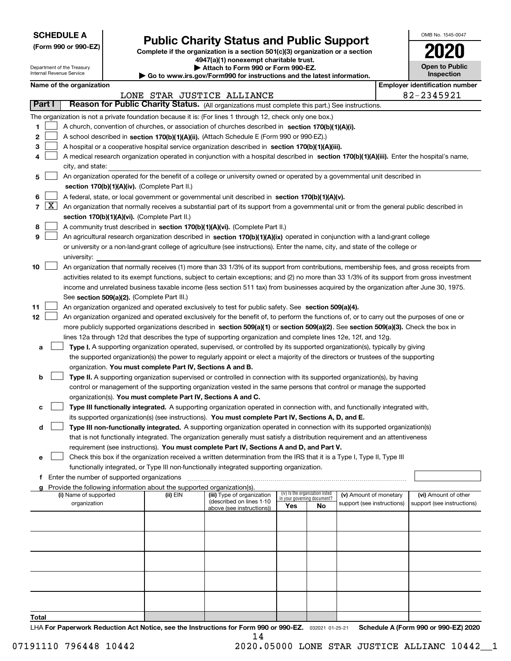| <b>SCHEDULE A</b> |
|-------------------|
|-------------------|

Department of the Treasury Internal Revenue Service

| (Form 990 or 990-EZ) |  |  |  |  |
|----------------------|--|--|--|--|
|----------------------|--|--|--|--|

# **Public Charity Status and Public Support**

**Complete if the organization is a section 501(c)(3) organization or a section 4947(a)(1) nonexempt charitable trust.**

|  |  |  |  | Attach to Form 990 or Form 990-EZ. |  |
|--|--|--|--|------------------------------------|--|
|  |  |  |  |                                    |  |

**| Go to www.irs.gov/Form990 for instructions and the latest information.**

| OMB No. 1545-0047                     |
|---------------------------------------|
| 2020                                  |
| <b>Open to Public</b><br>Inspection   |
| <b>Emplover identification number</b> |

|       | Part I |                                                                                                                                              |          | 82-2345921<br>LONE STAR JUSTICE ALLIANCE<br>Reason for Public Charity Status. (All organizations must complete this part.) See instructions. |                                    |    |                            |  |                            |  |  |  |
|-------|--------|----------------------------------------------------------------------------------------------------------------------------------------------|----------|----------------------------------------------------------------------------------------------------------------------------------------------|------------------------------------|----|----------------------------|--|----------------------------|--|--|--|
|       |        |                                                                                                                                              |          |                                                                                                                                              |                                    |    |                            |  |                            |  |  |  |
|       |        | The organization is not a private foundation because it is: (For lines 1 through 12, check only one box.)                                    |          |                                                                                                                                              |                                    |    |                            |  |                            |  |  |  |
| 1     |        | A church, convention of churches, or association of churches described in section 170(b)(1)(A)(i).                                           |          |                                                                                                                                              |                                    |    |                            |  |                            |  |  |  |
| 2     |        | A school described in section 170(b)(1)(A)(ii). (Attach Schedule E (Form 990 or 990-EZ).)                                                    |          |                                                                                                                                              |                                    |    |                            |  |                            |  |  |  |
| 3     |        | A hospital or a cooperative hospital service organization described in section $170(b)(1)(A)(iii)$ .                                         |          |                                                                                                                                              |                                    |    |                            |  |                            |  |  |  |
| 4     |        | A medical research organization operated in conjunction with a hospital described in section 170(b)(1)(A)(iii). Enter the hospital's name,   |          |                                                                                                                                              |                                    |    |                            |  |                            |  |  |  |
|       |        | city, and state:                                                                                                                             |          |                                                                                                                                              |                                    |    |                            |  |                            |  |  |  |
| 5     |        | An organization operated for the benefit of a college or university owned or operated by a governmental unit described in                    |          |                                                                                                                                              |                                    |    |                            |  |                            |  |  |  |
|       |        | section 170(b)(1)(A)(iv). (Complete Part II.)                                                                                                |          |                                                                                                                                              |                                    |    |                            |  |                            |  |  |  |
| 6     |        | A federal, state, or local government or governmental unit described in section 170(b)(1)(A)(v).                                             |          |                                                                                                                                              |                                    |    |                            |  |                            |  |  |  |
|       | 7   X  | An organization that normally receives a substantial part of its support from a governmental unit or from the general public described in    |          |                                                                                                                                              |                                    |    |                            |  |                            |  |  |  |
|       |        | section 170(b)(1)(A)(vi). (Complete Part II.)                                                                                                |          |                                                                                                                                              |                                    |    |                            |  |                            |  |  |  |
| 8     |        | A community trust described in section 170(b)(1)(A)(vi). (Complete Part II.)                                                                 |          |                                                                                                                                              |                                    |    |                            |  |                            |  |  |  |
| 9     |        | An agricultural research organization described in section 170(b)(1)(A)(ix) operated in conjunction with a land-grant college                |          |                                                                                                                                              |                                    |    |                            |  |                            |  |  |  |
|       |        | or university or a non-land-grant college of agriculture (see instructions). Enter the name, city, and state of the college or               |          |                                                                                                                                              |                                    |    |                            |  |                            |  |  |  |
|       |        | university:                                                                                                                                  |          |                                                                                                                                              |                                    |    |                            |  |                            |  |  |  |
| 10    |        | An organization that normally receives (1) more than 33 1/3% of its support from contributions, membership fees, and gross receipts from     |          |                                                                                                                                              |                                    |    |                            |  |                            |  |  |  |
|       |        | activities related to its exempt functions, subject to certain exceptions; and (2) no more than 33 1/3% of its support from gross investment |          |                                                                                                                                              |                                    |    |                            |  |                            |  |  |  |
|       |        | income and unrelated business taxable income (less section 511 tax) from businesses acquired by the organization after June 30, 1975.        |          |                                                                                                                                              |                                    |    |                            |  |                            |  |  |  |
|       |        | See section 509(a)(2). (Complete Part III.)                                                                                                  |          |                                                                                                                                              |                                    |    |                            |  |                            |  |  |  |
| 11    |        | An organization organized and operated exclusively to test for public safety. See section 509(a)(4).                                         |          |                                                                                                                                              |                                    |    |                            |  |                            |  |  |  |
| 12    |        | An organization organized and operated exclusively for the benefit of, to perform the functions of, or to carry out the purposes of one or   |          |                                                                                                                                              |                                    |    |                            |  |                            |  |  |  |
|       |        | more publicly supported organizations described in section 509(a)(1) or section 509(a)(2). See section 509(a)(3). Check the box in           |          |                                                                                                                                              |                                    |    |                            |  |                            |  |  |  |
|       |        | lines 12a through 12d that describes the type of supporting organization and complete lines 12e, 12f, and 12g.                               |          |                                                                                                                                              |                                    |    |                            |  |                            |  |  |  |
| а     |        | Type I. A supporting organization operated, supervised, or controlled by its supported organization(s), typically by giving                  |          |                                                                                                                                              |                                    |    |                            |  |                            |  |  |  |
|       |        | the supported organization(s) the power to regularly appoint or elect a majority of the directors or trustees of the supporting              |          |                                                                                                                                              |                                    |    |                            |  |                            |  |  |  |
|       |        | organization. You must complete Part IV, Sections A and B.                                                                                   |          |                                                                                                                                              |                                    |    |                            |  |                            |  |  |  |
| b     |        | Type II. A supporting organization supervised or controlled in connection with its supported organization(s), by having                      |          |                                                                                                                                              |                                    |    |                            |  |                            |  |  |  |
|       |        | control or management of the supporting organization vested in the same persons that control or manage the supported                         |          |                                                                                                                                              |                                    |    |                            |  |                            |  |  |  |
|       |        | organization(s). You must complete Part IV, Sections A and C.                                                                                |          |                                                                                                                                              |                                    |    |                            |  |                            |  |  |  |
| с     |        | Type III functionally integrated. A supporting organization operated in connection with, and functionally integrated with,                   |          |                                                                                                                                              |                                    |    |                            |  |                            |  |  |  |
|       |        | its supported organization(s) (see instructions). You must complete Part IV, Sections A, D, and E.                                           |          |                                                                                                                                              |                                    |    |                            |  |                            |  |  |  |
| d     |        | Type III non-functionally integrated. A supporting organization operated in connection with its supported organization(s)                    |          |                                                                                                                                              |                                    |    |                            |  |                            |  |  |  |
|       |        | that is not functionally integrated. The organization generally must satisfy a distribution requirement and an attentiveness                 |          |                                                                                                                                              |                                    |    |                            |  |                            |  |  |  |
|       |        | requirement (see instructions). You must complete Part IV, Sections A and D, and Part V.                                                     |          |                                                                                                                                              |                                    |    |                            |  |                            |  |  |  |
| е     |        | Check this box if the organization received a written determination from the IRS that it is a Type I, Type II, Type III                      |          |                                                                                                                                              |                                    |    |                            |  |                            |  |  |  |
|       |        | functionally integrated, or Type III non-functionally integrated supporting organization.                                                    |          |                                                                                                                                              |                                    |    |                            |  |                            |  |  |  |
|       |        | Enter the number of supported organizations                                                                                                  |          |                                                                                                                                              |                                    |    |                            |  |                            |  |  |  |
|       |        | Provide the following information about the supported organization(s).                                                                       |          |                                                                                                                                              |                                    |    |                            |  |                            |  |  |  |
| a     |        | (i) Name of supported                                                                                                                        | (ii) EIN | (iii) Type of organization                                                                                                                   | (iv) Is the organization listed    |    | (v) Amount of monetary     |  | (vi) Amount of other       |  |  |  |
|       |        | organization                                                                                                                                 |          | (described on lines 1-10                                                                                                                     | in your governing document?<br>Yes | No | support (see instructions) |  | support (see instructions) |  |  |  |
|       |        |                                                                                                                                              |          | above (see instructions))                                                                                                                    |                                    |    |                            |  |                            |  |  |  |
|       |        |                                                                                                                                              |          |                                                                                                                                              |                                    |    |                            |  |                            |  |  |  |
|       |        |                                                                                                                                              |          |                                                                                                                                              |                                    |    |                            |  |                            |  |  |  |
|       |        |                                                                                                                                              |          |                                                                                                                                              |                                    |    |                            |  |                            |  |  |  |
|       |        |                                                                                                                                              |          |                                                                                                                                              |                                    |    |                            |  |                            |  |  |  |
|       |        |                                                                                                                                              |          |                                                                                                                                              |                                    |    |                            |  |                            |  |  |  |
|       |        |                                                                                                                                              |          |                                                                                                                                              |                                    |    |                            |  |                            |  |  |  |
|       |        |                                                                                                                                              |          |                                                                                                                                              |                                    |    |                            |  |                            |  |  |  |
|       |        |                                                                                                                                              |          |                                                                                                                                              |                                    |    |                            |  |                            |  |  |  |
|       |        |                                                                                                                                              |          |                                                                                                                                              |                                    |    |                            |  |                            |  |  |  |
| Total |        |                                                                                                                                              |          |                                                                                                                                              |                                    |    |                            |  |                            |  |  |  |
|       |        |                                                                                                                                              |          |                                                                                                                                              |                                    |    |                            |  |                            |  |  |  |

LHA For Paperwork Reduction Act Notice, see the Instructions for Form 990 or 990-EZ. <sub>032021</sub> o1-25-21 Schedule A (Form 990 or 990-EZ) 2020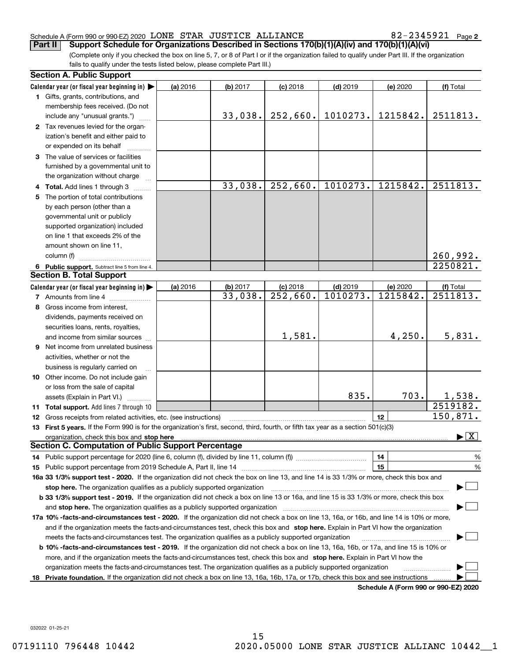#### Schedule A (Form 990 or 990-EZ) 2020 Page LONE STAR JUSTICE ALLIANCE 82-2345921

**2**

(Complete only if you checked the box on line 5, 7, or 8 of Part I or if the organization failed to qualify under Part III. If the organization fails to qualify under the tests listed below, please complete Part III.) **Part II** Support Schedule for Organizations Described in Sections 170(b)(1)(A)(iv) and 170(b)(1)(A)(vi)

| <b>Section A. Public Support</b>                                                                                                               |          |          |                        |            |                                      |                                          |
|------------------------------------------------------------------------------------------------------------------------------------------------|----------|----------|------------------------|------------|--------------------------------------|------------------------------------------|
| Calendar year (or fiscal year beginning in)                                                                                                    | (a) 2016 | (b) 2017 | $(c)$ 2018             | $(d)$ 2019 | (e) 2020                             | (f) Total                                |
| 1 Gifts, grants, contributions, and                                                                                                            |          |          |                        |            |                                      |                                          |
| membership fees received. (Do not                                                                                                              |          |          |                        |            |                                      |                                          |
| include any "unusual grants.")                                                                                                                 |          | 33,038.  | 252,660.               | 1010273.   | 1215842.                             | 2511813.                                 |
| 2 Tax revenues levied for the organ-                                                                                                           |          |          |                        |            |                                      |                                          |
| ization's benefit and either paid to                                                                                                           |          |          |                        |            |                                      |                                          |
| or expended on its behalf                                                                                                                      |          |          |                        |            |                                      |                                          |
| 3 The value of services or facilities                                                                                                          |          |          |                        |            |                                      |                                          |
| furnished by a governmental unit to                                                                                                            |          |          |                        |            |                                      |                                          |
| the organization without charge                                                                                                                |          |          |                        |            |                                      |                                          |
| 4 Total. Add lines 1 through 3                                                                                                                 |          | 33,038.  | 252,660.               | 1010273.   | 1215842.                             | 2511813.                                 |
| 5 The portion of total contributions                                                                                                           |          |          |                        |            |                                      |                                          |
| by each person (other than a                                                                                                                   |          |          |                        |            |                                      |                                          |
| governmental unit or publicly                                                                                                                  |          |          |                        |            |                                      |                                          |
| supported organization) included                                                                                                               |          |          |                        |            |                                      |                                          |
| on line 1 that exceeds 2% of the                                                                                                               |          |          |                        |            |                                      |                                          |
| amount shown on line 11,                                                                                                                       |          |          |                        |            |                                      |                                          |
| column (f)                                                                                                                                     |          |          |                        |            |                                      | 260,992.                                 |
| 6 Public support. Subtract line 5 from line 4.                                                                                                 |          |          |                        |            |                                      | 2250821.                                 |
| <b>Section B. Total Support</b>                                                                                                                |          |          |                        |            |                                      |                                          |
| Calendar year (or fiscal year beginning in)                                                                                                    | (a) 2016 | (b) 2017 | $(c)$ 2018             | $(d)$ 2019 | (e) 2020                             | (f) Total                                |
| 7 Amounts from line 4                                                                                                                          |          | 33,038.  | $\overline{252,660}$ . | 1010273.   | 1215842.                             | 2511813.                                 |
| 8 Gross income from interest,                                                                                                                  |          |          |                        |            |                                      |                                          |
| dividends, payments received on                                                                                                                |          |          |                        |            |                                      |                                          |
| securities loans, rents, royalties,                                                                                                            |          |          |                        |            |                                      |                                          |
| and income from similar sources                                                                                                                |          |          | 1,581.                 |            | 4,250.                               | 5,831.                                   |
| <b>9</b> Net income from unrelated business                                                                                                    |          |          |                        |            |                                      |                                          |
| activities, whether or not the                                                                                                                 |          |          |                        |            |                                      |                                          |
| business is regularly carried on                                                                                                               |          |          |                        |            |                                      |                                          |
| 10 Other income. Do not include gain                                                                                                           |          |          |                        |            |                                      |                                          |
| or loss from the sale of capital                                                                                                               |          |          |                        |            |                                      |                                          |
| assets (Explain in Part VI.)                                                                                                                   |          |          |                        | 835.       | 703.                                 | 1,538.                                   |
| 11 Total support. Add lines 7 through 10                                                                                                       |          |          |                        |            |                                      | 2519182.                                 |
| 12 Gross receipts from related activities, etc. (see instructions)                                                                             |          |          |                        |            | 12                                   | 150,871.                                 |
| 13 First 5 years. If the Form 990 is for the organization's first, second, third, fourth, or fifth tax year as a section 501(c)(3)             |          |          |                        |            |                                      |                                          |
|                                                                                                                                                |          |          |                        |            |                                      | $\blacktriangleright$ $\boxed{\text{X}}$ |
| <b>Section C. Computation of Public Support Percentage</b>                                                                                     |          |          |                        |            |                                      |                                          |
|                                                                                                                                                |          |          |                        |            | 14                                   | %                                        |
|                                                                                                                                                |          |          |                        |            | 15                                   | $\%$                                     |
| 16a 33 1/3% support test - 2020. If the organization did not check the box on line 13, and line 14 is 33 1/3% or more, check this box and      |          |          |                        |            |                                      |                                          |
| stop here. The organization qualifies as a publicly supported organization                                                                     |          |          |                        |            |                                      |                                          |
| b 33 1/3% support test - 2019. If the organization did not check a box on line 13 or 16a, and line 15 is 33 1/3% or more, check this box       |          |          |                        |            |                                      |                                          |
| and stop here. The organization qualifies as a publicly supported organization                                                                 |          |          |                        |            |                                      |                                          |
| 17a 10% -facts-and-circumstances test - 2020. If the organization did not check a box on line 13, 16a, or 16b, and line 14 is 10% or more,     |          |          |                        |            |                                      |                                          |
| and if the organization meets the facts-and-circumstances test, check this box and stop here. Explain in Part VI how the organization          |          |          |                        |            |                                      |                                          |
| meets the facts-and-circumstances test. The organization qualifies as a publicly supported organization                                        |          |          |                        |            |                                      |                                          |
| <b>b 10% -facts-and-circumstances test - 2019.</b> If the organization did not check a box on line 13, 16a, 16b, or 17a, and line 15 is 10% or |          |          |                        |            |                                      |                                          |
| more, and if the organization meets the facts-and-circumstances test, check this box and stop here. Explain in Part VI how the                 |          |          |                        |            |                                      |                                          |
| organization meets the facts-and-circumstances test. The organization qualifies as a publicly supported organization                           |          |          |                        |            |                                      |                                          |
| 18 Private foundation. If the organization did not check a box on line 13, 16a, 16b, 17a, or 17b, check this box and see instructions          |          |          |                        |            |                                      |                                          |
|                                                                                                                                                |          |          |                        |            | Schedule A (Form 990 or 990-F7) 2020 |                                          |

**Schedule A (Form 990 or 990-EZ) 2020**

032022 01-25-21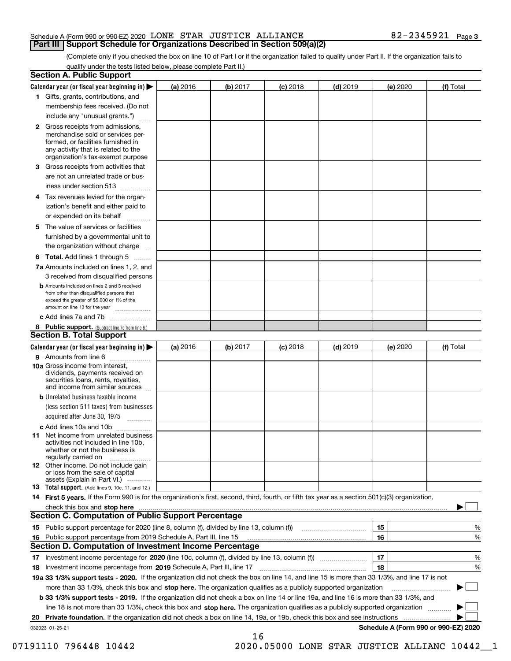#### Schedule A (Form 990 or 990-EZ) 2020 Page LONE STAR JUSTICE ALLIANCE 82-2345921 **Part III Support Schedule for Organizations Described in Section 509(a)(2)**

(Complete only if you checked the box on line 10 of Part I or if the organization failed to qualify under Part II. If the organization fails to qualify under the tests listed below, please complete Part II.)

|    | <b>Section A. Public Support</b>                                                                                                                                                                |          |          |            |            |          |                                      |
|----|-------------------------------------------------------------------------------------------------------------------------------------------------------------------------------------------------|----------|----------|------------|------------|----------|--------------------------------------|
|    | Calendar year (or fiscal year beginning in) $\blacktriangleright$                                                                                                                               | (a) 2016 | (b) 2017 | $(c)$ 2018 | $(d)$ 2019 | (e) 2020 | (f) Total                            |
|    | 1 Gifts, grants, contributions, and                                                                                                                                                             |          |          |            |            |          |                                      |
|    | membership fees received. (Do not                                                                                                                                                               |          |          |            |            |          |                                      |
|    | include any "unusual grants.")                                                                                                                                                                  |          |          |            |            |          |                                      |
|    | <b>2</b> Gross receipts from admissions,<br>merchandise sold or services per-<br>formed, or facilities furnished in<br>any activity that is related to the<br>organization's tax-exempt purpose |          |          |            |            |          |                                      |
|    | 3 Gross receipts from activities that<br>are not an unrelated trade or bus-                                                                                                                     |          |          |            |            |          |                                      |
|    | iness under section 513                                                                                                                                                                         |          |          |            |            |          |                                      |
|    | 4 Tax revenues levied for the organ-                                                                                                                                                            |          |          |            |            |          |                                      |
|    | ization's benefit and either paid to<br>or expended on its behalf<br>.                                                                                                                          |          |          |            |            |          |                                      |
|    | 5 The value of services or facilities<br>furnished by a governmental unit to                                                                                                                    |          |          |            |            |          |                                      |
|    | the organization without charge                                                                                                                                                                 |          |          |            |            |          |                                      |
|    | <b>6 Total.</b> Add lines 1 through 5                                                                                                                                                           |          |          |            |            |          |                                      |
|    | 7a Amounts included on lines 1, 2, and<br>3 received from disqualified persons                                                                                                                  |          |          |            |            |          |                                      |
|    | <b>b</b> Amounts included on lines 2 and 3 received<br>from other than disqualified persons that<br>exceed the greater of \$5,000 or 1% of the<br>amount on line 13 for the year                |          |          |            |            |          |                                      |
|    | c Add lines 7a and 7b                                                                                                                                                                           |          |          |            |            |          |                                      |
|    | 8 Public support. (Subtract line 7c from line 6.)<br><b>Section B. Total Support</b>                                                                                                            |          |          |            |            |          |                                      |
|    | Calendar year (or fiscal year beginning in)                                                                                                                                                     | (a) 2016 | (b) 2017 | $(c)$ 2018 | $(d)$ 2019 | (e) 2020 | (f) Total                            |
|    | 9 Amounts from line 6                                                                                                                                                                           |          |          |            |            |          |                                      |
|    | 10a Gross income from interest,<br>dividends, payments received on<br>securities loans, rents, royalties,<br>and income from similar sources                                                    |          |          |            |            |          |                                      |
|    | <b>b</b> Unrelated business taxable income<br>(less section 511 taxes) from businesses<br>acquired after June 30, 1975                                                                          |          |          |            |            |          |                                      |
|    | c Add lines 10a and 10b                                                                                                                                                                         |          |          |            |            |          |                                      |
|    | 11 Net income from unrelated business<br>activities not included in line 10b,<br>whether or not the business is<br>regularly carried on                                                         |          |          |            |            |          |                                      |
|    | <b>12</b> Other income. Do not include gain<br>or loss from the sale of capital<br>assets (Explain in Part VI.)                                                                                 |          |          |            |            |          |                                      |
|    | <b>13</b> Total support. (Add lines 9, 10c, 11, and 12.)                                                                                                                                        |          |          |            |            |          |                                      |
|    | 14 First 5 years. If the Form 990 is for the organization's first, second, third, fourth, or fifth tax year as a section 501(c)(3) organization,                                                |          |          |            |            |          |                                      |
|    | check this box and stop here measurements are constructed as the state of the state of the state of the state o                                                                                 |          |          |            |            |          |                                      |
|    | Section C. Computation of Public Support Percentage                                                                                                                                             |          |          |            |            |          |                                      |
|    |                                                                                                                                                                                                 |          |          |            |            | 15       | %                                    |
|    | 16 Public support percentage from 2019 Schedule A, Part III, line 15                                                                                                                            |          |          |            |            | 16       | %                                    |
|    | <b>Section D. Computation of Investment Income Percentage</b>                                                                                                                                   |          |          |            |            |          |                                      |
|    | 17 Investment income percentage for 2020 (line 10c, column (f), divided by line 13, column (f))<br><b>18</b> Investment income percentage from <b>2019</b> Schedule A, Part III, line 17        |          |          |            |            | 17<br>18 | %<br>%                               |
|    | 19a 33 1/3% support tests - 2020. If the organization did not check the box on line 14, and line 15 is more than 33 1/3%, and line 17 is not                                                    |          |          |            |            |          |                                      |
|    | more than 33 1/3%, check this box and stop here. The organization qualifies as a publicly supported organization                                                                                |          |          |            |            |          | $\sim$ 1                             |
|    | <b>b 33 1/3% support tests - 2019.</b> If the organization did not check a box on line 14 or line 19a, and line 16 is more than 33 1/3%, and                                                    |          |          |            |            |          |                                      |
|    | line 18 is not more than 33 1/3%, check this box and stop here. The organization qualifies as a publicly supported organization                                                                 |          |          |            |            |          |                                      |
| 20 | <b>Private foundation.</b> If the organization did not check a box on line 14, 19a, or 19b, check this box and see instructions                                                                 |          |          |            |            |          |                                      |
|    | 032023 01-25-21                                                                                                                                                                                 |          |          |            |            |          | Schedule A (Form 990 or 990-EZ) 2020 |
|    |                                                                                                                                                                                                 |          | 16       |            |            |          |                                      |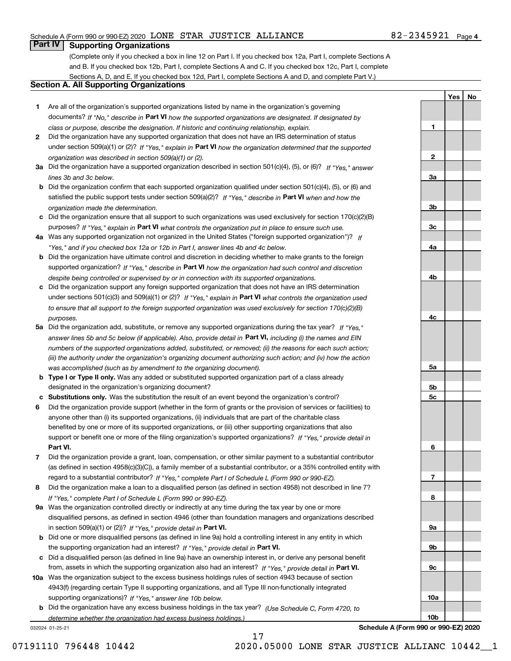### Schedule A (Form 990 or 990-EZ) 2020 Page LONE STAR JUSTICE ALLIANCE 82-2345921

# **Part IV Supporting Organizations**

(Complete only if you checked a box in line 12 on Part I. If you checked box 12a, Part I, complete Sections A and B. If you checked box 12b, Part I, complete Sections A and C. If you checked box 12c, Part I, complete Sections A, D, and E. If you checked box 12d, Part I, complete Sections A and D, and complete Part V.)

### **Section A. All Supporting Organizations**

- **1** Are all of the organization's supported organizations listed by name in the organization's governing documents? If "No," describe in **Part VI** how the supported organizations are designated. If designated by *class or purpose, describe the designation. If historic and continuing relationship, explain.*
- **2** Did the organization have any supported organization that does not have an IRS determination of status under section 509(a)(1) or (2)? If "Yes," explain in Part VI how the organization determined that the supported *organization was described in section 509(a)(1) or (2).*
- **3a** Did the organization have a supported organization described in section 501(c)(4), (5), or (6)? If "Yes," answer *lines 3b and 3c below.*
- **b** Did the organization confirm that each supported organization qualified under section 501(c)(4), (5), or (6) and satisfied the public support tests under section 509(a)(2)? If "Yes," describe in **Part VI** when and how the *organization made the determination.*
- **c**Did the organization ensure that all support to such organizations was used exclusively for section 170(c)(2)(B) purposes? If "Yes," explain in **Part VI** what controls the organization put in place to ensure such use.
- **4a***If* Was any supported organization not organized in the United States ("foreign supported organization")? *"Yes," and if you checked box 12a or 12b in Part I, answer lines 4b and 4c below.*
- **b** Did the organization have ultimate control and discretion in deciding whether to make grants to the foreign supported organization? If "Yes," describe in **Part VI** how the organization had such control and discretion *despite being controlled or supervised by or in connection with its supported organizations.*
- **c** Did the organization support any foreign supported organization that does not have an IRS determination under sections 501(c)(3) and 509(a)(1) or (2)? If "Yes," explain in **Part VI** what controls the organization used *to ensure that all support to the foreign supported organization was used exclusively for section 170(c)(2)(B) purposes.*
- **5a** Did the organization add, substitute, or remove any supported organizations during the tax year? If "Yes," answer lines 5b and 5c below (if applicable). Also, provide detail in **Part VI,** including (i) the names and EIN *numbers of the supported organizations added, substituted, or removed; (ii) the reasons for each such action; (iii) the authority under the organization's organizing document authorizing such action; and (iv) how the action was accomplished (such as by amendment to the organizing document).*
- **b** Type I or Type II only. Was any added or substituted supported organization part of a class already designated in the organization's organizing document?
- **cSubstitutions only.**  Was the substitution the result of an event beyond the organization's control?
- **6** Did the organization provide support (whether in the form of grants or the provision of services or facilities) to **Part VI.** *If "Yes," provide detail in* support or benefit one or more of the filing organization's supported organizations? anyone other than (i) its supported organizations, (ii) individuals that are part of the charitable class benefited by one or more of its supported organizations, or (iii) other supporting organizations that also
- **7**Did the organization provide a grant, loan, compensation, or other similar payment to a substantial contributor *If "Yes," complete Part I of Schedule L (Form 990 or 990-EZ).* regard to a substantial contributor? (as defined in section 4958(c)(3)(C)), a family member of a substantial contributor, or a 35% controlled entity with
- **8** Did the organization make a loan to a disqualified person (as defined in section 4958) not described in line 7? *If "Yes," complete Part I of Schedule L (Form 990 or 990-EZ).*
- **9a** Was the organization controlled directly or indirectly at any time during the tax year by one or more in section 509(a)(1) or (2))? If "Yes," *provide detail in* <code>Part VI.</code> disqualified persons, as defined in section 4946 (other than foundation managers and organizations described
- **b** Did one or more disqualified persons (as defined in line 9a) hold a controlling interest in any entity in which the supporting organization had an interest? If "Yes," provide detail in P**art VI**.
- **c**Did a disqualified person (as defined in line 9a) have an ownership interest in, or derive any personal benefit from, assets in which the supporting organization also had an interest? If "Yes," provide detail in P**art VI.**
- **10a** Was the organization subject to the excess business holdings rules of section 4943 because of section supporting organizations)? If "Yes," answer line 10b below. 4943(f) (regarding certain Type II supporting organizations, and all Type III non-functionally integrated
- **b** Did the organization have any excess business holdings in the tax year? (Use Schedule C, Form 4720, to *determine whether the organization had excess business holdings.)*

032024 01-25-21

**3b3c4a4b4c5a 5b5c6789a 9b9c10a10b**

**Schedule A (Form 990 or 990-EZ) 2020**

**YesNo**

**1**

**2**

**3a**

17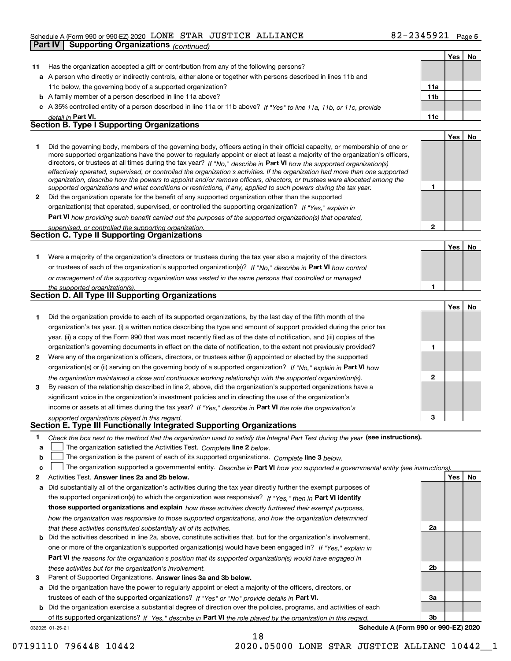#### Schedule A (Form 990 or 990-EZ) 2020 Page LONE STAR JUSTICE ALLIANCE 82-2345921

|    | <b>Part IV   Supporting Organizations (continued)</b>                                                                                                                                                                                                                                                                                                                                                                                                                                                                                                                                                                                                |                 |     |    |
|----|------------------------------------------------------------------------------------------------------------------------------------------------------------------------------------------------------------------------------------------------------------------------------------------------------------------------------------------------------------------------------------------------------------------------------------------------------------------------------------------------------------------------------------------------------------------------------------------------------------------------------------------------------|-----------------|-----|----|
|    |                                                                                                                                                                                                                                                                                                                                                                                                                                                                                                                                                                                                                                                      |                 | Yes | No |
| 11 | Has the organization accepted a gift or contribution from any of the following persons?                                                                                                                                                                                                                                                                                                                                                                                                                                                                                                                                                              |                 |     |    |
|    | a A person who directly or indirectly controls, either alone or together with persons described in lines 11b and                                                                                                                                                                                                                                                                                                                                                                                                                                                                                                                                     |                 |     |    |
|    | 11c below, the governing body of a supported organization?                                                                                                                                                                                                                                                                                                                                                                                                                                                                                                                                                                                           | 11a             |     |    |
|    | <b>b</b> A family member of a person described in line 11a above?                                                                                                                                                                                                                                                                                                                                                                                                                                                                                                                                                                                    | 11 <sub>b</sub> |     |    |
|    | c A 35% controlled entity of a person described in line 11a or 11b above? If "Yes" to line 11a, 11b, or 11c, provide                                                                                                                                                                                                                                                                                                                                                                                                                                                                                                                                 |                 |     |    |
|    | detail in Part VI.                                                                                                                                                                                                                                                                                                                                                                                                                                                                                                                                                                                                                                   | 11c             |     |    |
|    | Section B. Type I Supporting Organizations                                                                                                                                                                                                                                                                                                                                                                                                                                                                                                                                                                                                           |                 |     |    |
|    |                                                                                                                                                                                                                                                                                                                                                                                                                                                                                                                                                                                                                                                      |                 | Yes | No |
| 1. | Did the governing body, members of the governing body, officers acting in their official capacity, or membership of one or<br>more supported organizations have the power to regularly appoint or elect at least a majority of the organization's officers,<br>directors, or trustees at all times during the tax year? If "No," describe in Part VI how the supported organization(s)<br>effectively operated, supervised, or controlled the organization's activities. If the organization had more than one supported<br>organization, describe how the powers to appoint and/or remove officers, directors, or trustees were allocated among the |                 |     |    |
|    | supported organizations and what conditions or restrictions, if any, applied to such powers during the tax year.                                                                                                                                                                                                                                                                                                                                                                                                                                                                                                                                     | 1               |     |    |
| 2  | Did the organization operate for the benefit of any supported organization other than the supported                                                                                                                                                                                                                                                                                                                                                                                                                                                                                                                                                  |                 |     |    |
|    | organization(s) that operated, supervised, or controlled the supporting organization? If "Yes," explain in                                                                                                                                                                                                                                                                                                                                                                                                                                                                                                                                           |                 |     |    |
|    | Part VI how providing such benefit carried out the purposes of the supported organization(s) that operated,                                                                                                                                                                                                                                                                                                                                                                                                                                                                                                                                          |                 |     |    |
|    | supervised, or controlled the supporting organization.                                                                                                                                                                                                                                                                                                                                                                                                                                                                                                                                                                                               | 2               |     |    |
|    | Section C. Type II Supporting Organizations                                                                                                                                                                                                                                                                                                                                                                                                                                                                                                                                                                                                          |                 |     |    |
|    |                                                                                                                                                                                                                                                                                                                                                                                                                                                                                                                                                                                                                                                      |                 | Yes | No |
| 1. | Were a majority of the organization's directors or trustees during the tax year also a majority of the directors                                                                                                                                                                                                                                                                                                                                                                                                                                                                                                                                     |                 |     |    |
|    | or trustees of each of the organization's supported organization(s)? If "No," describe in Part VI how control                                                                                                                                                                                                                                                                                                                                                                                                                                                                                                                                        |                 |     |    |
|    | or management of the supporting organization was vested in the same persons that controlled or managed                                                                                                                                                                                                                                                                                                                                                                                                                                                                                                                                               |                 |     |    |
|    | the supported organization(s).                                                                                                                                                                                                                                                                                                                                                                                                                                                                                                                                                                                                                       | 1               |     |    |
|    | Section D. All Type III Supporting Organizations                                                                                                                                                                                                                                                                                                                                                                                                                                                                                                                                                                                                     |                 |     |    |
|    |                                                                                                                                                                                                                                                                                                                                                                                                                                                                                                                                                                                                                                                      |                 | Yes | No |
| 1. | Did the organization provide to each of its supported organizations, by the last day of the fifth month of the                                                                                                                                                                                                                                                                                                                                                                                                                                                                                                                                       |                 |     |    |
|    | organization's tax year, (i) a written notice describing the type and amount of support provided during the prior tax                                                                                                                                                                                                                                                                                                                                                                                                                                                                                                                                |                 |     |    |
|    | year, (ii) a copy of the Form 990 that was most recently filed as of the date of notification, and (iii) copies of the                                                                                                                                                                                                                                                                                                                                                                                                                                                                                                                               |                 |     |    |
|    | organization's governing documents in effect on the date of notification, to the extent not previously provided?                                                                                                                                                                                                                                                                                                                                                                                                                                                                                                                                     | 1               |     |    |
| 2  | Were any of the organization's officers, directors, or trustees either (i) appointed or elected by the supported                                                                                                                                                                                                                                                                                                                                                                                                                                                                                                                                     |                 |     |    |
|    | organization(s) or (ii) serving on the governing body of a supported organization? If "No," explain in Part VI how                                                                                                                                                                                                                                                                                                                                                                                                                                                                                                                                   |                 |     |    |
|    | the organization maintained a close and continuous working relationship with the supported organization(s).                                                                                                                                                                                                                                                                                                                                                                                                                                                                                                                                          | 2               |     |    |
| 3  | By reason of the relationship described in line 2, above, did the organization's supported organizations have a                                                                                                                                                                                                                                                                                                                                                                                                                                                                                                                                      |                 |     |    |
|    | significant voice in the organization's investment policies and in directing the use of the organization's                                                                                                                                                                                                                                                                                                                                                                                                                                                                                                                                           |                 |     |    |
|    | income or assets at all times during the tax year? If "Yes," describe in Part VI the role the organization's                                                                                                                                                                                                                                                                                                                                                                                                                                                                                                                                         |                 |     |    |
|    | supported organizations played in this regard.                                                                                                                                                                                                                                                                                                                                                                                                                                                                                                                                                                                                       |                 |     |    |
|    | Section E. Type III Functionally Integrated Supporting Organizations                                                                                                                                                                                                                                                                                                                                                                                                                                                                                                                                                                                 |                 |     |    |
| 1. | Check the box next to the method that the organization used to satisfy the Integral Part Test during the year (see instructions).                                                                                                                                                                                                                                                                                                                                                                                                                                                                                                                    |                 |     |    |
| a  | The organization satisfied the Activities Test. Complete line 2 below.                                                                                                                                                                                                                                                                                                                                                                                                                                                                                                                                                                               |                 |     |    |
| b  | The organization is the parent of each of its supported organizations. Complete line 3 below.                                                                                                                                                                                                                                                                                                                                                                                                                                                                                                                                                        |                 |     |    |
| c  | The organization supported a governmental entity. Describe in Part VI how you supported a governmental entity (see instructions)                                                                                                                                                                                                                                                                                                                                                                                                                                                                                                                     |                 |     |    |
| 2  | Activities Test. Answer lines 2a and 2b below.                                                                                                                                                                                                                                                                                                                                                                                                                                                                                                                                                                                                       |                 | Yes | No |
| а  | Did substantially all of the organization's activities during the tax year directly further the exempt purposes of                                                                                                                                                                                                                                                                                                                                                                                                                                                                                                                                   |                 |     |    |
|    | the supported organization(s) to which the organization was responsive? If "Yes," then in Part VI identify                                                                                                                                                                                                                                                                                                                                                                                                                                                                                                                                           |                 |     |    |
|    | those supported organizations and explain how these activities directly furthered their exempt purposes,                                                                                                                                                                                                                                                                                                                                                                                                                                                                                                                                             |                 |     |    |
|    | how the organization was responsive to those supported organizations, and how the organization determined                                                                                                                                                                                                                                                                                                                                                                                                                                                                                                                                            |                 |     |    |
|    | that these activities constituted substantially all of its activities.                                                                                                                                                                                                                                                                                                                                                                                                                                                                                                                                                                               | 2a              |     |    |
|    | <b>b</b> Did the activities described in line 2a, above, constitute activities that, but for the organization's involvement,                                                                                                                                                                                                                                                                                                                                                                                                                                                                                                                         |                 |     |    |

- **Part VI**  *the reasons for the organization's position that its supported organization(s) would have engaged in* one or more of the organization's supported organization(s) would have been engaged in? If "Yes," e*xplain in these activities but for the organization's involvement.*
- **3** Parent of Supported Organizations. Answer lines 3a and 3b below.

**a** Did the organization have the power to regularly appoint or elect a majority of the officers, directors, or trustees of each of the supported organizations? If "Yes" or "No" provide details in P**art VI.** 

032025 01-25-21 **b** Did the organization exercise a substantial degree of direction over the policies, programs, and activities of each of its supported organizations? If "Yes," describe in Part VI the role played by the organization in this regard.

**Schedule A (Form 990 or 990-EZ) 2020**

**2b**

**3a**

**3b**

18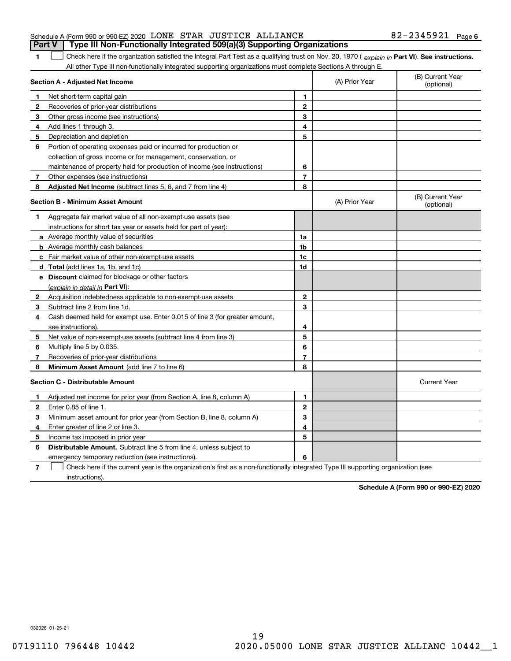|                                                                 |  | <b>Part V</b> Type III Non-Functionally Integrated 509(a)(3) Supporting Organizations |                   |  |
|-----------------------------------------------------------------|--|---------------------------------------------------------------------------------------|-------------------|--|
| Schedule A (Form 990 or 990-EZ) 2020 LONE STAR JUSTICE ALLIANCE |  |                                                                                       | 82-2345921 Page 6 |  |

**Part VI** Check here if the organization satisfied the Integral Part Test as a qualifying trust on Nov. 20, 1970 ( explain in Part **VI**). See instructions. All other Type III non-functionally integrated supporting organizations must complete Sections A through E.  $\mathcal{L}^{\text{max}}$ 

|              | Section A - Adjusted Net Income                                                                                                   |                | (A) Prior Year | (B) Current Year<br>(optional) |
|--------------|-----------------------------------------------------------------------------------------------------------------------------------|----------------|----------------|--------------------------------|
| 1.           | Net short-term capital gain                                                                                                       | 1              |                |                                |
| $\mathbf{2}$ | Recoveries of prior-year distributions                                                                                            | $\overline{2}$ |                |                                |
| 3            | Other gross income (see instructions)                                                                                             | 3              |                |                                |
| 4            | Add lines 1 through 3.                                                                                                            | 4              |                |                                |
| 5            | Depreciation and depletion                                                                                                        | 5              |                |                                |
| 6            | Portion of operating expenses paid or incurred for production or                                                                  |                |                |                                |
|              | collection of gross income or for management, conservation, or                                                                    |                |                |                                |
|              | maintenance of property held for production of income (see instructions)                                                          | 6              |                |                                |
| 7            | Other expenses (see instructions)                                                                                                 | 7              |                |                                |
| 8            | <b>Adjusted Net Income</b> (subtract lines 5, 6, and 7 from line 4)                                                               | 8              |                |                                |
|              | <b>Section B - Minimum Asset Amount</b>                                                                                           |                | (A) Prior Year | (B) Current Year<br>(optional) |
| 1            | Aggregate fair market value of all non-exempt-use assets (see                                                                     |                |                |                                |
|              | instructions for short tax year or assets held for part of year):                                                                 |                |                |                                |
|              | a Average monthly value of securities                                                                                             | 1a             |                |                                |
|              | <b>b</b> Average monthly cash balances                                                                                            | 1b             |                |                                |
|              | c Fair market value of other non-exempt-use assets                                                                                | 1c             |                |                                |
|              | d Total (add lines 1a, 1b, and 1c)                                                                                                | 1d             |                |                                |
|              | e Discount claimed for blockage or other factors                                                                                  |                |                |                                |
|              | (explain in detail in Part VI):                                                                                                   |                |                |                                |
| 2            | Acquisition indebtedness applicable to non-exempt-use assets                                                                      | $\mathbf 2$    |                |                                |
| 3            | Subtract line 2 from line 1d.                                                                                                     | 3              |                |                                |
| 4            | Cash deemed held for exempt use. Enter 0.015 of line 3 (for greater amount,                                                       |                |                |                                |
|              | see instructions)                                                                                                                 | 4              |                |                                |
| 5            | Net value of non-exempt-use assets (subtract line 4 from line 3)                                                                  | 5              |                |                                |
| 6            | Multiply line 5 by 0.035.                                                                                                         | 6              |                |                                |
| 7            | Recoveries of prior-year distributions                                                                                            | 7              |                |                                |
| 8            | Minimum Asset Amount (add line 7 to line 6)                                                                                       | 8              |                |                                |
|              | <b>Section C - Distributable Amount</b>                                                                                           |                |                | <b>Current Year</b>            |
| 1            | Adjusted net income for prior year (from Section A, line 8, column A)                                                             | $\mathbf{1}$   |                |                                |
| 2            | Enter 0.85 of line 1.                                                                                                             | $\overline{2}$ |                |                                |
| 3            | Minimum asset amount for prior year (from Section B, line 8, column A)                                                            | 3              |                |                                |
| 4            | Enter greater of line 2 or line 3.                                                                                                | 4              |                |                                |
| 5            | Income tax imposed in prior year                                                                                                  | 5              |                |                                |
| 6            | <b>Distributable Amount.</b> Subtract line 5 from line 4, unless subject to                                                       |                |                |                                |
|              | emergency temporary reduction (see instructions).                                                                                 | 6              |                |                                |
| 7            | Check here if the current year is the organization's first as a non-functionally integrated Type III supporting organization (see |                |                |                                |

instructions).

**1**

**Schedule A (Form 990 or 990-EZ) 2020**

032026 01-25-21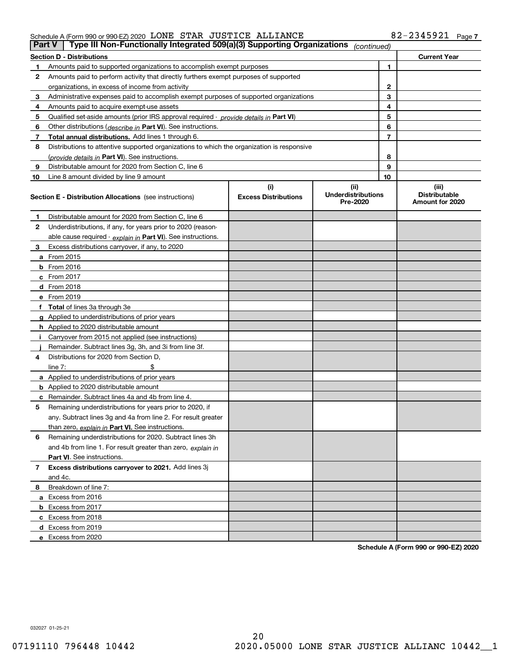#### Schedule A (Form 990 or 990-EZ) 2020 Page LONE STAR JUSTICE ALLIANCE 82-2345921

| <b>Part V</b> | Type III Non-Functionally Integrated 509(a)(3) Supporting Organizations                    |                             | (continued)                           |              |                                         |
|---------------|--------------------------------------------------------------------------------------------|-----------------------------|---------------------------------------|--------------|-----------------------------------------|
|               | <b>Section D - Distributions</b>                                                           |                             |                                       |              | <b>Current Year</b>                     |
| 1             | Amounts paid to supported organizations to accomplish exempt purposes                      |                             |                                       | 1            |                                         |
| 2             | Amounts paid to perform activity that directly furthers exempt purposes of supported       |                             |                                       |              |                                         |
|               | organizations, in excess of income from activity                                           |                             |                                       | $\mathbf{2}$ |                                         |
| 3             | Administrative expenses paid to accomplish exempt purposes of supported organizations      |                             |                                       | 3            |                                         |
| 4             | Amounts paid to acquire exempt-use assets                                                  |                             |                                       | 4            |                                         |
| 5             | Qualified set-aside amounts (prior IRS approval required - provide details in Part VI)     |                             |                                       | 5            |                                         |
| 6             | Other distributions ( <i>describe in</i> Part VI). See instructions.                       |                             |                                       | 6            |                                         |
| 7             | Total annual distributions. Add lines 1 through 6.                                         |                             |                                       | 7            |                                         |
| 8             | Distributions to attentive supported organizations to which the organization is responsive |                             |                                       |              |                                         |
|               | (provide details in Part VI). See instructions.                                            |                             |                                       | 8            |                                         |
| 9             | Distributable amount for 2020 from Section C, line 6                                       |                             |                                       | 9            |                                         |
| 10            | Line 8 amount divided by line 9 amount                                                     |                             |                                       | 10           |                                         |
|               |                                                                                            | (i)                         | (ii)                                  |              | (iii)                                   |
|               | Section E - Distribution Allocations (see instructions)                                    | <b>Excess Distributions</b> | <b>Underdistributions</b><br>Pre-2020 |              | <b>Distributable</b><br>Amount for 2020 |
| 1             | Distributable amount for 2020 from Section C, line 6                                       |                             |                                       |              |                                         |
| 2             | Underdistributions, if any, for years prior to 2020 (reason-                               |                             |                                       |              |                                         |
|               | able cause required - explain in Part VI). See instructions.                               |                             |                                       |              |                                         |
| 3             | Excess distributions carryover, if any, to 2020                                            |                             |                                       |              |                                         |
|               | <b>a</b> From 2015                                                                         |                             |                                       |              |                                         |
|               | <b>b</b> From 2016                                                                         |                             |                                       |              |                                         |
|               | c From 2017                                                                                |                             |                                       |              |                                         |
|               | <b>d</b> From 2018                                                                         |                             |                                       |              |                                         |
|               | e From 2019                                                                                |                             |                                       |              |                                         |
|               | f Total of lines 3a through 3e                                                             |                             |                                       |              |                                         |
|               | g Applied to underdistributions of prior years                                             |                             |                                       |              |                                         |
|               | <b>h</b> Applied to 2020 distributable amount                                              |                             |                                       |              |                                         |
|               | Carryover from 2015 not applied (see instructions)                                         |                             |                                       |              |                                         |
|               | Remainder. Subtract lines 3g, 3h, and 3i from line 3f.                                     |                             |                                       |              |                                         |
| 4             | Distributions for 2020 from Section D,                                                     |                             |                                       |              |                                         |
|               | line $7:$                                                                                  |                             |                                       |              |                                         |
|               | a Applied to underdistributions of prior years                                             |                             |                                       |              |                                         |
|               | <b>b</b> Applied to 2020 distributable amount                                              |                             |                                       |              |                                         |
|               | c Remainder. Subtract lines 4a and 4b from line 4.                                         |                             |                                       |              |                                         |
| 5             | Remaining underdistributions for years prior to 2020, if                                   |                             |                                       |              |                                         |
|               | any. Subtract lines 3g and 4a from line 2. For result greater                              |                             |                                       |              |                                         |
|               | than zero, explain in Part VI. See instructions.                                           |                             |                                       |              |                                         |
| 6             | Remaining underdistributions for 2020. Subtract lines 3h                                   |                             |                                       |              |                                         |
|               | and 4b from line 1. For result greater than zero, explain in                               |                             |                                       |              |                                         |
|               | Part VI. See instructions.                                                                 |                             |                                       |              |                                         |
| 7             | Excess distributions carryover to 2021. Add lines 3j                                       |                             |                                       |              |                                         |
|               | and 4c.                                                                                    |                             |                                       |              |                                         |
| 8             | Breakdown of line 7:                                                                       |                             |                                       |              |                                         |
|               | a Excess from 2016                                                                         |                             |                                       |              |                                         |
|               | <b>b</b> Excess from 2017                                                                  |                             |                                       |              |                                         |
|               | c Excess from 2018                                                                         |                             |                                       |              |                                         |
|               | d Excess from 2019                                                                         |                             |                                       |              |                                         |
|               | e Excess from 2020                                                                         |                             |                                       |              |                                         |
|               |                                                                                            |                             |                                       |              |                                         |

**Schedule A (Form 990 or 990-EZ) 2020**

032027 01-25-21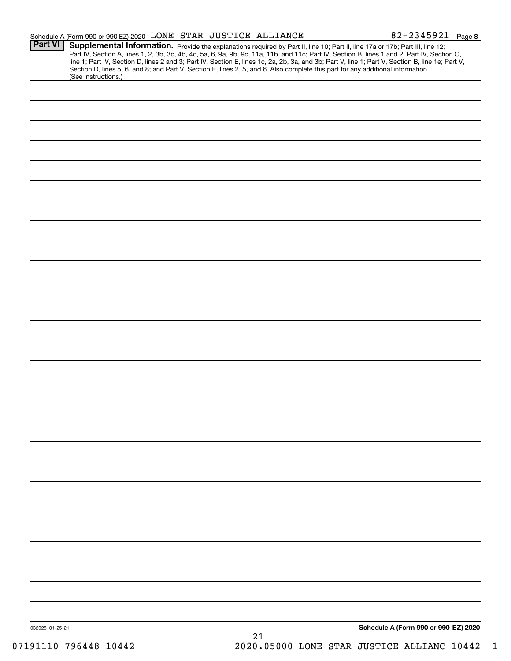|                 | Schedule A (Form 990 or 990-EZ) 2020 LONE STAR JUSTICE ALLIANCE                                                                                                                                                                                                  |    | 82-2345921 Page 8                                                                                                                                                                                                                                                                                |
|-----------------|------------------------------------------------------------------------------------------------------------------------------------------------------------------------------------------------------------------------------------------------------------------|----|--------------------------------------------------------------------------------------------------------------------------------------------------------------------------------------------------------------------------------------------------------------------------------------------------|
| <b>Part VI</b>  | Supplemental Information. Provide the explanations required by Part II, line 10; Part II, line 17a or 17b; Part III, line 12;<br>Section D, lines 5, 6, and 8; and Part V, Section E, lines 2, 5, and 6. Also complete this part for any additional information. |    | Part IV, Section A, lines 1, 2, 3b, 3c, 4b, 4c, 5a, 6, 9a, 9b, 9c, 11a, 11b, and 11c; Part IV, Section B, lines 1 and 2; Part IV, Section C,<br>line 1; Part IV, Section D, lines 2 and 3; Part IV, Section E, lines 1c, 2a, 2b, 3a, and 3b; Part V, line 1; Part V, Section B, line 1e; Part V, |
|                 | (See instructions.)                                                                                                                                                                                                                                              |    |                                                                                                                                                                                                                                                                                                  |
|                 |                                                                                                                                                                                                                                                                  |    |                                                                                                                                                                                                                                                                                                  |
|                 |                                                                                                                                                                                                                                                                  |    |                                                                                                                                                                                                                                                                                                  |
|                 |                                                                                                                                                                                                                                                                  |    |                                                                                                                                                                                                                                                                                                  |
|                 |                                                                                                                                                                                                                                                                  |    |                                                                                                                                                                                                                                                                                                  |
|                 |                                                                                                                                                                                                                                                                  |    |                                                                                                                                                                                                                                                                                                  |
|                 |                                                                                                                                                                                                                                                                  |    |                                                                                                                                                                                                                                                                                                  |
|                 |                                                                                                                                                                                                                                                                  |    |                                                                                                                                                                                                                                                                                                  |
|                 |                                                                                                                                                                                                                                                                  |    |                                                                                                                                                                                                                                                                                                  |
|                 |                                                                                                                                                                                                                                                                  |    |                                                                                                                                                                                                                                                                                                  |
|                 |                                                                                                                                                                                                                                                                  |    |                                                                                                                                                                                                                                                                                                  |
|                 |                                                                                                                                                                                                                                                                  |    |                                                                                                                                                                                                                                                                                                  |
|                 |                                                                                                                                                                                                                                                                  |    |                                                                                                                                                                                                                                                                                                  |
|                 |                                                                                                                                                                                                                                                                  |    |                                                                                                                                                                                                                                                                                                  |
|                 |                                                                                                                                                                                                                                                                  |    |                                                                                                                                                                                                                                                                                                  |
|                 |                                                                                                                                                                                                                                                                  |    |                                                                                                                                                                                                                                                                                                  |
|                 |                                                                                                                                                                                                                                                                  |    |                                                                                                                                                                                                                                                                                                  |
|                 |                                                                                                                                                                                                                                                                  |    |                                                                                                                                                                                                                                                                                                  |
|                 |                                                                                                                                                                                                                                                                  |    |                                                                                                                                                                                                                                                                                                  |
|                 |                                                                                                                                                                                                                                                                  |    |                                                                                                                                                                                                                                                                                                  |
|                 |                                                                                                                                                                                                                                                                  |    |                                                                                                                                                                                                                                                                                                  |
|                 |                                                                                                                                                                                                                                                                  |    |                                                                                                                                                                                                                                                                                                  |
|                 |                                                                                                                                                                                                                                                                  |    |                                                                                                                                                                                                                                                                                                  |
|                 |                                                                                                                                                                                                                                                                  |    |                                                                                                                                                                                                                                                                                                  |
|                 |                                                                                                                                                                                                                                                                  |    |                                                                                                                                                                                                                                                                                                  |
|                 |                                                                                                                                                                                                                                                                  |    |                                                                                                                                                                                                                                                                                                  |
|                 |                                                                                                                                                                                                                                                                  |    |                                                                                                                                                                                                                                                                                                  |
|                 |                                                                                                                                                                                                                                                                  |    |                                                                                                                                                                                                                                                                                                  |
|                 |                                                                                                                                                                                                                                                                  |    |                                                                                                                                                                                                                                                                                                  |
|                 |                                                                                                                                                                                                                                                                  |    |                                                                                                                                                                                                                                                                                                  |
|                 |                                                                                                                                                                                                                                                                  |    |                                                                                                                                                                                                                                                                                                  |
|                 |                                                                                                                                                                                                                                                                  |    |                                                                                                                                                                                                                                                                                                  |
|                 |                                                                                                                                                                                                                                                                  |    |                                                                                                                                                                                                                                                                                                  |
|                 |                                                                                                                                                                                                                                                                  |    |                                                                                                                                                                                                                                                                                                  |
|                 |                                                                                                                                                                                                                                                                  |    |                                                                                                                                                                                                                                                                                                  |
| 032028 01-25-21 |                                                                                                                                                                                                                                                                  | 21 | Schedule A (Form 990 or 990-EZ) 2020                                                                                                                                                                                                                                                             |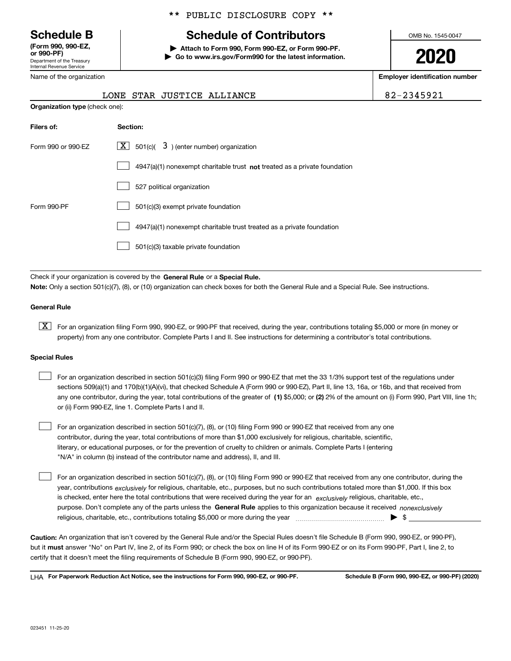Department of the Treasury Internal Revenue Service **(Form 990, 990-EZ, or 990-PF)**

Name of the organization

**Organization type** (check one):

### \*\* PUBLIC DISCLOSURE COPY \*\*

# **Schedule B Schedule of Contributors**

**| Attach to Form 990, Form 990-EZ, or Form 990-PF. | Go to www.irs.gov/Form990 for the latest information.** OMB No. 1545-0047

**2020**

**Employer identification number**

|  |  | 34591 |  |  |  |
|--|--|-------|--|--|--|
|  |  |       |  |  |  |

| LONE STAR JUSTICE ALLIANCE | 82-2345921 |
|----------------------------|------------|
|                            |            |

| Filers of:         | Section:                                                                    |
|--------------------|-----------------------------------------------------------------------------|
| Form 990 or 990-EZ | $3$ ) (enter number) organization<br>$\mathbf{X}$ 501(c)(                   |
|                    | $4947(a)(1)$ nonexempt charitable trust not treated as a private foundation |
|                    | 527 political organization                                                  |
| Form 990-PF        | 501(c)(3) exempt private foundation                                         |
|                    | 4947(a)(1) nonexempt charitable trust treated as a private foundation       |
|                    | 501(c)(3) taxable private foundation                                        |

Check if your organization is covered by the **General Rule** or a **Special Rule. Note:**  Only a section 501(c)(7), (8), or (10) organization can check boxes for both the General Rule and a Special Rule. See instructions.

#### **General Rule**

 $\boxed{\textbf{X}}$  For an organization filing Form 990, 990-EZ, or 990-PF that received, during the year, contributions totaling \$5,000 or more (in money or property) from any one contributor. Complete Parts I and II. See instructions for determining a contributor's total contributions.

#### **Special Rules**

| For an organization described in section 501(c)(3) filing Form 990 or 990-EZ that met the 33 1/3% support test of the regulations under               |
|-------------------------------------------------------------------------------------------------------------------------------------------------------|
| sections 509(a)(1) and 170(b)(1)(A)(vi), that checked Schedule A (Form 990 or 990-EZ), Part II, line 13, 16a, or 16b, and that received from          |
| any one contributor, during the year, total contributions of the greater of (1) \$5,000; or (2) 2% of the amount on (i) Form 990, Part VIII, line 1h; |
| or (ii) Form 990-EZ, line 1. Complete Parts I and II.                                                                                                 |

For an organization described in section 501(c)(7), (8), or (10) filing Form 990 or 990-EZ that received from any one contributor, during the year, total contributions of more than \$1,000 exclusively for religious, charitable, scientific, literary, or educational purposes, or for the prevention of cruelty to children or animals. Complete Parts I (entering "N/A" in column (b) instead of the contributor name and address), II, and III.  $\mathcal{L}^{\text{max}}$ 

purpose. Don't complete any of the parts unless the **General Rule** applies to this organization because it received *nonexclusively* year, contributions <sub>exclusively</sub> for religious, charitable, etc., purposes, but no such contributions totaled more than \$1,000. If this box is checked, enter here the total contributions that were received during the year for an  $\;$ exclusively religious, charitable, etc., For an organization described in section 501(c)(7), (8), or (10) filing Form 990 or 990-EZ that received from any one contributor, during the religious, charitable, etc., contributions totaling \$5,000 or more during the year  $\Box$ — $\Box$   $\Box$  $\mathcal{L}^{\text{max}}$ 

**Caution:**  An organization that isn't covered by the General Rule and/or the Special Rules doesn't file Schedule B (Form 990, 990-EZ, or 990-PF),  **must** but it answer "No" on Part IV, line 2, of its Form 990; or check the box on line H of its Form 990-EZ or on its Form 990-PF, Part I, line 2, to certify that it doesn't meet the filing requirements of Schedule B (Form 990, 990-EZ, or 990-PF).

**For Paperwork Reduction Act Notice, see the instructions for Form 990, 990-EZ, or 990-PF. Schedule B (Form 990, 990-EZ, or 990-PF) (2020)** LHA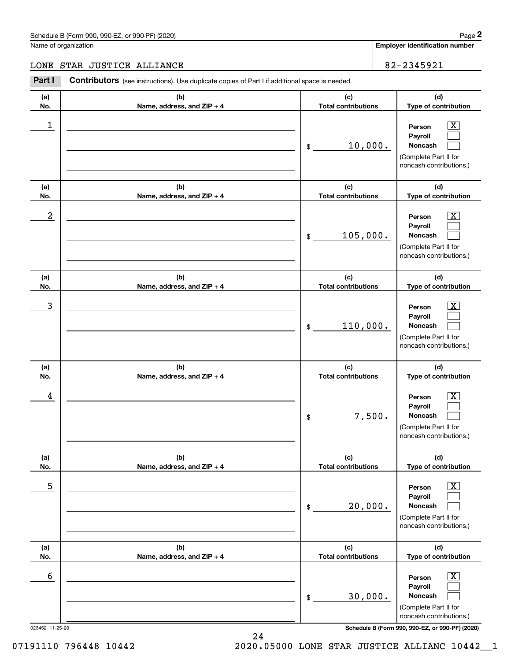# Schedule B (Form 990, 990-EZ, or 990-PF) (2020) Page 2

# LONE STAR JUSTICE ALLIANCE 82-2345921

|                  | Schedule B (Form 990, 990-EZ, or 990-PF) (2020)                                                       |                                   | Page 2                                                                                                      |
|------------------|-------------------------------------------------------------------------------------------------------|-----------------------------------|-------------------------------------------------------------------------------------------------------------|
|                  | Name of organization                                                                                  |                                   | <b>Employer identification number</b>                                                                       |
|                  | LONE STAR JUSTICE ALLIANCE                                                                            |                                   | 82-2345921                                                                                                  |
| Part I           | <b>Contributors</b> (see instructions). Use duplicate copies of Part I if additional space is needed. |                                   |                                                                                                             |
| (a)<br>No.       | (b)<br>Name, address, and ZIP + 4                                                                     | (c)<br><b>Total contributions</b> | (d)<br>Type of contribution                                                                                 |
| 1                |                                                                                                       | 10,000.<br>\$                     | $\overline{\mathbf{X}}$<br>Person<br>Payroll<br>Noncash<br>(Complete Part II for<br>noncash contributions.) |
| (a)<br>No.       | (b)<br>Name, address, and ZIP + 4                                                                     | (c)<br><b>Total contributions</b> | (d)<br>Type of contribution                                                                                 |
| $\boldsymbol{2}$ |                                                                                                       | 105,000.<br>\$                    | $\overline{\mathbf{X}}$<br>Person<br>Payroll<br>Noncash<br>(Complete Part II for<br>noncash contributions.) |
| (a)<br>No.       | (b)<br>Name, address, and ZIP + 4                                                                     | (c)<br><b>Total contributions</b> | (d)<br>Type of contribution                                                                                 |
| 3                |                                                                                                       | 110,000.<br>\$                    | $\overline{\mathbf{X}}$<br>Person<br>Payroll<br>Noncash<br>(Complete Part II for<br>noncash contributions.) |
| (a)<br>No.       | (b)<br>Name, address, and ZIP + 4                                                                     | (c)<br><b>Total contributions</b> | (d)<br>Type of contribution                                                                                 |
| 4                |                                                                                                       | 7,500.<br>\$                      | $\overline{\mathbf{X}}$<br>Person<br>Payroll<br>Noncash<br>(Complete Part II for<br>noncash contributions.) |
| (a)<br>No.       | (b)<br>Name, address, and ZIP + 4                                                                     | (c)<br><b>Total contributions</b> | (d)<br>Type of contribution                                                                                 |
| 5                |                                                                                                       | 20,000.<br>\$                     | $\overline{\mathbf{X}}$<br>Person<br>Payroll<br>Noncash<br>(Complete Part II for<br>noncash contributions.) |
| (a)<br>No.       | (b)<br>Name, address, and ZIP + 4                                                                     | (c)<br><b>Total contributions</b> | (d)<br>Type of contribution                                                                                 |
| 6                |                                                                                                       | 30,000.<br>\$                     | $\overline{\mathbf{X}}$<br>Person<br>Payroll<br>Noncash<br>(Complete Part II for<br>noncash contributions.) |
| 023452 11-25-20  |                                                                                                       |                                   | Schedule B (Form 990, 990-EZ, or 990-PF) (2020)                                                             |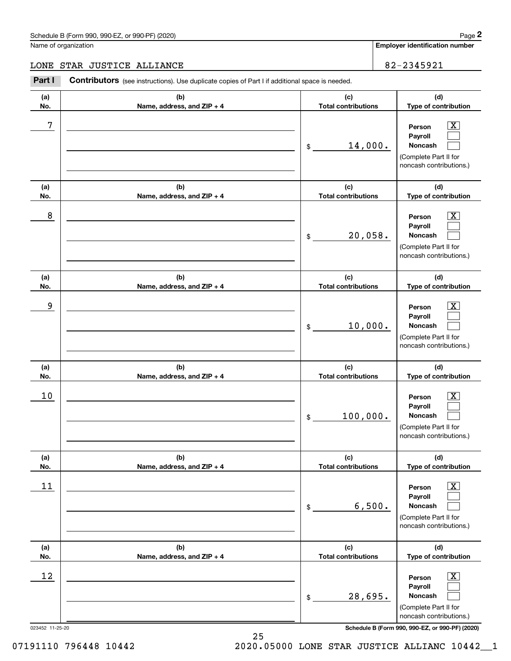# Schedule B (Form 990, 990-EZ, or 990-PF) (2020) Page 2

# LONE STAR JUSTICE ALLIANCE 82-2345921

|                 | Schedule B (Form 990, 990-EZ, or 990-PF) (2020)                                                       |                                   |        | Page 2                                                                                                      |
|-----------------|-------------------------------------------------------------------------------------------------------|-----------------------------------|--------|-------------------------------------------------------------------------------------------------------------|
|                 | Name of organization                                                                                  |                                   |        | <b>Employer identification number</b>                                                                       |
|                 | LONE STAR JUSTICE ALLIANCE                                                                            |                                   |        | 82-2345921                                                                                                  |
| Part I          | <b>Contributors</b> (see instructions). Use duplicate copies of Part I if additional space is needed. |                                   |        |                                                                                                             |
| (a)<br>No.      | (b)<br>Name, address, and ZIP + 4                                                                     | (c)<br><b>Total contributions</b> |        | (d)<br>Type of contribution                                                                                 |
| 7               |                                                                                                       | 14,000.<br>\$                     |        | $\overline{\mathbf{X}}$<br>Person<br>Payroll<br>Noncash<br>(Complete Part II for<br>noncash contributions.) |
| (a)<br>No.      | (b)<br>Name, address, and ZIP + 4                                                                     | (c)<br><b>Total contributions</b> |        | (d)<br>Type of contribution                                                                                 |
| 8               |                                                                                                       | 20,058.<br>\$                     |        | $\overline{\mathbf{X}}$<br>Person<br>Payroll<br>Noncash<br>(Complete Part II for<br>noncash contributions.) |
| (a)<br>No.      | (b)<br>Name, address, and ZIP + 4                                                                     | (c)<br><b>Total contributions</b> |        | (d)<br>Type of contribution                                                                                 |
| 9               |                                                                                                       | 10,000.<br>\$                     |        | $\overline{\mathbf{X}}$<br>Person<br>Payroll<br>Noncash<br>(Complete Part II for<br>noncash contributions.) |
| (a)<br>No.      | (b)<br>Name, address, and ZIP + 4                                                                     | (c)<br><b>Total contributions</b> |        | (d)<br>Type of contribution                                                                                 |
| 10              |                                                                                                       | 100,000.<br>\$                    |        | $\overline{\mathbf{X}}$<br>Person<br>Payroll<br>Noncash<br>(Complete Part II for<br>noncash contributions.) |
| (a)<br>No.      | (b)<br>Name, address, and ZIP + 4                                                                     | (c)<br><b>Total contributions</b> |        | (d)<br>Type of contribution                                                                                 |
| 11              |                                                                                                       | \$                                | 6,500. | $\overline{\mathbf{X}}$<br>Person<br>Payroll<br>Noncash<br>(Complete Part II for<br>noncash contributions.) |
| (a)<br>No.      | (b)<br>Name, address, and ZIP + 4                                                                     | (c)<br><b>Total contributions</b> |        | (d)<br>Type of contribution                                                                                 |
| 12              |                                                                                                       | 28,695.<br>\$                     |        | $\overline{\mathbf{X}}$<br>Person<br>Payroll<br>Noncash<br>(Complete Part II for<br>noncash contributions.) |
| 023452 11-25-20 |                                                                                                       |                                   |        | Schedule B (Form 990, 990-EZ, or 990-PF) (2020)                                                             |

25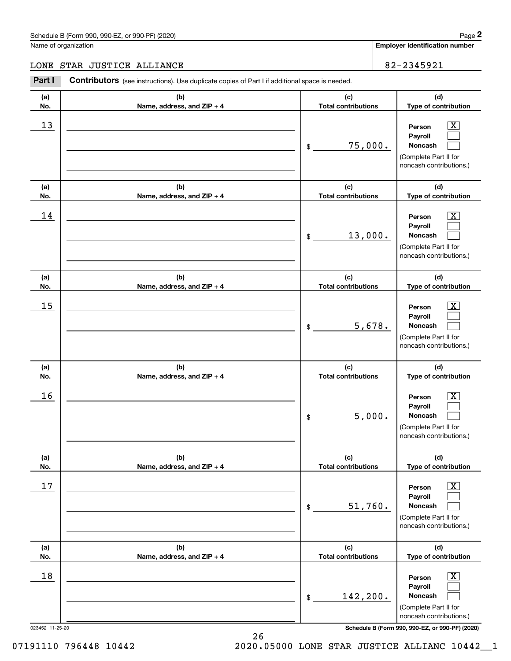# LONE STAR JUSTICE ALLIANCE 82-2345921

|                      | Schedule B (Form 990, 990-EZ, or 990-PF) (2020)                                                       | Page 2                                                                                                                   |
|----------------------|-------------------------------------------------------------------------------------------------------|--------------------------------------------------------------------------------------------------------------------------|
| Name of organization |                                                                                                       | <b>Employer identification number</b>                                                                                    |
|                      | LONE STAR JUSTICE ALLIANCE                                                                            | 82-2345921                                                                                                               |
| Part I               | <b>Contributors</b> (see instructions). Use duplicate copies of Part I if additional space is needed. |                                                                                                                          |
| (a)<br>No.           | (b)<br>Name, address, and ZIP + 4                                                                     | (c)<br>(d)<br><b>Total contributions</b><br>Type of contribution                                                         |
| 13                   |                                                                                                       | $\mathbf{X}$<br>Person<br>Payroll<br>75,000.<br>Noncash<br>\$<br>(Complete Part II for<br>noncash contributions.)        |
| (a)<br>No.           | (b)<br>Name, address, and ZIP + 4                                                                     | (c)<br>(d)<br><b>Total contributions</b><br>Type of contribution                                                         |
| 14                   |                                                                                                       | $\mathbf{X}$<br>Person<br>Payroll<br>13,000.<br><b>Noncash</b><br>\$<br>(Complete Part II for<br>noncash contributions.) |
| (a)<br>No.           | (b)<br>Name, address, and ZIP + 4                                                                     | (c)<br>(d)<br><b>Total contributions</b><br>Type of contribution                                                         |
| 15                   |                                                                                                       | $\mathbf{X}$<br>Person<br>Payroll<br>5,678.<br>Noncash<br>\$<br>(Complete Part II for<br>noncash contributions.)         |
| (a)<br>No.           | (b)<br>Name, address, and ZIP + 4                                                                     | (c)<br>(d)<br><b>Total contributions</b><br>Type of contribution                                                         |
| 16                   |                                                                                                       | $\mathbf{X}$<br>Person<br>Payroll<br>5,000.<br>Noncash<br>\$<br>(Complete Part II for<br>noncash contributions.)         |
| (a)<br>No.           | (b)<br>Name, address, and ZIP + 4                                                                     | (c)<br>(d)<br><b>Total contributions</b><br>Type of contribution                                                         |
| 17                   |                                                                                                       | $\boxed{\text{X}}$<br>Person<br>Payroll<br>51,760.<br>Noncash<br>\$<br>(Complete Part II for<br>noncash contributions.)  |
| (a)<br>No.           | (b)<br>Name, address, and ZIP + 4                                                                     | (c)<br>(d)<br><b>Total contributions</b><br>Type of contribution                                                         |
| 18                   |                                                                                                       | $\boxed{\text{X}}$<br>Person<br>Payroll<br>142,200.<br>Noncash<br>\$<br>(Complete Part II for<br>noncash contributions.) |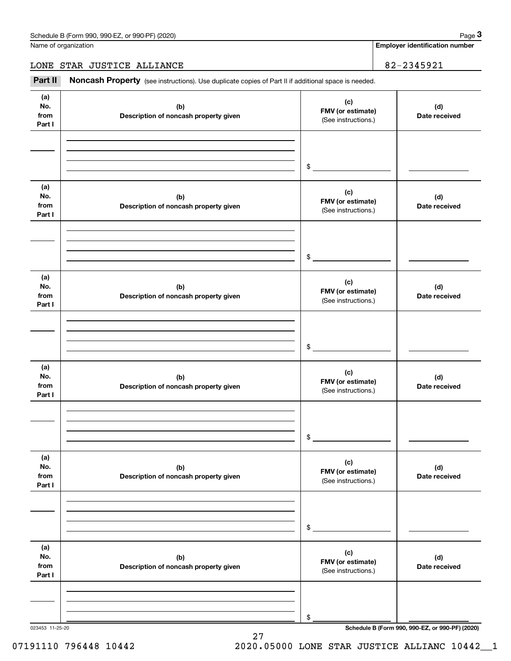Name of organization

**Employer identification number**

LONE STAR JUSTICE ALLIANCE 82-2345921

Chedule B (Form 990, 990-EZ, or 990-PF) (2020)<br>
lame of organization<br> **3Part II if additional space is needed.**<br> **Part II if additional space is needed.**<br> **Part II if additional space is needed.** 

| (a)<br>No.<br>from<br>Part I | (b)<br>Description of noncash property given | (c)<br>FMV (or estimate)<br>(See instructions.) | (d)<br>Date received                            |
|------------------------------|----------------------------------------------|-------------------------------------------------|-------------------------------------------------|
|                              |                                              | $\mathfrak{S}$                                  |                                                 |
| (a)<br>No.<br>from<br>Part I | (b)<br>Description of noncash property given | (c)<br>FMV (or estimate)<br>(See instructions.) | (d)<br>Date received                            |
|                              |                                              | $\mathfrak{S}$                                  |                                                 |
| (a)<br>No.<br>from<br>Part I | (b)<br>Description of noncash property given | (c)<br>FMV (or estimate)<br>(See instructions.) | (d)<br>Date received                            |
|                              |                                              | $\mathfrak{S}$                                  |                                                 |
| (a)<br>No.<br>from<br>Part I | (b)<br>Description of noncash property given | (c)<br>FMV (or estimate)<br>(See instructions.) | (d)<br>Date received                            |
|                              |                                              | \$                                              |                                                 |
| (a)<br>No.<br>from<br>Part I | (b)<br>Description of noncash property given | (c)<br>FMV (or estimate)<br>(See instructions.) | (d)<br>Date received                            |
|                              |                                              | \$                                              |                                                 |
| (a)<br>No.<br>from<br>Part I | (b)<br>Description of noncash property given | (c)<br>FMV (or estimate)<br>(See instructions.) | (d)<br>Date received                            |
|                              |                                              | \$                                              |                                                 |
| 023453 11-25-20              |                                              |                                                 | Schedule B (Form 990, 990-EZ, or 990-PF) (2020) |

27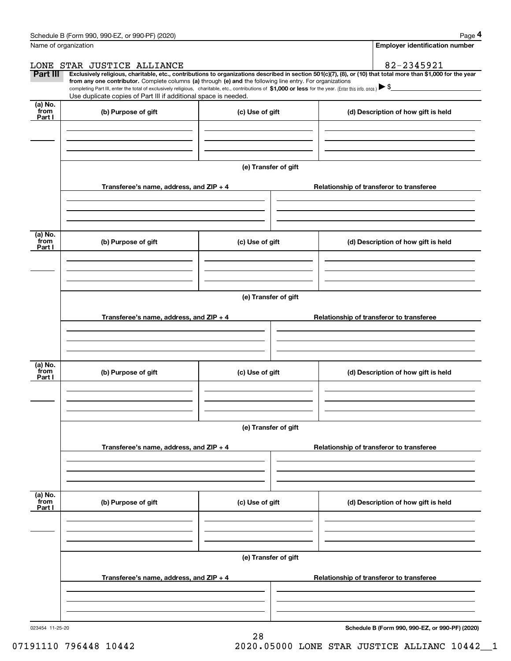|                 | Schedule B (Form 990, 990-EZ, or 990-PF) (2020)                                                                                                                                                                                                                              |                      |                                          | Page 4                                |
|-----------------|------------------------------------------------------------------------------------------------------------------------------------------------------------------------------------------------------------------------------------------------------------------------------|----------------------|------------------------------------------|---------------------------------------|
|                 | Name of organization                                                                                                                                                                                                                                                         |                      |                                          | <b>Employer identification number</b> |
|                 | LONE STAR JUSTICE ALLIANCE                                                                                                                                                                                                                                                   |                      |                                          | 82-2345921                            |
| Part III        | Exclusively religious, charitable, etc., contributions to organizations described in section 501(c)(7), (8), or (10) that total more than \$1,000 for the year<br>from any one contributor. Complete columns (a) through (e) and the following line entry. For organizations |                      |                                          |                                       |
|                 | completing Part III, enter the total of exclusively religious, charitable, etc., contributions of \$1,000 or less for the year. (Enter this info. once.) $\blacktriangleright$ \$<br>Use duplicate copies of Part III if additional space is needed.                         |                      |                                          |                                       |
| (a) No.<br>from | (b) Purpose of gift                                                                                                                                                                                                                                                          | (c) Use of gift      | (d) Description of how gift is held      |                                       |
| Part I          |                                                                                                                                                                                                                                                                              |                      |                                          |                                       |
|                 |                                                                                                                                                                                                                                                                              |                      |                                          |                                       |
|                 |                                                                                                                                                                                                                                                                              |                      |                                          |                                       |
|                 |                                                                                                                                                                                                                                                                              | (e) Transfer of gift |                                          |                                       |
|                 |                                                                                                                                                                                                                                                                              |                      |                                          |                                       |
|                 | Transferee's name, address, and ZIP + 4                                                                                                                                                                                                                                      |                      | Relationship of transferor to transferee |                                       |
|                 |                                                                                                                                                                                                                                                                              |                      |                                          |                                       |
|                 |                                                                                                                                                                                                                                                                              |                      |                                          |                                       |
| (a) No.         |                                                                                                                                                                                                                                                                              |                      |                                          |                                       |
| from<br>Part I  | (b) Purpose of gift                                                                                                                                                                                                                                                          | (c) Use of gift      | (d) Description of how gift is held      |                                       |
|                 |                                                                                                                                                                                                                                                                              |                      |                                          |                                       |
|                 |                                                                                                                                                                                                                                                                              |                      |                                          |                                       |
|                 |                                                                                                                                                                                                                                                                              | (e) Transfer of gift |                                          |                                       |
|                 |                                                                                                                                                                                                                                                                              |                      |                                          |                                       |
|                 | Transferee's name, address, and ZIP + 4                                                                                                                                                                                                                                      |                      | Relationship of transferor to transferee |                                       |
|                 |                                                                                                                                                                                                                                                                              |                      |                                          |                                       |
|                 |                                                                                                                                                                                                                                                                              |                      |                                          |                                       |
| (a) No.         |                                                                                                                                                                                                                                                                              |                      |                                          |                                       |
| from<br>Part I  | (b) Purpose of gift                                                                                                                                                                                                                                                          | (c) Use of gift      | (d) Description of how gift is held      |                                       |
|                 |                                                                                                                                                                                                                                                                              |                      |                                          |                                       |
|                 |                                                                                                                                                                                                                                                                              |                      |                                          |                                       |
|                 |                                                                                                                                                                                                                                                                              | (e) Transfer of gift |                                          |                                       |
|                 |                                                                                                                                                                                                                                                                              |                      |                                          |                                       |
|                 | Transferee's name, address, and ZIP + 4                                                                                                                                                                                                                                      |                      | Relationship of transferor to transferee |                                       |
|                 |                                                                                                                                                                                                                                                                              |                      |                                          |                                       |
|                 |                                                                                                                                                                                                                                                                              |                      |                                          |                                       |
| (a) No.<br>from |                                                                                                                                                                                                                                                                              |                      |                                          |                                       |
| Part I          | (b) Purpose of gift                                                                                                                                                                                                                                                          | (c) Use of gift      | (d) Description of how gift is held      |                                       |
|                 |                                                                                                                                                                                                                                                                              |                      |                                          |                                       |
|                 |                                                                                                                                                                                                                                                                              |                      |                                          |                                       |
|                 |                                                                                                                                                                                                                                                                              |                      |                                          |                                       |
|                 |                                                                                                                                                                                                                                                                              | (e) Transfer of gift |                                          |                                       |
|                 | Transferee's name, address, and ZIP + 4                                                                                                                                                                                                                                      |                      | Relationship of transferor to transferee |                                       |
|                 |                                                                                                                                                                                                                                                                              |                      |                                          |                                       |
|                 |                                                                                                                                                                                                                                                                              |                      |                                          |                                       |
|                 |                                                                                                                                                                                                                                                                              |                      |                                          |                                       |

28

**Schedule B (Form 990, 990-EZ, or 990-PF) (2020)**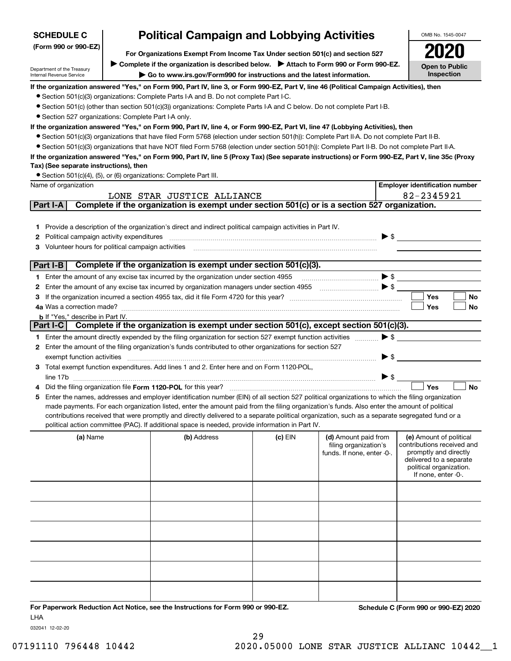| <b>Political Campaign and Lobbying Activities</b><br><b>SCHEDULE C</b><br>OMB No. 1545-0047 |                                                                                                                                         |                                                                                                                                                                                                                                                                                               |           |                            |                                                  |  |  |  |  |
|---------------------------------------------------------------------------------------------|-----------------------------------------------------------------------------------------------------------------------------------------|-----------------------------------------------------------------------------------------------------------------------------------------------------------------------------------------------------------------------------------------------------------------------------------------------|-----------|----------------------------|--------------------------------------------------|--|--|--|--|
| (Form 990 or 990-EZ)                                                                        | For Organizations Exempt From Income Tax Under section 501(c) and section 527                                                           |                                                                                                                                                                                                                                                                                               |           |                            |                                                  |  |  |  |  |
|                                                                                             | Complete if the organization is described below. > Attach to Form 990 or Form 990-EZ.                                                   |                                                                                                                                                                                                                                                                                               |           |                            |                                                  |  |  |  |  |
| Department of the Treasury<br>Internal Revenue Service                                      |                                                                                                                                         | Go to www.irs.gov/Form990 for instructions and the latest information.                                                                                                                                                                                                                        |           |                            | <b>Open to Public</b><br>Inspection              |  |  |  |  |
|                                                                                             | If the organization answered "Yes," on Form 990, Part IV, line 3, or Form 990-EZ, Part V, line 46 (Political Campaign Activities), then |                                                                                                                                                                                                                                                                                               |           |                            |                                                  |  |  |  |  |
|                                                                                             |                                                                                                                                         | • Section 501(c)(3) organizations: Complete Parts I-A and B. Do not complete Part I-C.                                                                                                                                                                                                        |           |                            |                                                  |  |  |  |  |
|                                                                                             |                                                                                                                                         | • Section 501(c) (other than section 501(c)(3)) organizations: Complete Parts I-A and C below. Do not complete Part I-B.                                                                                                                                                                      |           |                            |                                                  |  |  |  |  |
| • Section 527 organizations: Complete Part I-A only.                                        |                                                                                                                                         |                                                                                                                                                                                                                                                                                               |           |                            |                                                  |  |  |  |  |
|                                                                                             |                                                                                                                                         | If the organization answered "Yes," on Form 990, Part IV, line 4, or Form 990-EZ, Part VI, line 47 (Lobbying Activities), then<br>• Section 501(c)(3) organizations that have filed Form 5768 (election under section 501(h)): Complete Part II-A. Do not complete Part II-B.                 |           |                            |                                                  |  |  |  |  |
|                                                                                             |                                                                                                                                         | • Section 501(c)(3) organizations that have NOT filed Form 5768 (election under section 501(h)): Complete Part II-B. Do not complete Part II-A.                                                                                                                                               |           |                            |                                                  |  |  |  |  |
|                                                                                             |                                                                                                                                         | If the organization answered "Yes," on Form 990, Part IV, line 5 (Proxy Tax) (See separate instructions) or Form 990-EZ, Part V, line 35c (Proxy                                                                                                                                              |           |                            |                                                  |  |  |  |  |
| Tax) (See separate instructions), then                                                      |                                                                                                                                         |                                                                                                                                                                                                                                                                                               |           |                            |                                                  |  |  |  |  |
|                                                                                             |                                                                                                                                         | • Section 501(c)(4), (5), or (6) organizations: Complete Part III.                                                                                                                                                                                                                            |           |                            |                                                  |  |  |  |  |
| Name of organization                                                                        |                                                                                                                                         |                                                                                                                                                                                                                                                                                               |           |                            | <b>Employer identification number</b>            |  |  |  |  |
|                                                                                             |                                                                                                                                         | LONE STAR JUSTICE ALLIANCE                                                                                                                                                                                                                                                                    |           |                            | 82-2345921                                       |  |  |  |  |
| Part I-A                                                                                    |                                                                                                                                         | Complete if the organization is exempt under section 501(c) or is a section 527 organization.                                                                                                                                                                                                 |           |                            |                                                  |  |  |  |  |
|                                                                                             |                                                                                                                                         |                                                                                                                                                                                                                                                                                               |           |                            |                                                  |  |  |  |  |
| 1.<br>Political campaign activity expenditures                                              |                                                                                                                                         | Provide a description of the organization's direct and indirect political campaign activities in Part IV.                                                                                                                                                                                     |           |                            | $\blacktriangleright$ \$                         |  |  |  |  |
| 2<br>Volunteer hours for political campaign activities<br>3                                 |                                                                                                                                         |                                                                                                                                                                                                                                                                                               |           |                            |                                                  |  |  |  |  |
|                                                                                             |                                                                                                                                         |                                                                                                                                                                                                                                                                                               |           |                            |                                                  |  |  |  |  |
| Part I-B                                                                                    |                                                                                                                                         | Complete if the organization is exempt under section 501(c)(3).                                                                                                                                                                                                                               |           |                            |                                                  |  |  |  |  |
|                                                                                             |                                                                                                                                         | 1 Enter the amount of any excise tax incurred by the organization under section 4955                                                                                                                                                                                                          |           |                            |                                                  |  |  |  |  |
| 2                                                                                           |                                                                                                                                         |                                                                                                                                                                                                                                                                                               |           |                            |                                                  |  |  |  |  |
| 3                                                                                           |                                                                                                                                         |                                                                                                                                                                                                                                                                                               |           |                            | Yes<br>No                                        |  |  |  |  |
| 4a Was a correction made?                                                                   |                                                                                                                                         |                                                                                                                                                                                                                                                                                               |           |                            | Yes<br>No                                        |  |  |  |  |
| <b>b</b> If "Yes," describe in Part IV.<br>Part I-C $\vert$                                 |                                                                                                                                         | Complete if the organization is exempt under section 501(c), except section 501(c)(3).                                                                                                                                                                                                        |           |                            |                                                  |  |  |  |  |
|                                                                                             |                                                                                                                                         | 1 Enter the amount directly expended by the filing organization for section 527 exempt function activities                                                                                                                                                                                    |           | $\blacktriangleright$ \$   |                                                  |  |  |  |  |
|                                                                                             |                                                                                                                                         | 2 Enter the amount of the filing organization's funds contributed to other organizations for section 527                                                                                                                                                                                      |           |                            |                                                  |  |  |  |  |
| exempt function activities                                                                  |                                                                                                                                         |                                                                                                                                                                                                                                                                                               |           | ▶ \$                       |                                                  |  |  |  |  |
|                                                                                             |                                                                                                                                         | Total exempt function expenditures. Add lines 1 and 2. Enter here and on Form 1120-POL,                                                                                                                                                                                                       |           |                            |                                                  |  |  |  |  |
|                                                                                             |                                                                                                                                         |                                                                                                                                                                                                                                                                                               |           | $\blacktriangleright$ \$   |                                                  |  |  |  |  |
|                                                                                             |                                                                                                                                         | Did the filing organization file Form 1120-POL for this year?                                                                                                                                                                                                                                 |           |                            | Yes<br><b>No</b>                                 |  |  |  |  |
| 5                                                                                           |                                                                                                                                         | Enter the names, addresses and employer identification number (EIN) of all section 527 political organizations to which the filing organization                                                                                                                                               |           |                            |                                                  |  |  |  |  |
|                                                                                             |                                                                                                                                         | made payments. For each organization listed, enter the amount paid from the filing organization's funds. Also enter the amount of political<br>contributions received that were promptly and directly delivered to a separate political organization, such as a separate segregated fund or a |           |                            |                                                  |  |  |  |  |
|                                                                                             |                                                                                                                                         | political action committee (PAC). If additional space is needed, provide information in Part IV.                                                                                                                                                                                              |           |                            |                                                  |  |  |  |  |
| (a) Name                                                                                    |                                                                                                                                         | (b) Address                                                                                                                                                                                                                                                                                   | $(c)$ EIN | (d) Amount paid from       | (e) Amount of political                          |  |  |  |  |
|                                                                                             |                                                                                                                                         |                                                                                                                                                                                                                                                                                               |           | filing organization's      | contributions received and                       |  |  |  |  |
|                                                                                             |                                                                                                                                         |                                                                                                                                                                                                                                                                                               |           | funds. If none, enter -0-. | promptly and directly<br>delivered to a separate |  |  |  |  |
|                                                                                             |                                                                                                                                         |                                                                                                                                                                                                                                                                                               |           |                            | political organization.                          |  |  |  |  |
|                                                                                             |                                                                                                                                         |                                                                                                                                                                                                                                                                                               |           |                            | If none, enter -0-.                              |  |  |  |  |
|                                                                                             |                                                                                                                                         |                                                                                                                                                                                                                                                                                               |           |                            |                                                  |  |  |  |  |
|                                                                                             |                                                                                                                                         |                                                                                                                                                                                                                                                                                               |           |                            |                                                  |  |  |  |  |
|                                                                                             |                                                                                                                                         |                                                                                                                                                                                                                                                                                               |           |                            |                                                  |  |  |  |  |
|                                                                                             |                                                                                                                                         |                                                                                                                                                                                                                                                                                               |           |                            |                                                  |  |  |  |  |
|                                                                                             |                                                                                                                                         |                                                                                                                                                                                                                                                                                               |           |                            |                                                  |  |  |  |  |
|                                                                                             |                                                                                                                                         |                                                                                                                                                                                                                                                                                               |           |                            |                                                  |  |  |  |  |
|                                                                                             |                                                                                                                                         |                                                                                                                                                                                                                                                                                               |           |                            |                                                  |  |  |  |  |
|                                                                                             |                                                                                                                                         |                                                                                                                                                                                                                                                                                               |           |                            |                                                  |  |  |  |  |
|                                                                                             |                                                                                                                                         |                                                                                                                                                                                                                                                                                               |           |                            |                                                  |  |  |  |  |
|                                                                                             |                                                                                                                                         |                                                                                                                                                                                                                                                                                               |           |                            |                                                  |  |  |  |  |
|                                                                                             |                                                                                                                                         |                                                                                                                                                                                                                                                                                               |           |                            |                                                  |  |  |  |  |
| <b>LHA</b>                                                                                  |                                                                                                                                         | For Paperwork Reduction Act Notice, see the Instructions for Form 990 or 990-EZ.                                                                                                                                                                                                              |           |                            | Schedule C (Form 990 or 990-EZ) 2020             |  |  |  |  |

032041 12-02-20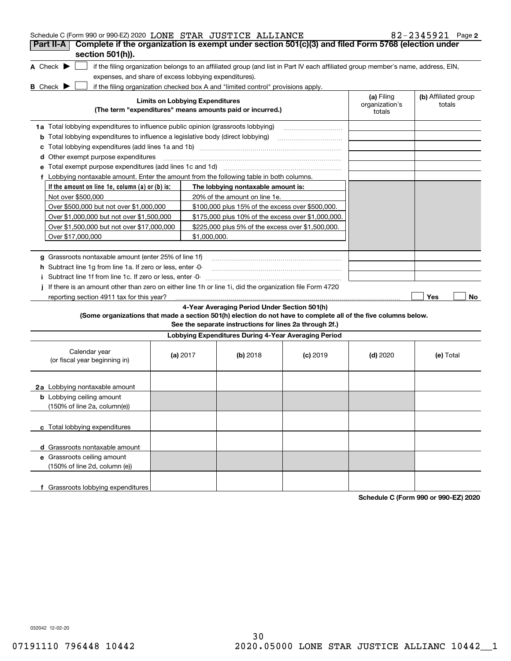| Schedule C (Form 990 or 990-EZ) 2020 LONE STAR JUSTICE ALLIANCE<br>Complete if the organization is exempt under section 501(c)(3) and filed Form 5768 (election under<br>Part II-A |                                                                                                                                                                                                                                                                                                                                                   |                                                                                                         |                                                                                                                                   |                              | $82 - 2345921$ Page 2          |
|------------------------------------------------------------------------------------------------------------------------------------------------------------------------------------|---------------------------------------------------------------------------------------------------------------------------------------------------------------------------------------------------------------------------------------------------------------------------------------------------------------------------------------------------|---------------------------------------------------------------------------------------------------------|-----------------------------------------------------------------------------------------------------------------------------------|------------------------------|--------------------------------|
| section 501(h)).<br>A Check $\blacktriangleright$<br>expenses, and share of excess lobbying expenditures).                                                                         |                                                                                                                                                                                                                                                                                                                                                   |                                                                                                         | if the filing organization belongs to an affiliated group (and list in Part IV each affiliated group member's name, address, EIN, |                              |                                |
| <b>B</b> Check $\blacktriangleright$                                                                                                                                               | <b>Limits on Lobbying Expenditures</b>                                                                                                                                                                                                                                                                                                            | if the filing organization checked box A and "limited control" provisions apply.                        |                                                                                                                                   | (a) Filing<br>organization's | (b) Affiliated group<br>totals |
|                                                                                                                                                                                    |                                                                                                                                                                                                                                                                                                                                                   | (The term "expenditures" means amounts paid or incurred.)                                               |                                                                                                                                   | totals                       |                                |
| 1a Total lobbying expenditures to influence public opinion (grassroots lobbying)                                                                                                   |                                                                                                                                                                                                                                                                                                                                                   |                                                                                                         |                                                                                                                                   |                              |                                |
| <b>b</b> Total lobbying expenditures to influence a legislative body (direct lobbying)                                                                                             |                                                                                                                                                                                                                                                                                                                                                   |                                                                                                         |                                                                                                                                   |                              |                                |
| с                                                                                                                                                                                  |                                                                                                                                                                                                                                                                                                                                                   |                                                                                                         |                                                                                                                                   |                              |                                |
| <b>d</b> Other exempt purpose expenditures                                                                                                                                         |                                                                                                                                                                                                                                                                                                                                                   |                                                                                                         |                                                                                                                                   |                              |                                |
| е                                                                                                                                                                                  |                                                                                                                                                                                                                                                                                                                                                   |                                                                                                         |                                                                                                                                   |                              |                                |
| f Lobbying nontaxable amount. Enter the amount from the following table in both columns.                                                                                           |                                                                                                                                                                                                                                                                                                                                                   |                                                                                                         |                                                                                                                                   |                              |                                |
| If the amount on line 1e, column $(a)$ or $(b)$ is:                                                                                                                                |                                                                                                                                                                                                                                                                                                                                                   | The lobbying nontaxable amount is:                                                                      |                                                                                                                                   |                              |                                |
| Not over \$500,000                                                                                                                                                                 |                                                                                                                                                                                                                                                                                                                                                   | 20% of the amount on line 1e.                                                                           |                                                                                                                                   |                              |                                |
| Over \$500,000 but not over \$1,000,000                                                                                                                                            |                                                                                                                                                                                                                                                                                                                                                   | \$100,000 plus 15% of the excess over \$500,000.                                                        |                                                                                                                                   |                              |                                |
| Over \$1,000,000 but not over \$1,500,000                                                                                                                                          |                                                                                                                                                                                                                                                                                                                                                   | \$175,000 plus 10% of the excess over \$1,000,000.                                                      |                                                                                                                                   |                              |                                |
| Over \$1,500,000 but not over \$17,000,000                                                                                                                                         |                                                                                                                                                                                                                                                                                                                                                   | \$225,000 plus 5% of the excess over \$1,500,000.                                                       |                                                                                                                                   |                              |                                |
| Over \$17,000,000                                                                                                                                                                  | \$1,000,000.                                                                                                                                                                                                                                                                                                                                      |                                                                                                         |                                                                                                                                   |                              |                                |
|                                                                                                                                                                                    | g Grassroots nontaxable amount (enter 25% of line 1f)<br><b>h</b> Subtract line 1g from line 1a. If zero or less, enter 0-<br>i Subtract line 1f from line 1c. If zero or less, enter -0-<br>If there is an amount other than zero on either line 1h or line 1i, did the organization file Form 4720<br>reporting section 4911 tax for this year? |                                                                                                         |                                                                                                                                   |                              |                                |
| (Some organizations that made a section 501(h) election do not have to complete all of the five columns below.                                                                     |                                                                                                                                                                                                                                                                                                                                                   | 4-Year Averaging Period Under Section 501(h)<br>See the separate instructions for lines 2a through 2f.) |                                                                                                                                   |                              |                                |
|                                                                                                                                                                                    |                                                                                                                                                                                                                                                                                                                                                   | Lobbying Expenditures During 4-Year Averaging Period                                                    |                                                                                                                                   |                              |                                |
| Calendar year<br>(or fiscal year beginning in)                                                                                                                                     | (a) $2017$                                                                                                                                                                                                                                                                                                                                        | $(b)$ 2018                                                                                              | $(c)$ 2019                                                                                                                        | $(d)$ 2020                   | (e) Total                      |
| 2a Lobbying nontaxable amount                                                                                                                                                      |                                                                                                                                                                                                                                                                                                                                                   |                                                                                                         |                                                                                                                                   |                              |                                |
| <b>b</b> Lobbying ceiling amount<br>(150% of line 2a, column(e))                                                                                                                   |                                                                                                                                                                                                                                                                                                                                                   |                                                                                                         |                                                                                                                                   |                              |                                |
| c Total lobbying expenditures                                                                                                                                                      |                                                                                                                                                                                                                                                                                                                                                   |                                                                                                         |                                                                                                                                   |                              |                                |
| d Grassroots nontaxable amount                                                                                                                                                     |                                                                                                                                                                                                                                                                                                                                                   |                                                                                                         |                                                                                                                                   |                              |                                |
| e Grassroots ceiling amount<br>(150% of line 2d, column (e))                                                                                                                       |                                                                                                                                                                                                                                                                                                                                                   |                                                                                                         |                                                                                                                                   |                              |                                |
| f Grassroots lobbying expenditures                                                                                                                                                 |                                                                                                                                                                                                                                                                                                                                                   |                                                                                                         |                                                                                                                                   |                              |                                |

**Schedule C (Form 990 or 990-EZ) 2020**

032042 12-02-20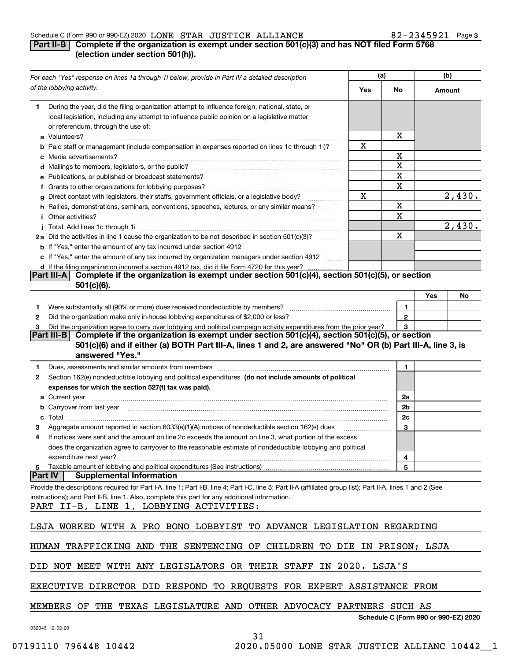#### Schedule C (Form 990 or 990-EZ) 2020 Page LONE STAR JUSTICE ALLIANCE 82-2345921

# **Part II-B** Complete if the organization is exempt under section 501(c)(3) and has NOT filed Form 5768 **(election under section 501(h)).**

| For each "Yes" response on lines 1a through 1i below, provide in Part IV a detailed description                                                                                                                                                                                                           | (a) |                                      | (b)    |        |  |
|-----------------------------------------------------------------------------------------------------------------------------------------------------------------------------------------------------------------------------------------------------------------------------------------------------------|-----|--------------------------------------|--------|--------|--|
| of the lobbying activity.                                                                                                                                                                                                                                                                                 | Yes | No                                   | Amount |        |  |
| During the year, did the filing organization attempt to influence foreign, national, state, or<br>1.<br>local legislation, including any attempt to influence public opinion on a legislative matter                                                                                                      |     |                                      |        |        |  |
| or referendum, through the use of:                                                                                                                                                                                                                                                                        |     | x                                    |        |        |  |
| <b>b</b> Paid staff or management (include compensation in expenses reported on lines 1c through 1i)?                                                                                                                                                                                                     | x   |                                      |        |        |  |
|                                                                                                                                                                                                                                                                                                           |     | X                                    |        |        |  |
|                                                                                                                                                                                                                                                                                                           |     | $\mathbf X$                          |        |        |  |
| e Publications, or published or broadcast statements?                                                                                                                                                                                                                                                     |     | $\overline{\textbf{X}}$              |        |        |  |
| f Grants to other organizations for lobbying purposes?                                                                                                                                                                                                                                                    |     | X                                    |        |        |  |
| g Direct contact with legislators, their staffs, government officials, or a legislative body?                                                                                                                                                                                                             | X   |                                      |        | 2,430. |  |
| h Rallies, demonstrations, seminars, conventions, speeches, lectures, or any similar means?                                                                                                                                                                                                               |     | X                                    |        |        |  |
| <i>i</i> Other activities?                                                                                                                                                                                                                                                                                |     | $\overline{\mathbf{x}}$              |        |        |  |
|                                                                                                                                                                                                                                                                                                           |     |                                      |        | 2,430. |  |
| 2a Did the activities in line 1 cause the organization to be not described in section 501(c)(3)?                                                                                                                                                                                                          |     | X                                    |        |        |  |
|                                                                                                                                                                                                                                                                                                           |     |                                      |        |        |  |
| c If "Yes," enter the amount of any tax incurred by organization managers under section 4912                                                                                                                                                                                                              |     |                                      |        |        |  |
| d If the filing organization incurred a section 4912 tax, did it file Form 4720 for this year?                                                                                                                                                                                                            |     |                                      |        |        |  |
| Part III-A Complete if the organization is exempt under section 501(c)(4), section 501(c)(5), or section<br>$501(c)(6)$ .                                                                                                                                                                                 |     |                                      |        |        |  |
|                                                                                                                                                                                                                                                                                                           |     |                                      | Yes    | No     |  |
| 1.                                                                                                                                                                                                                                                                                                        |     | 1                                    |        |        |  |
| 2                                                                                                                                                                                                                                                                                                         |     | $\mathbf{2}$                         |        |        |  |
| Did the organization agree to carry over lobbying and political campaign activity expenditures from the prior year?                                                                                                                                                                                       |     | 3                                    |        |        |  |
| Complete if the organization is exempt under section 501(c)(4), section 501(c)(5), or section<br>Part III-BI                                                                                                                                                                                              |     |                                      |        |        |  |
| 501(c)(6) and if either (a) BOTH Part III-A, lines 1 and 2, are answered "No" OR (b) Part III-A, line 3, is<br>answered "Yes."                                                                                                                                                                            |     |                                      |        |        |  |
| 1                                                                                                                                                                                                                                                                                                         |     | 1                                    |        |        |  |
| Section 162(e) nondeductible lobbying and political expenditures (do not include amounts of political<br>2                                                                                                                                                                                                |     |                                      |        |        |  |
| expenses for which the section 527(f) tax was paid).                                                                                                                                                                                                                                                      |     |                                      |        |        |  |
|                                                                                                                                                                                                                                                                                                           |     | 2a                                   |        |        |  |
| b Carryover from last year [11] manufactured and the contract of the contract of the contract of the contract of the contract of the contract of the contract of the contract of the contract of the contract of the contract                                                                             |     | 2b                                   |        |        |  |
|                                                                                                                                                                                                                                                                                                           |     | 2c                                   |        |        |  |
| Aggregate amount reported in section 6033(e)(1)(A) notices of nondeductible section 162(e) dues                                                                                                                                                                                                           |     | 3                                    |        |        |  |
| If notices were sent and the amount on line 2c exceeds the amount on line 3, what portion of the excess<br>4                                                                                                                                                                                              |     |                                      |        |        |  |
| does the organization agree to carryover to the reasonable estimate of nondeductible lobbying and political                                                                                                                                                                                               |     |                                      |        |        |  |
| expenditure next year?                                                                                                                                                                                                                                                                                    |     | 4                                    |        |        |  |
| 5 Taxable amount of lobbying and political expenditures (See instructions)                                                                                                                                                                                                                                |     | 5                                    |        |        |  |
| <b>Part IV</b><br><b>Supplemental Information</b>                                                                                                                                                                                                                                                         |     |                                      |        |        |  |
| Provide the descriptions required for Part I-A, line 1; Part I-B, line 4; Part I-C, line 5; Part II-A (affiliated group list); Part II-A, lines 1 and 2 (See<br>instructions); and Part II-B, line 1. Also, complete this part for any additional information.<br>PART II-B, LINE 1, LOBBYING ACTIVITIES: |     |                                      |        |        |  |
| LSJA WORKED WITH A PRO BONO LOBBYIST TO ADVANCE LEGISLATION REGARDING                                                                                                                                                                                                                                     |     |                                      |        |        |  |
| HUMAN TRAFFICKING AND THE SENTENCING OF CHILDREN TO DIE IN PRISON; LSJA                                                                                                                                                                                                                                   |     |                                      |        |        |  |
| DID NOT MEET WITH ANY LEGISLATORS OR THEIR STAFF IN 2020. LSJA'S                                                                                                                                                                                                                                          |     |                                      |        |        |  |
| EXECUTIVE DIRECTOR DID RESPOND TO REQUESTS FOR EXPERT ASSISTANCE FROM                                                                                                                                                                                                                                     |     |                                      |        |        |  |
| MEMBERS OF THE TEXAS LEGISLATURE AND OTHER ADVOCACY PARTNERS SUCH AS                                                                                                                                                                                                                                      |     |                                      |        |        |  |
| 032043 12-02-20                                                                                                                                                                                                                                                                                           |     | Schedule C (Form 990 or 990-EZ) 2020 |        |        |  |
| 21                                                                                                                                                                                                                                                                                                        |     |                                      |        |        |  |

31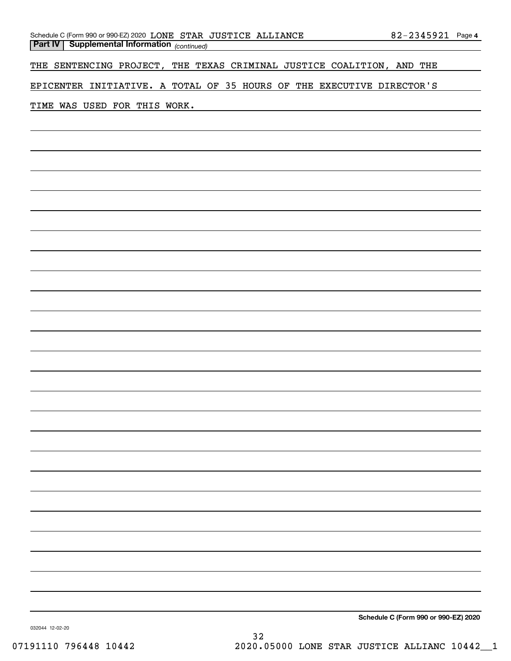| Schedule C (Form 990 or 990-EZ) 2020 LONE STAR JUSTICE ALLIANCE |  | 82-2345921 Page 4 |  |
|-----------------------------------------------------------------|--|-------------------|--|
| <b>Part IV Supplemental Information</b> (continued)             |  |                   |  |

THE SENTENCING PROJECT, THE TEXAS CRIMINAL JUSTICE COALITION, AND THE

EPICENTER INITIATIVE. A TOTAL OF 35 HOURS OF THE EXECUTIVE DIRECTOR'S

## TIME WAS USED FOR THIS WORK.

**Schedule C (Form 990 or 990-EZ) 2020**

032044 12-02-20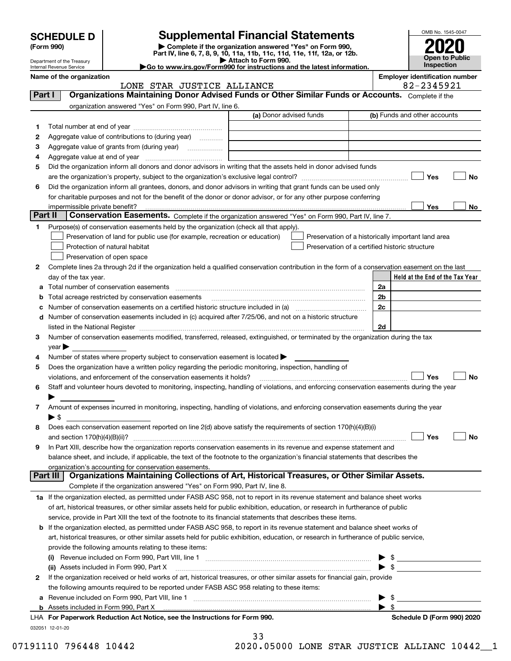| <b>SCHEDULE D</b> |  |
|-------------------|--|
|-------------------|--|

Department of the Treasury Internal Revenue Service

# **Supplemental Financial Statements**

**(Form 990)** (**Form 990,**<br>Part IV, line 6, 7, 8, 9, 10, 11a, 11b, 11c, 11d, 11e, 11f, 12a, or 12b.<br>Department of the Treasury **and Exercise Connect Connect Connect Connect Connect Connect Connect Connect Connect** 

| $\blacktriangleright$ Attach to Form 990.                              |
|------------------------------------------------------------------------|
| Go to www.irs.gov/Form990 for instructions and the latest information. |

<code>Part I</code>  $|$   $|$  Organizations Maintaining Donor Advised Funds or Other Similar Funds or Accounts.  $\,$  <code>Complete</code> if the



**Name of the organization Employer identification number**

# LONE STAR JUSTICE ALLIANCE 82-2345921

|         | organization answered "Yes" on Form 990, Part IV, line 6.                                                                                                                                                                      |                         |                                                    |
|---------|--------------------------------------------------------------------------------------------------------------------------------------------------------------------------------------------------------------------------------|-------------------------|----------------------------------------------------|
|         |                                                                                                                                                                                                                                | (a) Donor advised funds | (b) Funds and other accounts                       |
| 1.      |                                                                                                                                                                                                                                |                         |                                                    |
| 2       | Aggregate value of contributions to (during year)                                                                                                                                                                              |                         |                                                    |
| з       | Aggregate value of grants from (during year)                                                                                                                                                                                   |                         |                                                    |
| 4       |                                                                                                                                                                                                                                |                         |                                                    |
| 5       | Did the organization inform all donors and donor advisors in writing that the assets held in donor advised funds                                                                                                               |                         |                                                    |
|         |                                                                                                                                                                                                                                |                         | Yes<br>No                                          |
| 6       | Did the organization inform all grantees, donors, and donor advisors in writing that grant funds can be used only                                                                                                              |                         |                                                    |
|         | for charitable purposes and not for the benefit of the donor or donor advisor, or for any other purpose conferring                                                                                                             |                         |                                                    |
|         | impermissible private benefit?                                                                                                                                                                                                 |                         | Yes<br>No                                          |
| Part II | Conservation Easements. Complete if the organization answered "Yes" on Form 990, Part IV, line 7.                                                                                                                              |                         |                                                    |
| 1       | Purpose(s) of conservation easements held by the organization (check all that apply).                                                                                                                                          |                         |                                                    |
|         | Preservation of land for public use (for example, recreation or education)                                                                                                                                                     |                         | Preservation of a historically important land area |
|         | Protection of natural habitat                                                                                                                                                                                                  |                         | Preservation of a certified historic structure     |
|         | Preservation of open space                                                                                                                                                                                                     |                         |                                                    |
| 2       | Complete lines 2a through 2d if the organization held a qualified conservation contribution in the form of a conservation easement on the last                                                                                 |                         |                                                    |
|         | day of the tax year.                                                                                                                                                                                                           |                         | Held at the End of the Tax Year                    |
| а       | Total number of conservation easements                                                                                                                                                                                         |                         | 2a                                                 |
| b       | Total acreage restricted by conservation easements                                                                                                                                                                             |                         | 2 <sub>b</sub>                                     |
| с       |                                                                                                                                                                                                                                |                         | 2c                                                 |
| d       | Number of conservation easements included in (c) acquired after 7/25/06, and not on a historic structure                                                                                                                       |                         |                                                    |
|         | listed in the National Register [11] matter and the National Register [11] matter is not all the National Register [11] matter is not all the National Register [11] matter is not all the National Register [11] matter is no |                         | 2d                                                 |
| 3       | Number of conservation easements modified, transferred, released, extinguished, or terminated by the organization during the tax                                                                                               |                         |                                                    |
| 4       | $\gamma$ ear $\blacktriangleright$<br>Number of states where property subject to conservation easement is located >                                                                                                            |                         |                                                    |
| 5       | Does the organization have a written policy regarding the periodic monitoring, inspection, handling of                                                                                                                         |                         |                                                    |
|         | violations, and enforcement of the conservation easements it holds?                                                                                                                                                            |                         | Yes<br><b>No</b>                                   |
| 6       | Staff and volunteer hours devoted to monitoring, inspecting, handling of violations, and enforcing conservation easements during the year                                                                                      |                         |                                                    |
|         |                                                                                                                                                                                                                                |                         |                                                    |
| 7       | Amount of expenses incurred in monitoring, inspecting, handling of violations, and enforcing conservation easements during the year                                                                                            |                         |                                                    |
|         | $\blacktriangleright$ \$                                                                                                                                                                                                       |                         |                                                    |
| 8       | Does each conservation easement reported on line 2(d) above satisfy the requirements of section 170(h)(4)(B)(i)                                                                                                                |                         |                                                    |
|         |                                                                                                                                                                                                                                |                         | Yes<br><b>No</b>                                   |
| 9       | In Part XIII, describe how the organization reports conservation easements in its revenue and expense statement and                                                                                                            |                         |                                                    |
|         | balance sheet, and include, if applicable, the text of the footnote to the organization's financial statements that describes the                                                                                              |                         |                                                    |
|         | organization's accounting for conservation easements.                                                                                                                                                                          |                         |                                                    |
|         | Part III   Organizations Maintaining Collections of Art, Historical Treasures, or Other Similar Assets.                                                                                                                        |                         |                                                    |
|         | Complete if the organization answered "Yes" on Form 990, Part IV, line 8.                                                                                                                                                      |                         |                                                    |
|         | 1a If the organization elected, as permitted under FASB ASC 958, not to report in its revenue statement and balance sheet works                                                                                                |                         |                                                    |
|         | of art, historical treasures, or other similar assets held for public exhibition, education, or research in furtherance of public                                                                                              |                         |                                                    |
|         | service, provide in Part XIII the text of the footnote to its financial statements that describes these items.                                                                                                                 |                         |                                                    |
| b       | If the organization elected, as permitted under FASB ASC 958, to report in its revenue statement and balance sheet works of                                                                                                    |                         |                                                    |
|         | art, historical treasures, or other similar assets held for public exhibition, education, or research in furtherance of public service,                                                                                        |                         |                                                    |
|         | provide the following amounts relating to these items:                                                                                                                                                                         |                         |                                                    |
|         | (i)                                                                                                                                                                                                                            |                         | $\frac{1}{2}$                                      |
|         | (ii) Assets included in Form 990, Part X                                                                                                                                                                                       |                         | $\frac{1}{2}$                                      |
| 2       | If the organization received or held works of art, historical treasures, or other similar assets for financial gain, provide                                                                                                   |                         |                                                    |
|         | the following amounts required to be reported under FASB ASC 958 relating to these items:                                                                                                                                      |                         |                                                    |
| а       |                                                                                                                                                                                                                                |                         | \$                                                 |
|         | <b>b</b> Assets included in Form 990, Part X                                                                                                                                                                                   |                         | \$                                                 |
|         | LHA For Paperwork Reduction Act Notice, see the Instructions for Form 990.                                                                                                                                                     |                         | Schedule D (Form 990) 2020                         |
|         | 032051 12-01-20                                                                                                                                                                                                                | າາ                      |                                                    |

33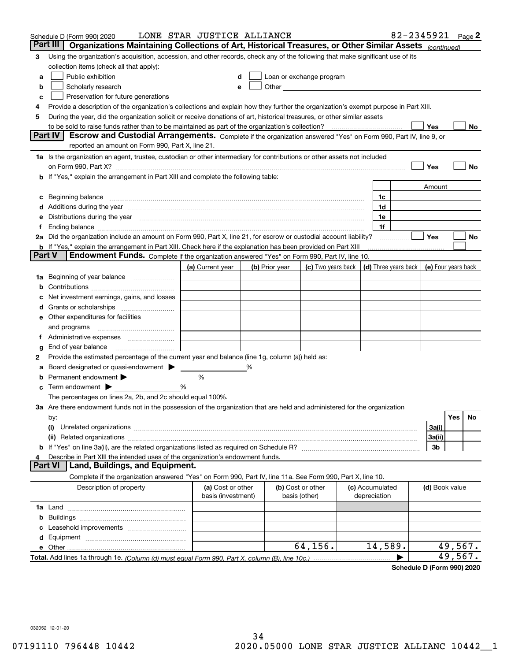|        | Schedule D (Form 990) 2020                                                                                                                                                                                                  | LONE STAR JUSTICE ALLIANCE              |   |                |                                                                                                                                                                                                                               |                                 | 82-2345921                           |                | Page $2$            |  |
|--------|-----------------------------------------------------------------------------------------------------------------------------------------------------------------------------------------------------------------------------|-----------------------------------------|---|----------------|-------------------------------------------------------------------------------------------------------------------------------------------------------------------------------------------------------------------------------|---------------------------------|--------------------------------------|----------------|---------------------|--|
|        | Organizations Maintaining Collections of Art, Historical Treasures, or Other Similar Assets (continued)<br>Part III                                                                                                         |                                         |   |                |                                                                                                                                                                                                                               |                                 |                                      |                |                     |  |
| 3      | Using the organization's acquisition, accession, and other records, check any of the following that make significant use of its                                                                                             |                                         |   |                |                                                                                                                                                                                                                               |                                 |                                      |                |                     |  |
|        | collection items (check all that apply):                                                                                                                                                                                    |                                         |   |                |                                                                                                                                                                                                                               |                                 |                                      |                |                     |  |
| a      | Public exhibition                                                                                                                                                                                                           |                                         |   |                | Loan or exchange program                                                                                                                                                                                                      |                                 |                                      |                |                     |  |
| b      | Scholarly research                                                                                                                                                                                                          |                                         |   |                | Other and the contract of the contract of the contract of the contract of the contract of the contract of the contract of the contract of the contract of the contract of the contract of the contract of the contract of the |                                 |                                      |                |                     |  |
| c      | Preservation for future generations                                                                                                                                                                                         |                                         |   |                |                                                                                                                                                                                                                               |                                 |                                      |                |                     |  |
| 4      | Provide a description of the organization's collections and explain how they further the organization's exempt purpose in Part XIII.                                                                                        |                                         |   |                |                                                                                                                                                                                                                               |                                 |                                      |                |                     |  |
| 5      | During the year, did the organization solicit or receive donations of art, historical treasures, or other similar assets                                                                                                    |                                         |   |                |                                                                                                                                                                                                                               |                                 |                                      |                |                     |  |
|        | to be sold to raise funds rather than to be maintained as part of the organization's collection?                                                                                                                            |                                         |   |                |                                                                                                                                                                                                                               |                                 |                                      | Yes            | No.                 |  |
|        | <b>Part IV</b><br>Escrow and Custodial Arrangements. Complete if the organization answered "Yes" on Form 990, Part IV, line 9, or                                                                                           |                                         |   |                |                                                                                                                                                                                                                               |                                 |                                      |                |                     |  |
|        | reported an amount on Form 990, Part X, line 21.                                                                                                                                                                            |                                         |   |                |                                                                                                                                                                                                                               |                                 |                                      |                |                     |  |
|        | 1a Is the organization an agent, trustee, custodian or other intermediary for contributions or other assets not included                                                                                                    |                                         |   |                |                                                                                                                                                                                                                               |                                 |                                      |                |                     |  |
|        | on Form 990, Part X? [11] matter contracts and contracts and contracts are contracted as a form 990, Part X?                                                                                                                |                                         |   |                |                                                                                                                                                                                                                               |                                 |                                      | Yes            | No                  |  |
|        | <b>b</b> If "Yes," explain the arrangement in Part XIII and complete the following table:                                                                                                                                   |                                         |   |                |                                                                                                                                                                                                                               |                                 |                                      |                |                     |  |
|        |                                                                                                                                                                                                                             |                                         |   |                |                                                                                                                                                                                                                               |                                 |                                      | Amount         |                     |  |
|        |                                                                                                                                                                                                                             |                                         |   |                |                                                                                                                                                                                                                               | 1c                              |                                      |                |                     |  |
|        | Additions during the year manufactured and contain an account of the year manufactured and account of the year                                                                                                              |                                         |   |                |                                                                                                                                                                                                                               | 1d                              |                                      |                |                     |  |
|        | Distributions during the year measurement contains and the year of the set of the set of the set of the set of                                                                                                              |                                         |   |                |                                                                                                                                                                                                                               | 1e                              |                                      |                |                     |  |
|        |                                                                                                                                                                                                                             |                                         |   |                |                                                                                                                                                                                                                               | 1f                              |                                      |                |                     |  |
|        | 2a Did the organization include an amount on Form 990, Part X, line 21, for escrow or custodial account liability?                                                                                                          |                                         |   |                |                                                                                                                                                                                                                               |                                 |                                      | Yes            | No                  |  |
| Part V | <b>b</b> If "Yes," explain the arrangement in Part XIII. Check here if the explanation has been provided on Part XIII<br><b>Endowment Funds.</b> Complete if the organization answered "Yes" on Form 990, Part IV, line 10. |                                         |   |                |                                                                                                                                                                                                                               |                                 |                                      |                |                     |  |
|        |                                                                                                                                                                                                                             |                                         |   |                |                                                                                                                                                                                                                               |                                 |                                      |                |                     |  |
|        |                                                                                                                                                                                                                             | (a) Current year                        |   | (b) Prior year | (c) Two years back                                                                                                                                                                                                            |                                 | $\vert$ (d) Three years back $\vert$ |                | (e) Four years back |  |
| 1a     | Beginning of year balance                                                                                                                                                                                                   |                                         |   |                |                                                                                                                                                                                                                               |                                 |                                      |                |                     |  |
|        |                                                                                                                                                                                                                             |                                         |   |                |                                                                                                                                                                                                                               |                                 |                                      |                |                     |  |
|        | Net investment earnings, gains, and losses                                                                                                                                                                                  |                                         |   |                |                                                                                                                                                                                                                               |                                 |                                      |                |                     |  |
|        |                                                                                                                                                                                                                             |                                         |   |                |                                                                                                                                                                                                                               |                                 |                                      |                |                     |  |
| е      | Other expenditures for facilities                                                                                                                                                                                           |                                         |   |                |                                                                                                                                                                                                                               |                                 |                                      |                |                     |  |
|        | and programs                                                                                                                                                                                                                |                                         |   |                |                                                                                                                                                                                                                               |                                 |                                      |                |                     |  |
|        |                                                                                                                                                                                                                             |                                         |   |                |                                                                                                                                                                                                                               |                                 |                                      |                |                     |  |
| g<br>2 | End of year balance<br>Provide the estimated percentage of the current year end balance (line 1g, column (a)) held as:                                                                                                      |                                         |   |                |                                                                                                                                                                                                                               |                                 |                                      |                |                     |  |
|        | Board designated or quasi-endowment                                                                                                                                                                                         |                                         | % |                |                                                                                                                                                                                                                               |                                 |                                      |                |                     |  |
|        | Permanent endowment >                                                                                                                                                                                                       | %                                       |   |                |                                                                                                                                                                                                                               |                                 |                                      |                |                     |  |
| с      | Term endowment $\blacktriangleright$                                                                                                                                                                                        | %                                       |   |                |                                                                                                                                                                                                                               |                                 |                                      |                |                     |  |
|        | The percentages on lines 2a, 2b, and 2c should equal 100%.                                                                                                                                                                  |                                         |   |                |                                                                                                                                                                                                                               |                                 |                                      |                |                     |  |
|        | 3a Are there endowment funds not in the possession of the organization that are held and administered for the organization                                                                                                  |                                         |   |                |                                                                                                                                                                                                                               |                                 |                                      |                |                     |  |
|        | by:                                                                                                                                                                                                                         |                                         |   |                |                                                                                                                                                                                                                               |                                 |                                      |                | Yes<br>No           |  |
|        | (i)                                                                                                                                                                                                                         |                                         |   |                |                                                                                                                                                                                                                               |                                 |                                      | 3a(i)          |                     |  |
|        |                                                                                                                                                                                                                             |                                         |   |                |                                                                                                                                                                                                                               |                                 |                                      | 3a(ii)         |                     |  |
|        |                                                                                                                                                                                                                             |                                         |   |                |                                                                                                                                                                                                                               |                                 |                                      | 3b             |                     |  |
|        | Describe in Part XIII the intended uses of the organization's endowment funds.                                                                                                                                              |                                         |   |                |                                                                                                                                                                                                                               |                                 |                                      |                |                     |  |
|        | Land, Buildings, and Equipment.<br>Part VI                                                                                                                                                                                  |                                         |   |                |                                                                                                                                                                                                                               |                                 |                                      |                |                     |  |
|        | Complete if the organization answered "Yes" on Form 990, Part IV, line 11a. See Form 990, Part X, line 10.                                                                                                                  |                                         |   |                |                                                                                                                                                                                                                               |                                 |                                      |                |                     |  |
|        | Description of property                                                                                                                                                                                                     | (a) Cost or other<br>basis (investment) |   |                | (b) Cost or other<br>basis (other)                                                                                                                                                                                            | (c) Accumulated<br>depreciation |                                      | (d) Book value |                     |  |
|        |                                                                                                                                                                                                                             |                                         |   |                |                                                                                                                                                                                                                               |                                 |                                      |                |                     |  |
| b      |                                                                                                                                                                                                                             |                                         |   |                |                                                                                                                                                                                                                               |                                 |                                      |                |                     |  |
|        |                                                                                                                                                                                                                             |                                         |   |                |                                                                                                                                                                                                                               |                                 |                                      |                |                     |  |
| d      |                                                                                                                                                                                                                             |                                         |   |                |                                                                                                                                                                                                                               |                                 |                                      |                |                     |  |
|        | e Other                                                                                                                                                                                                                     |                                         |   |                | 64, 156.                                                                                                                                                                                                                      | 14,589.                         |                                      |                | 49,567.             |  |
|        |                                                                                                                                                                                                                             |                                         |   |                |                                                                                                                                                                                                                               |                                 |                                      |                | 49,567.             |  |

**Schedule D (Form 990) 2020**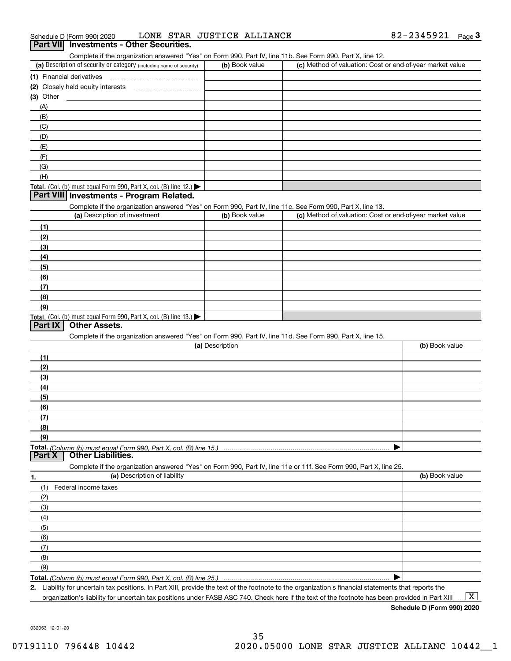Complete if the organization answered "Yes" on Form 990, Part IV, line 11b. See Form 990, Part X, line 12.

| (a) Description of security or category (including name of security)                   | (b) Book value | (c) Method of valuation: Cost or end-of-year market value |
|----------------------------------------------------------------------------------------|----------------|-----------------------------------------------------------|
| (1) Financial derivatives                                                              |                |                                                           |
| (2) Closely held equity interests<br>                                                  |                |                                                           |
| (3) Other                                                                              |                |                                                           |
| (A)                                                                                    |                |                                                           |
| (B)                                                                                    |                |                                                           |
| (C)                                                                                    |                |                                                           |
| (D)                                                                                    |                |                                                           |
| (E)                                                                                    |                |                                                           |
| (E)                                                                                    |                |                                                           |
| (G)                                                                                    |                |                                                           |
| (H)                                                                                    |                |                                                           |
| Total. (Col. (b) must equal Form 990, Part X, col. (B) line 12.) $\blacktriangleright$ |                |                                                           |

#### **Part VIII Investments - Program Related.**

Complete if the organization answered "Yes" on Form 990, Part IV, line 11c. See Form 990, Part X, line 13.

| (a) Description of investment                                       | (b) Book value | (c) Method of valuation: Cost or end-of-year market value |
|---------------------------------------------------------------------|----------------|-----------------------------------------------------------|
| (1)                                                                 |                |                                                           |
| (2)                                                                 |                |                                                           |
| $\frac{1}{2}$                                                       |                |                                                           |
| (4)                                                                 |                |                                                           |
| $\left(5\right)$                                                    |                |                                                           |
| (6)                                                                 |                |                                                           |
| (7)                                                                 |                |                                                           |
| (8)                                                                 |                |                                                           |
| (9)                                                                 |                |                                                           |
| Total. (Col. (b) must equal Form 990, Part X, col. (B) line $13.$ ) |                |                                                           |

#### **Part IX Other Assets.**

Complete if the organization answered "Yes" on Form 990, Part IV, line 11d. See Form 990, Part X, line 15.

|               | (a) Description                                                                                                   | (b) Book value |
|---------------|-------------------------------------------------------------------------------------------------------------------|----------------|
| (1)           |                                                                                                                   |                |
| (2)           |                                                                                                                   |                |
| $\frac{1}{2}$ |                                                                                                                   |                |
| (4)           |                                                                                                                   |                |
| (5)           |                                                                                                                   |                |
| (6)           |                                                                                                                   |                |
| (7)           |                                                                                                                   |                |
| (8)           |                                                                                                                   |                |
| (9)           |                                                                                                                   |                |
|               |                                                                                                                   |                |
|               | <b>Part X   Other Liabilities.</b>                                                                                |                |
|               | Complete if the organization answered "Yes" on Form 990, Part IV, line 11e or 11f. See Form 990, Part X, line 25. |                |

**1.(a)** Description of liability **Book value** Book value Book value Book value Book value (1)Federal income taxes (2)(3)(4)(5) (6)(7)(8)(9) $\blacktriangleright$ 

**Total.**  *(Column (b) must equal Form 990, Part X, col. (B) line 25.)* 

**2.**Liability for uncertain tax positions. In Part XIII, provide the text of the footnote to the organization's financial statements that reports the organization's liability for uncertain tax positions under FASB ASC 740. Check here if the text of the footnote has been provided in Part XIII

**Schedule D (Form 990) 2020**

 $\boxed{\text{X}}$ 

032053 12-01-20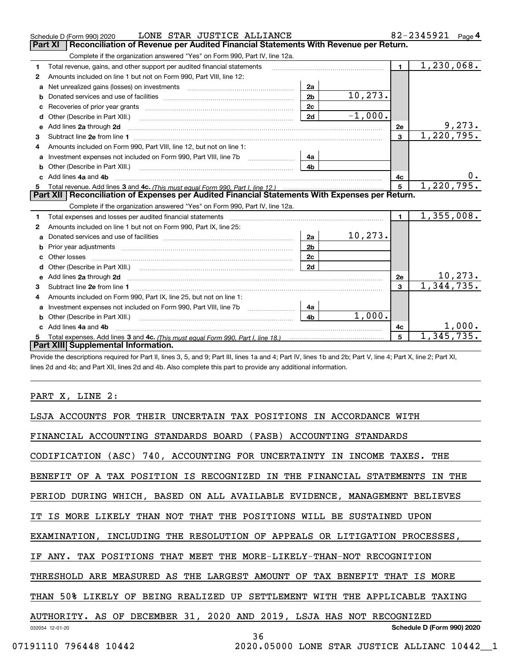|                                                                                                       | LONE STAR JUSTICE ALLIANCE<br>Schedule D (Form 990) 2020                                                            |                |           |                | 82-2345921<br>Page 4 |
|-------------------------------------------------------------------------------------------------------|---------------------------------------------------------------------------------------------------------------------|----------------|-----------|----------------|----------------------|
| <b>Part XI</b><br>Reconciliation of Revenue per Audited Financial Statements With Revenue per Return. |                                                                                                                     |                |           |                |                      |
|                                                                                                       | Complete if the organization answered "Yes" on Form 990, Part IV, line 12a.                                         |                |           |                |                      |
| 1                                                                                                     | Total revenue, gains, and other support per audited financial statements                                            |                |           | $\blacksquare$ | 1,230,068.           |
| 2                                                                                                     | Amounts included on line 1 but not on Form 990, Part VIII, line 12:                                                 |                |           |                |                      |
| a                                                                                                     | Net unrealized gains (losses) on investments [11] matter contracts and the unrealized gains (losses) on investments | 2a             |           |                |                      |
| b                                                                                                     |                                                                                                                     | 2 <sub>b</sub> | 10, 273.  |                |                      |
|                                                                                                       |                                                                                                                     | 2c             |           |                |                      |
| d                                                                                                     |                                                                                                                     | 2d             | $-1,000.$ |                |                      |
| e                                                                                                     | Add lines 2a through 2d                                                                                             |                |           | <b>2e</b>      | 9,273.               |
| 3                                                                                                     |                                                                                                                     |                |           | $\overline{3}$ | 1,220,795.           |
| 4                                                                                                     | Amounts included on Form 990, Part VIII, line 12, but not on line 1:                                                |                |           |                |                      |
| a                                                                                                     |                                                                                                                     | 4а             |           |                |                      |
|                                                                                                       |                                                                                                                     | 4b             |           |                |                      |
|                                                                                                       | c Add lines 4a and 4b                                                                                               |                |           | 4c             |                      |
|                                                                                                       |                                                                                                                     |                |           | 5              | 1,220,795.           |
|                                                                                                       | Part XII   Reconciliation of Expenses per Audited Financial Statements With Expenses per Return.                    |                |           |                |                      |
|                                                                                                       | Complete if the organization answered "Yes" on Form 990, Part IV, line 12a.                                         |                |           |                |                      |
| 1.                                                                                                    | Total expenses and losses per audited financial statements                                                          |                |           | $\mathbf{1}$   | 1,355,008.           |
| 2                                                                                                     | Amounts included on line 1 but not on Form 990, Part IX, line 25:                                                   |                |           |                |                      |
| a                                                                                                     |                                                                                                                     | 2a             | 10, 273.  |                |                      |
| b                                                                                                     |                                                                                                                     | 2 <sub>b</sub> |           |                |                      |
|                                                                                                       |                                                                                                                     | 2c             |           |                |                      |
| d                                                                                                     | Other (Describe in Part XIII.) (Contract and the contract of the contract of the contract of the contract of t      | 2d             |           |                |                      |
|                                                                                                       |                                                                                                                     |                |           | 2e             | <u> 10,273.</u>      |
| 3                                                                                                     |                                                                                                                     |                |           | 3              | 1,344,735.           |
| 4                                                                                                     | Amounts included on Form 990, Part IX, line 25, but not on line 1:                                                  |                |           |                |                      |
| a                                                                                                     | Investment expenses not included on Form 990, Part VIII, line 7b [100] [100] [100] [100] [100] [100] [100] [10      | 4a             |           |                |                      |
|                                                                                                       | Other (Describe in Part XIII.)                                                                                      | 4 <sub>b</sub> | 1,000.    |                |                      |
|                                                                                                       | Add lines 4a and 4b                                                                                                 |                |           | 4c             | 1,000.               |
|                                                                                                       |                                                                                                                     |                |           | 5              | 1,345,735.           |
|                                                                                                       | Part XIII Supplemental Information.                                                                                 |                |           |                |                      |
|                                                                                                       |                                                                                                                     |                |           |                |                      |

Provide the descriptions required for Part II, lines 3, 5, and 9; Part III, lines 1a and 4; Part IV, lines 1b and 2b; Part V, line 4; Part X, line 2; Part XI, lines 2d and 4b; and Part XII, lines 2d and 4b. Also complete this part to provide any additional information.

<u> 1989 - Johann Barn, mars ann an t-Amhain</u>

PART X, LINE 2:

| LSJA ACCOUNTS FOR THEIR UNCERTAIN TAX POSITIONS IN ACCORDANCE WITH         |                                                    |
|----------------------------------------------------------------------------|----------------------------------------------------|
| FINANCIAL ACCOUNTING STANDARDS BOARD (FASB) ACCOUNTING STANDARDS           |                                                    |
| CODIFICATION (ASC) 740, ACCOUNTING FOR UNCERTAINTY IN INCOME TAXES. THE    |                                                    |
| BENEFIT OF A TAX POSITION IS RECOGNIZED IN THE FINANCIAL STATEMENTS IN THE |                                                    |
| PERIOD DURING WHICH, BASED ON ALL AVAILABLE EVIDENCE, MANAGEMENT BELIEVES  |                                                    |
| IT IS MORE LIKELY THAN NOT THAT THE POSITIONS WILL BE SUSTAINED UPON       |                                                    |
| EXAMINATION, INCLUDING THE RESOLUTION OF APPEALS OR LITIGATION PROCESSES,  |                                                    |
| IF ANY. TAX POSITIONS THAT MEET THE MORE-LIKELY-THAN-NOT RECOGNITION       |                                                    |
| THRESHOLD ARE MEASURED AS THE LARGEST AMOUNT OF TAX BENEFIT THAT IS MORE   |                                                    |
| THAN 50% LIKELY OF BEING REALIZED UP SETTLEMENT WITH THE APPLICABLE TAXING |                                                    |
| AUTHORITY. AS OF DECEMBER 31, 2020 AND 2019, LSJA HAS NOT RECOGNIZED       |                                                    |
| 032054 12-01-20                                                            | Schedule D (Form 990) 2020                         |
| 796448 10442<br>07191110                                                   | 36<br>2020.05000 LONE STAR JUSTICE ALLIANC 10442 1 |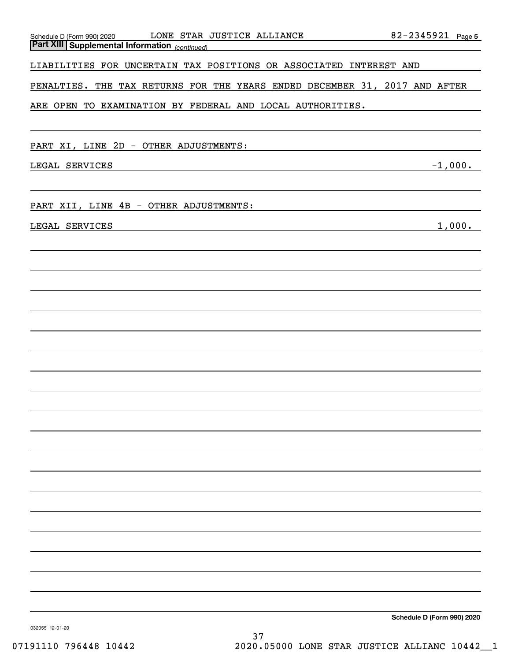| LONE STAR JUSTICE ALLIANCE<br>Schedule D (Form 990) 2020                                                                               | 82-2345921 Page 5          |
|----------------------------------------------------------------------------------------------------------------------------------------|----------------------------|
| <b>Part XIII Supplemental Information</b> (continued)                                                                                  |                            |
| LIABILITIES FOR UNCERTAIN TAX POSITIONS OR ASSOCIATED INTEREST AND                                                                     |                            |
| PENALTIES. THE TAX RETURNS FOR THE YEARS ENDED DECEMBER 31, 2017 AND AFTER                                                             |                            |
| ARE OPEN TO EXAMINATION BY FEDERAL AND LOCAL AUTHORITIES.                                                                              |                            |
|                                                                                                                                        |                            |
| PART XI, LINE 2D - OTHER ADJUSTMENTS:                                                                                                  |                            |
| LEGAL SERVICES<br><u> 1989 - Johann Barbara, martxa alemaniar argumento este alemaniar alemaniar alemaniar alemaniar alemaniar al</u>  | $-1,000.$                  |
|                                                                                                                                        |                            |
| PART XII, LINE 4B - OTHER ADJUSTMENTS:                                                                                                 |                            |
| LEGAL SERVICES<br><u> 1989 - Johann Barbara, martxa alemaniar argumento de la contrada de la contrada de la contrada de la contrad</u> | 1,000.                     |
|                                                                                                                                        |                            |
|                                                                                                                                        |                            |
|                                                                                                                                        |                            |
|                                                                                                                                        |                            |
|                                                                                                                                        |                            |
|                                                                                                                                        |                            |
|                                                                                                                                        |                            |
|                                                                                                                                        |                            |
|                                                                                                                                        |                            |
|                                                                                                                                        |                            |
|                                                                                                                                        |                            |
|                                                                                                                                        |                            |
|                                                                                                                                        |                            |
|                                                                                                                                        |                            |
|                                                                                                                                        |                            |
|                                                                                                                                        |                            |
|                                                                                                                                        |                            |
|                                                                                                                                        |                            |
|                                                                                                                                        |                            |
|                                                                                                                                        |                            |
| 032055 12-01-20                                                                                                                        | Schedule D (Form 990) 2020 |

032055 12-01-20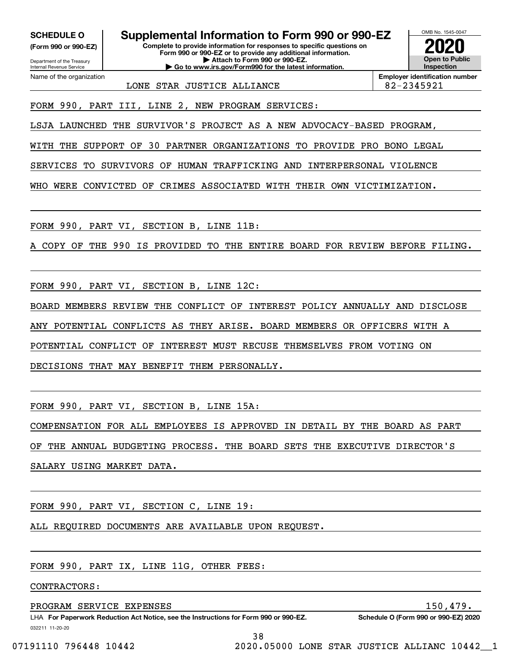**(Form 990 or 990-EZ)**

Department of the Treasury Internal Revenue Service Name of the organization

**Complete to provide information for responses to specific questions on SCHEDULE O Supplemental Information to Form 990 or 990-EZ**

**Form 990 or 990-EZ or to provide any additional information. | Attach to Form 990 or 990-EZ. | Go to www.irs.gov/Form990 for the latest information.**



**Employer identification number**

LONE STAR JUSTICE ALLIANCE  $\vert$  82-2345921

FORM 990, PART III, LINE 2, NEW PROGRAM SERVICES:

LSJA LAUNCHED THE SURVIVOR'S PROJECT AS A NEW ADVOCACY-BASED PROGRAM,

WITH THE SUPPORT OF 30 PARTNER ORGANIZATIONS TO PROVIDE PRO BONO LEGAL

SERVICES TO SURVIVORS OF HUMAN TRAFFICKING AND INTERPERSONAL VIOLENCE

WHO WERE CONVICTED OF CRIMES ASSOCIATED WITH THEIR OWN VICTIMIZATION.

FORM 990, PART VI, SECTION B, LINE 11B:

COPY OF THE 990 IS PROVIDED TO THE ENTIRE BOARD FOR REVIEW BEFORE FILING.

FORM 990, PART VI, SECTION B, LINE 12C:

BOARD MEMBERS REVIEW THE CONFLICT OF INTEREST POLICY ANNUALLY AND DISCLOSE

ANY POTENTIAL CONFLICTS AS THEY ARISE. BOARD MEMBERS OR OFFICERS WITH A

POTENTIAL CONFLICT OF INTEREST MUST RECUSE THEMSELVES FROM VOTING ON

DECISIONS THAT MAY BENEFIT THEM PERSONALLY.

FORM 990, PART VI, SECTION B, LINE 15A:

COMPENSATION FOR ALL EMPLOYEES IS APPROVED IN DETAIL BY THE BOARD AS PART

OF THE ANNUAL BUDGETING PROCESS. THE BOARD SETS THE EXECUTIVE DIRECTOR'S

SALARY USING MARKET DATA.

FORM 990, PART VI, SECTION C, LINE 19:

ALL REQUIRED DOCUMENTS ARE AVAILABLE UPON REQUEST.

FORM 990, PART IX, LINE 11G, OTHER FEES:

CONTRACTORS:

PROGRAM SERVICE EXPENSES 150,479.

032211 11-20-20 LHA For Paperwork Reduction Act Notice, see the Instructions for Form 990 or 990-EZ. Schedule O (Form 990 or 990-EZ) 2020

38